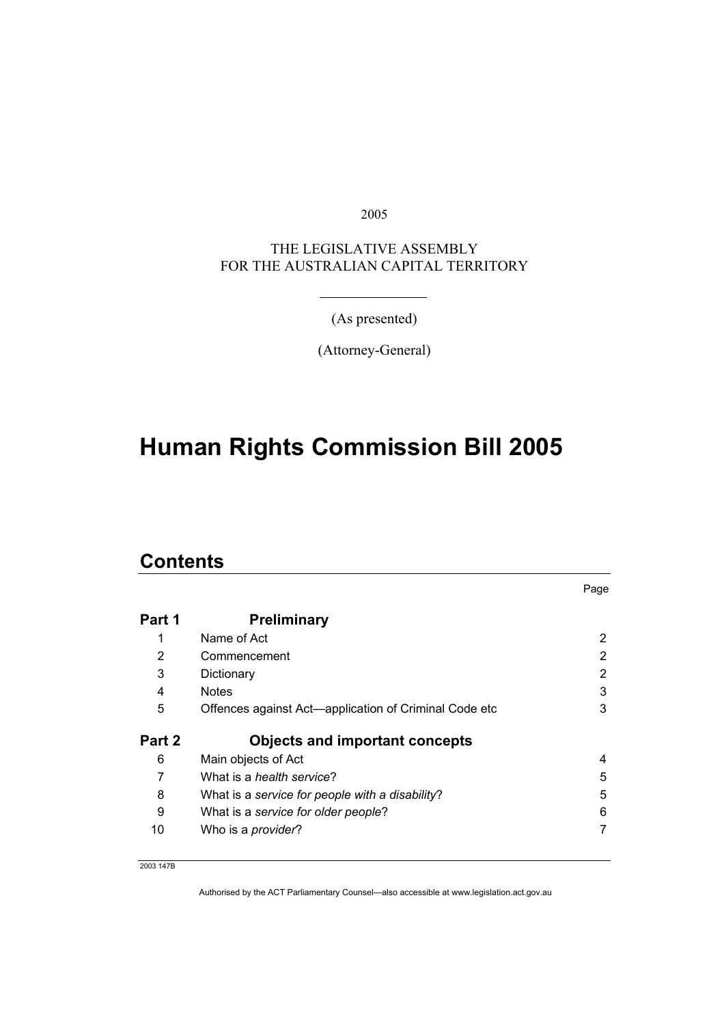2005

### THE LEGISLATIVE ASSEMBLY FOR THE AUSTRALIAN CAPITAL TERRITORY

(As presented)

(Attorney-General)

# **Human Rights Commission Bill 2005**

### **Contents**

|        |                                                       | Page |
|--------|-------------------------------------------------------|------|
| Part 1 | <b>Preliminary</b>                                    |      |
|        | Name of Act                                           | 2    |
| 2      | Commencement                                          | 2    |
| 3      | Dictionary                                            | 2    |
| 4      | <b>Notes</b>                                          | 3    |
| 5      | Offences against Act-application of Criminal Code etc | 3    |
| Part 2 | <b>Objects and important concepts</b>                 |      |
| 6      | Main objects of Act                                   | 4    |
| 7      | What is a health service?                             | 5    |
| 8      | What is a service for people with a disability?       | 5    |
| 9      | What is a service for older people?                   | 6    |
| 10     | Who is a <i>provider</i> ?                            | 7    |

2003 147B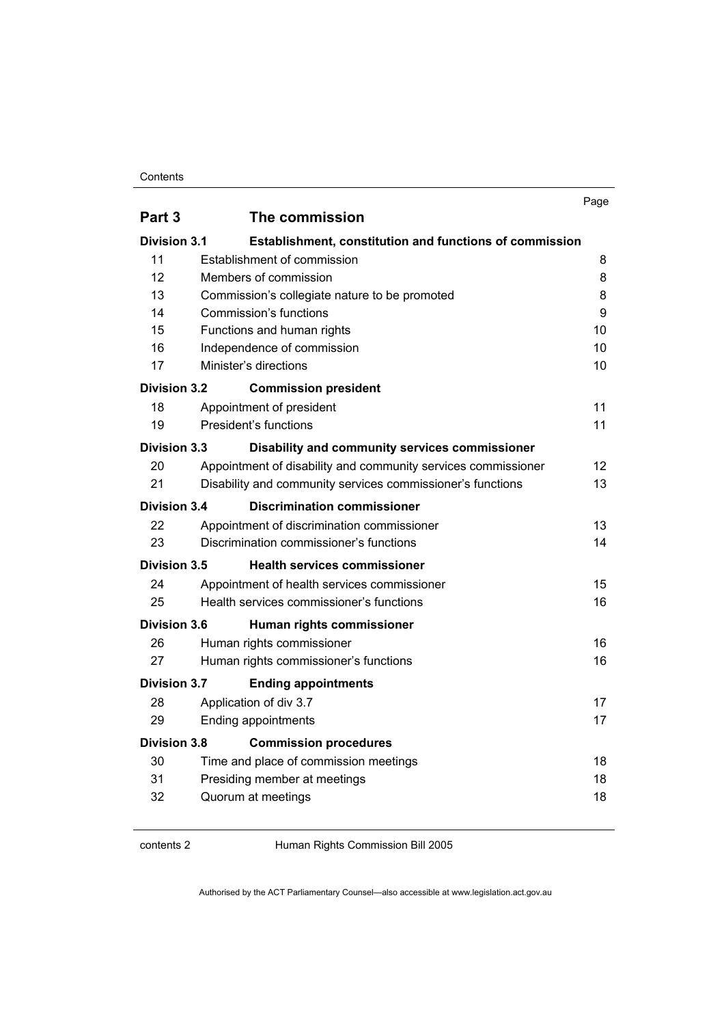|                     |                                                               | Page              |
|---------------------|---------------------------------------------------------------|-------------------|
| Part 3              | The commission                                                |                   |
| <b>Division 3.1</b> | Establishment, constitution and functions of commission       |                   |
| 11                  | Establishment of commission                                   | 8                 |
| 12                  | Members of commission                                         | 8                 |
| 13                  | Commission's collegiate nature to be promoted                 | 8                 |
| 14                  | Commission's functions                                        | 9                 |
| 15                  | Functions and human rights                                    | 10                |
| 16                  | Independence of commission                                    | 10                |
| 17                  | Minister's directions                                         | 10                |
| <b>Division 3.2</b> | <b>Commission president</b>                                   |                   |
| 18                  | Appointment of president                                      | 11                |
| 19                  | President's functions                                         | 11                |
| <b>Division 3.3</b> | Disability and community services commissioner                |                   |
| 20                  | Appointment of disability and community services commissioner | $12 \overline{ }$ |
| 21                  | Disability and community services commissioner's functions    | 13                |
| Division 3.4        | <b>Discrimination commissioner</b>                            |                   |
| 22                  | Appointment of discrimination commissioner                    | 13                |
| 23                  | Discrimination commissioner's functions                       | 14                |
| Division 3.5        | <b>Health services commissioner</b>                           |                   |
| 24                  | Appointment of health services commissioner                   | 15                |
| 25                  | Health services commissioner's functions                      | 16                |
| Division 3.6        | Human rights commissioner                                     |                   |
| 26                  | Human rights commissioner                                     | 16                |
| 27                  | Human rights commissioner's functions                         | 16                |
| <b>Division 3.7</b> | <b>Ending appointments</b>                                    |                   |
| 28                  | Application of div 3.7                                        | 17                |
| 29                  | Ending appointments                                           | 17                |
| <b>Division 3.8</b> | <b>Commission procedures</b>                                  |                   |
| 30                  | Time and place of commission meetings                         | 18                |
| 31                  | Presiding member at meetings                                  | 18                |
| 32                  | Quorum at meetings                                            | 18                |
|                     |                                                               |                   |

contents 2 Human Rights Commission Bill 2005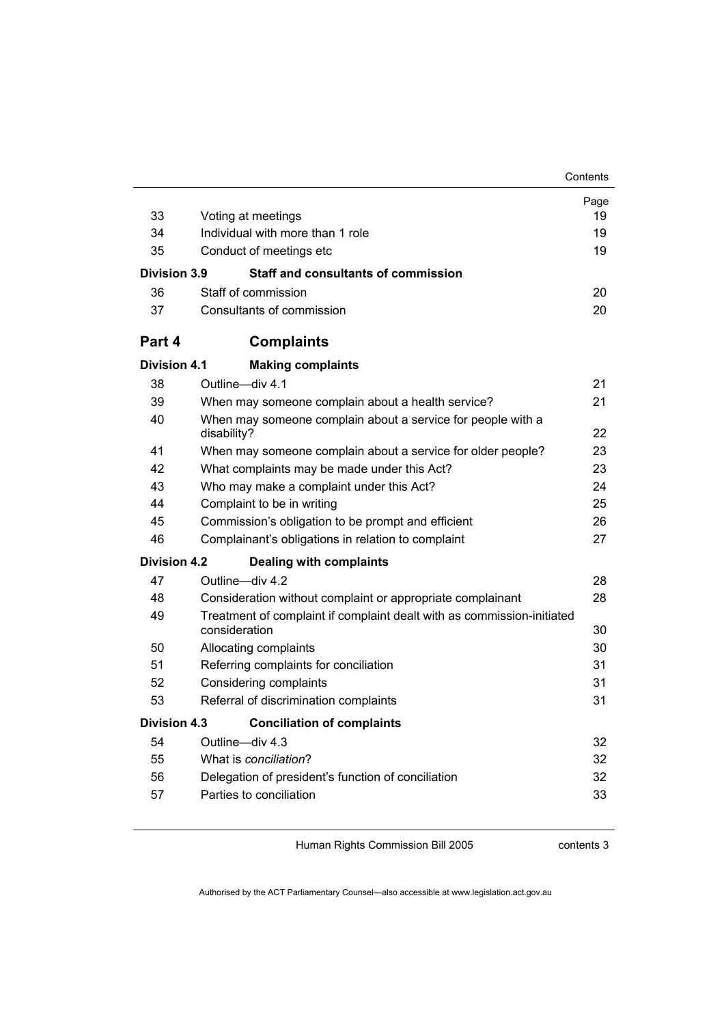|                     |                                                                                         | Contents |  |
|---------------------|-----------------------------------------------------------------------------------------|----------|--|
|                     |                                                                                         | Page     |  |
| 33                  | Voting at meetings                                                                      | 19       |  |
| 34                  | Individual with more than 1 role                                                        |          |  |
| 35                  | Conduct of meetings etc                                                                 | 19       |  |
| Division 3.9        | <b>Staff and consultants of commission</b>                                              |          |  |
| 36                  | Staff of commission                                                                     | 20       |  |
| 37                  | Consultants of commission                                                               | 20       |  |
| Part 4              | <b>Complaints</b>                                                                       |          |  |
| <b>Division 4.1</b> | <b>Making complaints</b>                                                                |          |  |
| 38                  | Outline-div 4.1                                                                         | 21       |  |
| 39                  | When may someone complain about a health service?                                       | 21       |  |
| 40                  | When may someone complain about a service for people with a                             |          |  |
|                     | disability?                                                                             | 22       |  |
| 41                  | When may someone complain about a service for older people?                             | 23       |  |
| 42                  | What complaints may be made under this Act?                                             | 23       |  |
| 43                  | Who may make a complaint under this Act?                                                | 24       |  |
| 44                  | Complaint to be in writing                                                              | 25       |  |
| 45                  | Commission's obligation to be prompt and efficient                                      | 26       |  |
| 46                  | Complainant's obligations in relation to complaint                                      | 27       |  |
| Division 4.2        | <b>Dealing with complaints</b>                                                          |          |  |
| 47                  | Outline-div 4.2                                                                         | 28       |  |
| 48                  | Consideration without complaint or appropriate complainant                              | 28       |  |
| 49                  | Treatment of complaint if complaint dealt with as commission-initiated<br>consideration | 30       |  |
| 50                  | Allocating complaints                                                                   | 30       |  |
| 51                  | Referring complaints for conciliation                                                   | 31       |  |
| 52                  | Considering complaints                                                                  | 31       |  |
| 53                  | Referral of discrimination complaints                                                   | 31       |  |
| <b>Division 4.3</b> | <b>Conciliation of complaints</b>                                                       |          |  |
| 54                  | Outline-div 4.3                                                                         | 32       |  |
| 55                  | What is conciliation?                                                                   | 32       |  |
| 56                  | Delegation of president's function of conciliation                                      | 32       |  |
| 57                  | Parties to conciliation                                                                 | 33       |  |
|                     |                                                                                         |          |  |

contents 3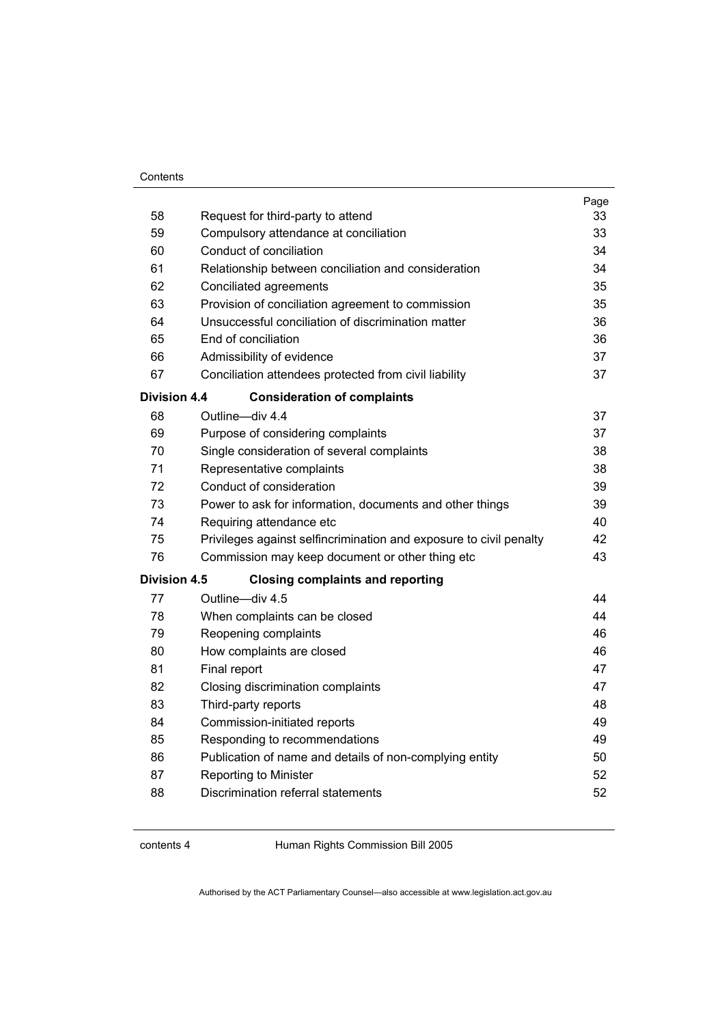|                                                                    | Page |  |  |  |  |
|--------------------------------------------------------------------|------|--|--|--|--|
| Request for third-party to attend                                  | 33   |  |  |  |  |
| Compulsory attendance at conciliation                              | 33   |  |  |  |  |
| Conduct of conciliation<br>34                                      |      |  |  |  |  |
| Relationship between conciliation and consideration                | 34   |  |  |  |  |
| Conciliated agreements                                             | 35   |  |  |  |  |
| Provision of conciliation agreement to commission                  | 35   |  |  |  |  |
| Unsuccessful conciliation of discrimination matter                 | 36   |  |  |  |  |
| End of conciliation                                                | 36   |  |  |  |  |
| Admissibility of evidence                                          | 37   |  |  |  |  |
| Conciliation attendees protected from civil liability              | 37   |  |  |  |  |
| <b>Division 4.4</b><br><b>Consideration of complaints</b>          |      |  |  |  |  |
| Outline-div 4.4                                                    | 37   |  |  |  |  |
| Purpose of considering complaints                                  | 37   |  |  |  |  |
| Single consideration of several complaints                         | 38   |  |  |  |  |
| Representative complaints                                          | 38   |  |  |  |  |
| Conduct of consideration                                           | 39   |  |  |  |  |
| Power to ask for information, documents and other things           | 39   |  |  |  |  |
| Requiring attendance etc                                           | 40   |  |  |  |  |
| Privileges against selfincrimination and exposure to civil penalty | 42   |  |  |  |  |
| Commission may keep document or other thing etc                    | 43   |  |  |  |  |
| <b>Division 4.5</b><br><b>Closing complaints and reporting</b>     |      |  |  |  |  |
| Outline-div 4.5                                                    | 44   |  |  |  |  |
| When complaints can be closed                                      | 44   |  |  |  |  |
| Reopening complaints                                               | 46   |  |  |  |  |
| How complaints are closed                                          | 46   |  |  |  |  |
| Final report                                                       | 47   |  |  |  |  |
| Closing discrimination complaints                                  | 47   |  |  |  |  |
| Third-party reports                                                | 48   |  |  |  |  |
| Commission-initiated reports                                       | 49   |  |  |  |  |
| Responding to recommendations                                      | 49   |  |  |  |  |
| Publication of name and details of non-complying entity            | 50   |  |  |  |  |
| Reporting to Minister                                              | 52   |  |  |  |  |
| Discrimination referral statements                                 | 52   |  |  |  |  |
|                                                                    |      |  |  |  |  |

contents 4 Human Rights Commission Bill 2005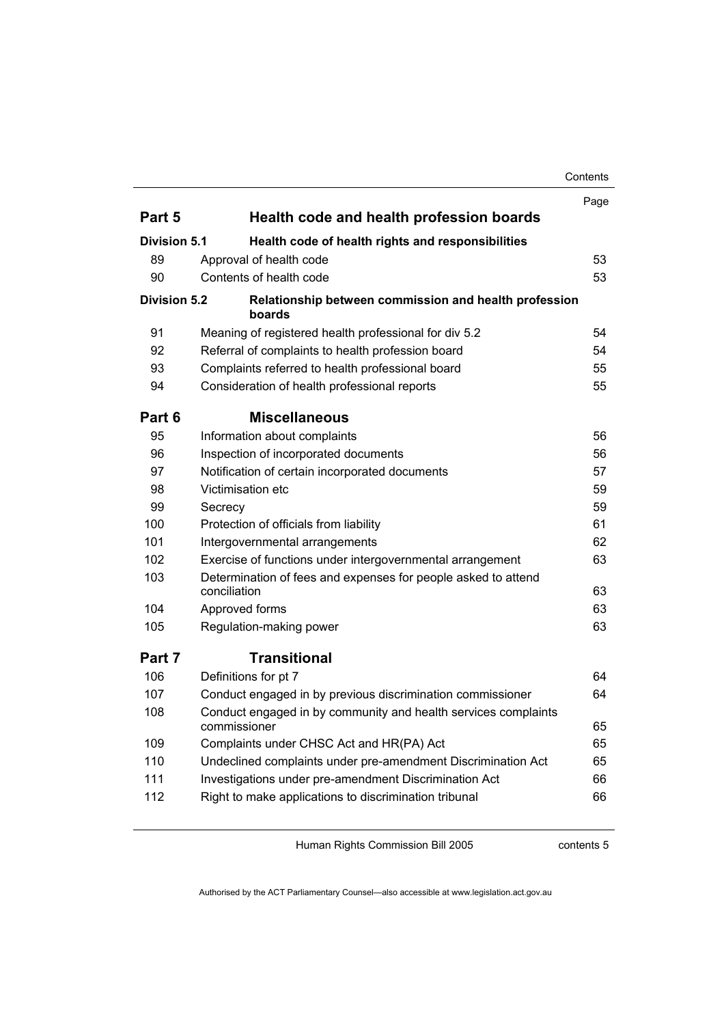|                     |                                                                                | Page |
|---------------------|--------------------------------------------------------------------------------|------|
| Part 5              | Health code and health profession boards                                       |      |
| Division 5.1        | Health code of health rights and responsibilities                              |      |
| 89                  | Approval of health code                                                        | 53   |
| 90                  | Contents of health code                                                        | 53   |
| <b>Division 5.2</b> | Relationship between commission and health profession<br>boards                |      |
| 91                  | Meaning of registered health professional for div 5.2                          | 54   |
| 92                  | Referral of complaints to health profession board                              | 54   |
| 93                  | Complaints referred to health professional board                               | 55   |
| 94                  | Consideration of health professional reports                                   | 55   |
| Part 6              | <b>Miscellaneous</b>                                                           |      |
| 95                  | Information about complaints                                                   | 56   |
| 96                  | Inspection of incorporated documents                                           | 56   |
| 97                  | Notification of certain incorporated documents                                 | 57   |
| 98                  | Victimisation etc                                                              | 59   |
| 99                  | Secrecy                                                                        | 59   |
| 100                 | Protection of officials from liability                                         | 61   |
| 101                 | Intergovernmental arrangements                                                 | 62   |
| 102                 | Exercise of functions under intergovernmental arrangement                      | 63   |
| 103                 | Determination of fees and expenses for people asked to attend<br>conciliation  | 63   |
| 104                 | Approved forms                                                                 | 63   |
| 105                 | Regulation-making power                                                        | 63   |
| Part 7              | <b>Transitional</b>                                                            |      |
| 106                 | Definitions for pt 7                                                           | 64   |
| 107                 | Conduct engaged in by previous discrimination commissioner                     | 64   |
| 108                 | Conduct engaged in by community and health services complaints<br>commissioner | 65   |
| 109                 | Complaints under CHSC Act and HR(PA) Act                                       | 65   |
| 110                 | Undeclined complaints under pre-amendment Discrimination Act                   | 65   |
| 111                 | Investigations under pre-amendment Discrimination Act                          | 66   |
| 112                 | Right to make applications to discrimination tribunal                          | 66   |

Human Rights Commission Bill 2005

contents 5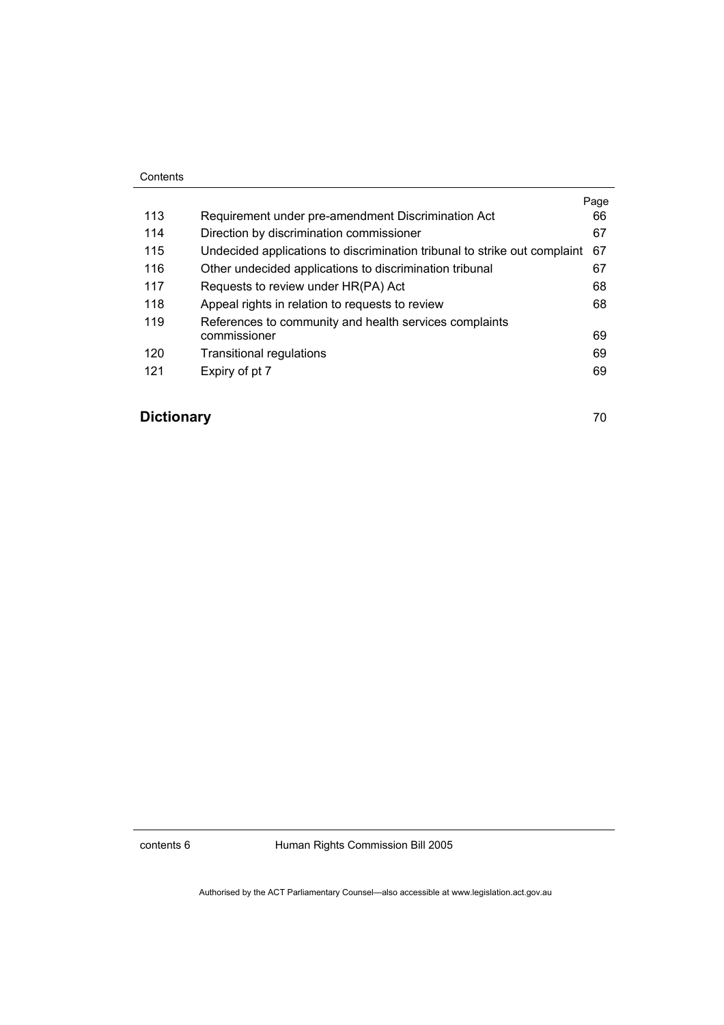|     |                                                                           | Page |
|-----|---------------------------------------------------------------------------|------|
| 113 | Requirement under pre-amendment Discrimination Act                        | 66   |
| 114 | Direction by discrimination commissioner                                  | 67   |
| 115 | Undecided applications to discrimination tribunal to strike out complaint | 67   |
| 116 | Other undecided applications to discrimination tribunal                   | 67   |
| 117 | Requests to review under HR(PA) Act                                       | 68   |
| 118 | Appeal rights in relation to requests to review                           | 68   |
| 119 | References to community and health services complaints                    |      |
|     | commissioner                                                              | 69   |
| 120 | <b>Transitional regulations</b>                                           | 69   |
| 121 | Expiry of pt 7                                                            | 69   |

## **Dictionary** 70

contents 6 Human Rights Commission Bill 2005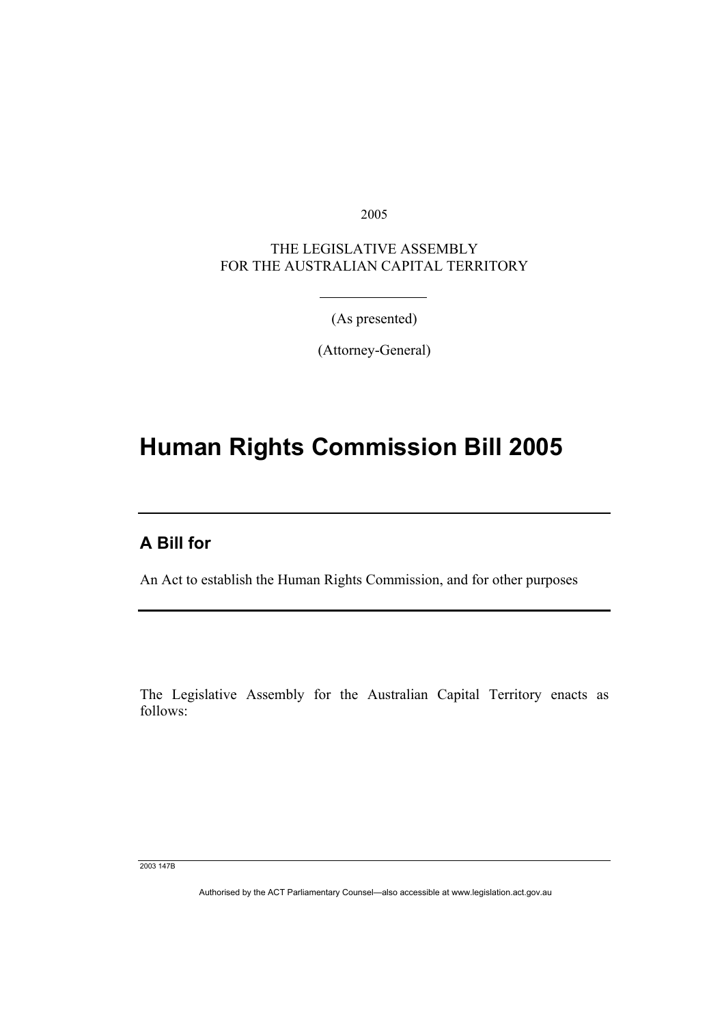2005

THE LEGISLATIVE ASSEMBLY FOR THE AUSTRALIAN CAPITAL TERRITORY

(As presented)

(Attorney-General)

## **Human Rights Commission Bill 2005**

## **A Bill for**

I

An Act to establish the Human Rights Commission, and for other purposes

The Legislative Assembly for the Australian Capital Territory enacts as follows:

2003 147B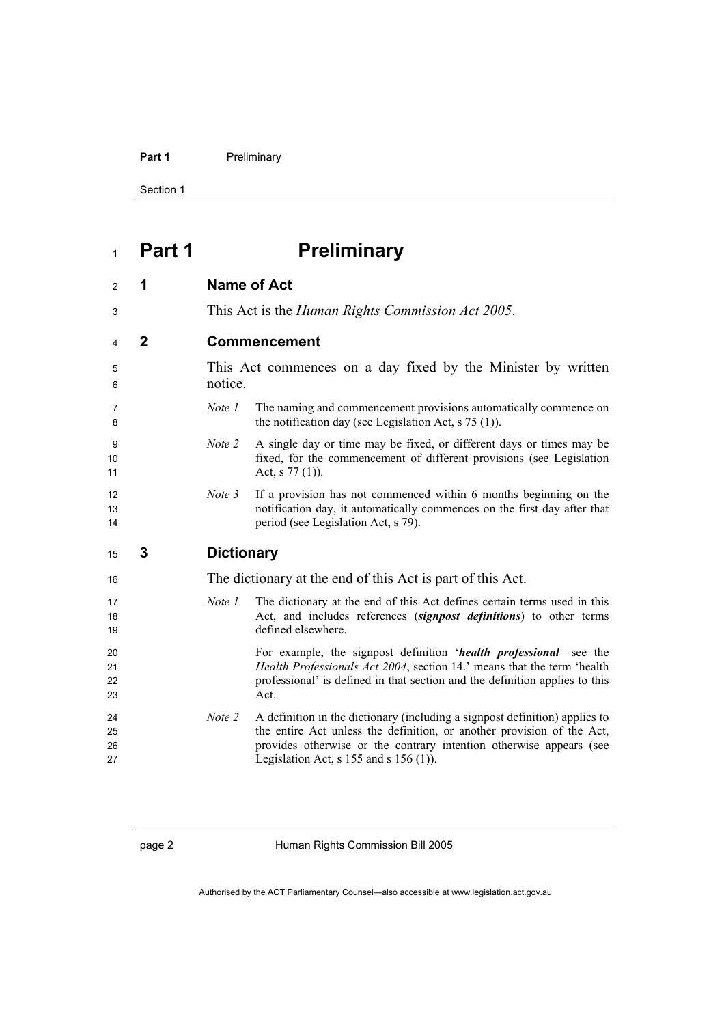#### Part 1 **Preliminary**

Section 1

# **Part 1 Preliminary**

| 2                    | 1            |                   | <b>Name of Act</b>                                                                                                                                                                                                                  |
|----------------------|--------------|-------------------|-------------------------------------------------------------------------------------------------------------------------------------------------------------------------------------------------------------------------------------|
| 3                    |              |                   | This Act is the <i>Human Rights Commission Act 2005</i> .                                                                                                                                                                           |
| 4                    | $\mathbf{2}$ |                   | <b>Commencement</b>                                                                                                                                                                                                                 |
| 5<br>6               |              | notice.           | This Act commences on a day fixed by the Minister by written                                                                                                                                                                        |
| 7<br>8               |              | Note 1            | The naming and commencement provisions automatically commence on<br>the notification day (see Legislation Act, $s$ 75 (1)).                                                                                                         |
| 9<br>10<br>11        |              | Note 2            | A single day or time may be fixed, or different days or times may be<br>fixed, for the commencement of different provisions (see Legislation<br>Act, $s$ 77 (1)).                                                                   |
| 12<br>13<br>14       |              | Note 3            | If a provision has not commenced within 6 months beginning on the<br>notification day, it automatically commences on the first day after that<br>period (see Legislation Act, s 79).                                                |
|                      |              |                   |                                                                                                                                                                                                                                     |
| 15                   | 3            | <b>Dictionary</b> |                                                                                                                                                                                                                                     |
| 16                   |              |                   | The dictionary at the end of this Act is part of this Act.                                                                                                                                                                          |
| 17<br>18<br>19       |              | Note 1            | The dictionary at the end of this Act defines certain terms used in this<br>Act, and includes references (signpost definitions) to other terms<br>defined elsewhere.                                                                |
| 20<br>21<br>22<br>23 |              |                   | For example, the signpost definition 'health professional-see the<br>Health Professionals Act 2004, section 14.' means that the term 'health<br>professional' is defined in that section and the definition applies to this<br>Act. |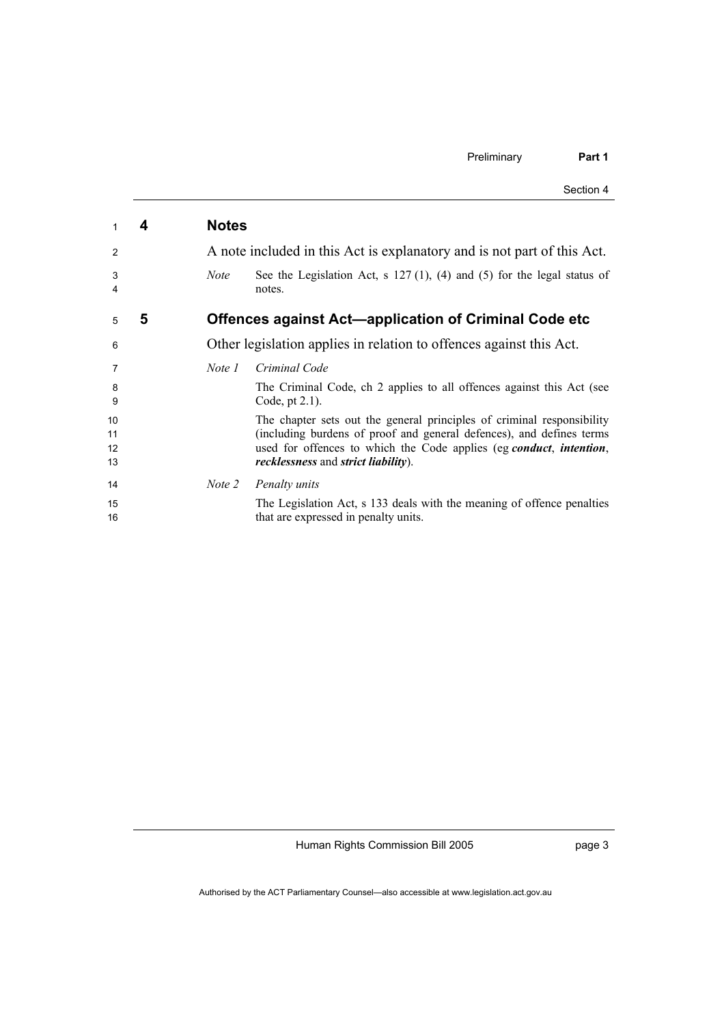|          |   |              | Section 4                                                                                                                                      |
|----------|---|--------------|------------------------------------------------------------------------------------------------------------------------------------------------|
| 1        | 4 | <b>Notes</b> |                                                                                                                                                |
| 2        |   |              | A note included in this Act is explanatory and is not part of this Act.                                                                        |
| 3<br>4   |   | <b>Note</b>  | See the Legislation Act, s $127(1)$ , (4) and (5) for the legal status of<br>notes.                                                            |
| 5        | 5 |              | Offences against Act-application of Criminal Code etc                                                                                          |
| 6        |   |              | Other legislation applies in relation to offences against this Act.                                                                            |
| 7        |   | Note 1       | Criminal Code                                                                                                                                  |
| 8<br>9   |   |              | The Criminal Code, ch 2 applies to all offences against this Act (see<br>Code, pt $2.1$ ).                                                     |
| 10<br>11 |   |              | The chapter sets out the general principles of criminal responsibility<br>(including burdens of proof and general defences), and defines terms |
| 12<br>13 |   |              | used for offences to which the Code applies (eg conduct, intention,<br>recklessness and strict liability).                                     |
| 14       |   | Note 2       | Penalty units                                                                                                                                  |
| 15<br>16 |   |              | The Legislation Act, s 133 deals with the meaning of offence penalties<br>that are expressed in penalty units.                                 |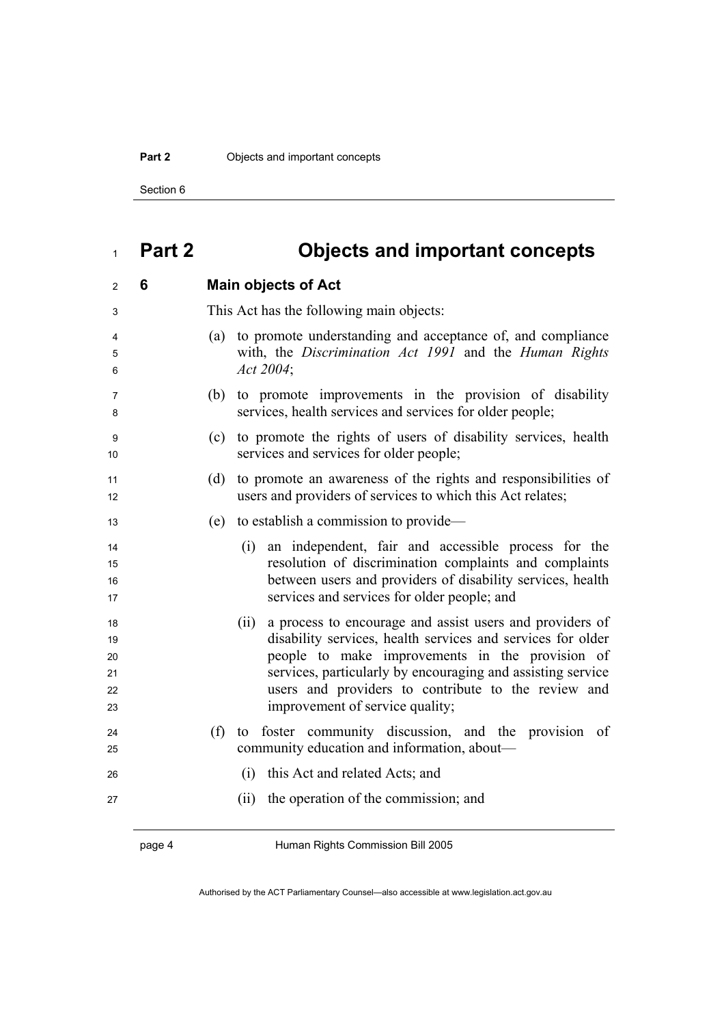#### **Part 2 Objects and important concepts**

Section 6

# **Part 2 Objects and important concepts**

| 6 | <b>Main objects of Act</b>                                                                                                                                                                                                                                                                                                                  |
|---|---------------------------------------------------------------------------------------------------------------------------------------------------------------------------------------------------------------------------------------------------------------------------------------------------------------------------------------------|
|   | This Act has the following main objects:                                                                                                                                                                                                                                                                                                    |
|   | (a) to promote understanding and acceptance of, and compliance<br>with, the Discrimination Act 1991 and the Human Rights<br>Act 2004;                                                                                                                                                                                                       |
|   | to promote improvements in the provision of disability<br>(b)<br>services, health services and services for older people;                                                                                                                                                                                                                   |
|   | to promote the rights of users of disability services, health<br>(c)<br>services and services for older people;                                                                                                                                                                                                                             |
|   | to promote an awareness of the rights and responsibilities of<br>(d)<br>users and providers of services to which this Act relates;                                                                                                                                                                                                          |
|   | to establish a commission to provide—<br>(e)                                                                                                                                                                                                                                                                                                |
|   | an independent, fair and accessible process for the<br>(i)<br>resolution of discrimination complaints and complaints<br>between users and providers of disability services, health<br>services and services for older people; and                                                                                                           |
|   | a process to encourage and assist users and providers of<br>(ii)<br>disability services, health services and services for older<br>people to make improvements in the provision of<br>services, particularly by encouraging and assisting service<br>users and providers to contribute to the review and<br>improvement of service quality; |
|   | (f)<br>foster community discussion, and the provision of<br>to<br>community education and information, about—                                                                                                                                                                                                                               |
|   | this Act and related Acts; and<br>(i)                                                                                                                                                                                                                                                                                                       |
|   | the operation of the commission; and<br>(ii)                                                                                                                                                                                                                                                                                                |
|   |                                                                                                                                                                                                                                                                                                                                             |

page 4 Human Rights Commission Bill 2005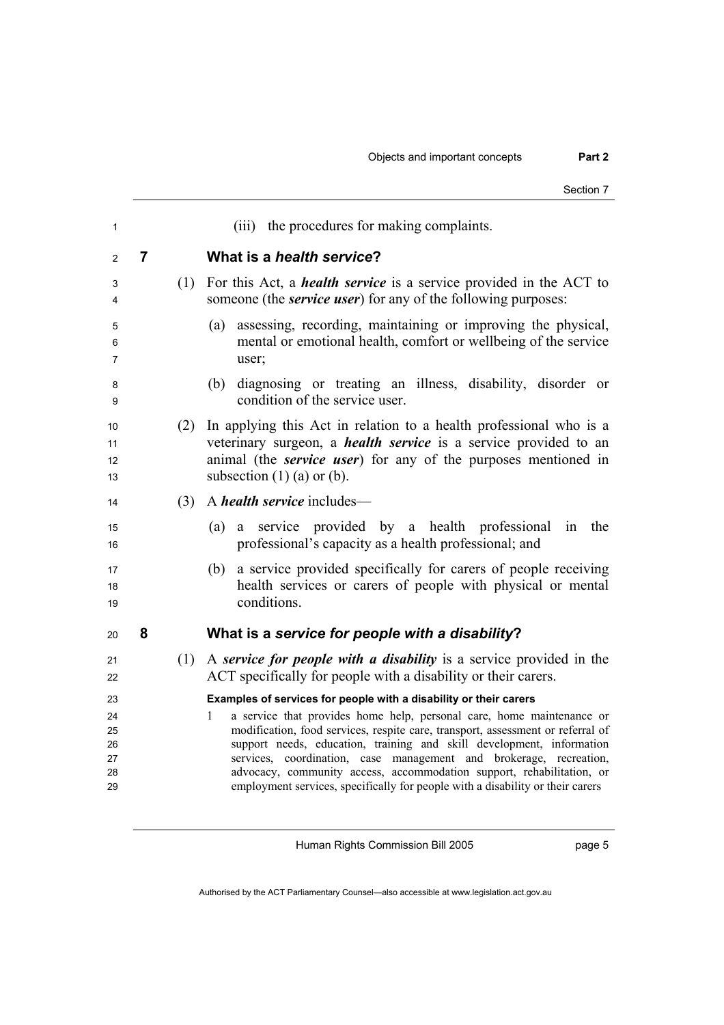|                                  |   |     | Section 7                                                                                                                                                                                                                                                                                                                                                                                                                                                               |
|----------------------------------|---|-----|-------------------------------------------------------------------------------------------------------------------------------------------------------------------------------------------------------------------------------------------------------------------------------------------------------------------------------------------------------------------------------------------------------------------------------------------------------------------------|
| 1                                |   |     | (iii) the procedures for making complaints.                                                                                                                                                                                                                                                                                                                                                                                                                             |
| 2                                | 7 |     | What is a health service?                                                                                                                                                                                                                                                                                                                                                                                                                                               |
| 3<br>4                           |   | (1) | For this Act, a <i>health service</i> is a service provided in the ACT to<br>someone (the <i>service user</i> ) for any of the following purposes:                                                                                                                                                                                                                                                                                                                      |
| 5<br>6<br>7                      |   |     | assessing, recording, maintaining or improving the physical,<br>(a)<br>mental or emotional health, comfort or wellbeing of the service<br>user;                                                                                                                                                                                                                                                                                                                         |
| 8<br>9                           |   |     | diagnosing or treating an illness, disability, disorder or<br>(b)<br>condition of the service user.                                                                                                                                                                                                                                                                                                                                                                     |
| 10<br>11<br>12<br>13             |   | (2) | In applying this Act in relation to a health professional who is a<br>veterinary surgeon, a <i>health service</i> is a service provided to an<br>animal (the <i>service user</i> ) for any of the purposes mentioned in<br>subsection $(1)$ (a) or (b).                                                                                                                                                                                                                 |
| 14                               |   | (3) | A <i>health service</i> includes—                                                                                                                                                                                                                                                                                                                                                                                                                                       |
| 15<br>16                         |   |     | service provided by a health professional<br>the<br>(a)<br>in<br>a<br>professional's capacity as a health professional; and                                                                                                                                                                                                                                                                                                                                             |
| 17<br>18<br>19                   |   |     | a service provided specifically for carers of people receiving<br>(b)<br>health services or carers of people with physical or mental<br>conditions.                                                                                                                                                                                                                                                                                                                     |
| 20                               | 8 |     | What is a service for people with a disability?                                                                                                                                                                                                                                                                                                                                                                                                                         |
| 21<br>22                         |   | (1) | A service for people with a disability is a service provided in the<br>ACT specifically for people with a disability or their carers.                                                                                                                                                                                                                                                                                                                                   |
| 23                               |   |     | Examples of services for people with a disability or their carers                                                                                                                                                                                                                                                                                                                                                                                                       |
| 24<br>25<br>26<br>27<br>28<br>29 |   |     | a service that provides home help, personal care, home maintenance or<br>1<br>modification, food services, respite care, transport, assessment or referral of<br>support needs, education, training and skill development, information<br>services, coordination, case management and brokerage, recreation,<br>advocacy, community access, accommodation support, rehabilitation, or<br>employment services, specifically for people with a disability or their carers |
|                                  |   |     |                                                                                                                                                                                                                                                                                                                                                                                                                                                                         |

page 5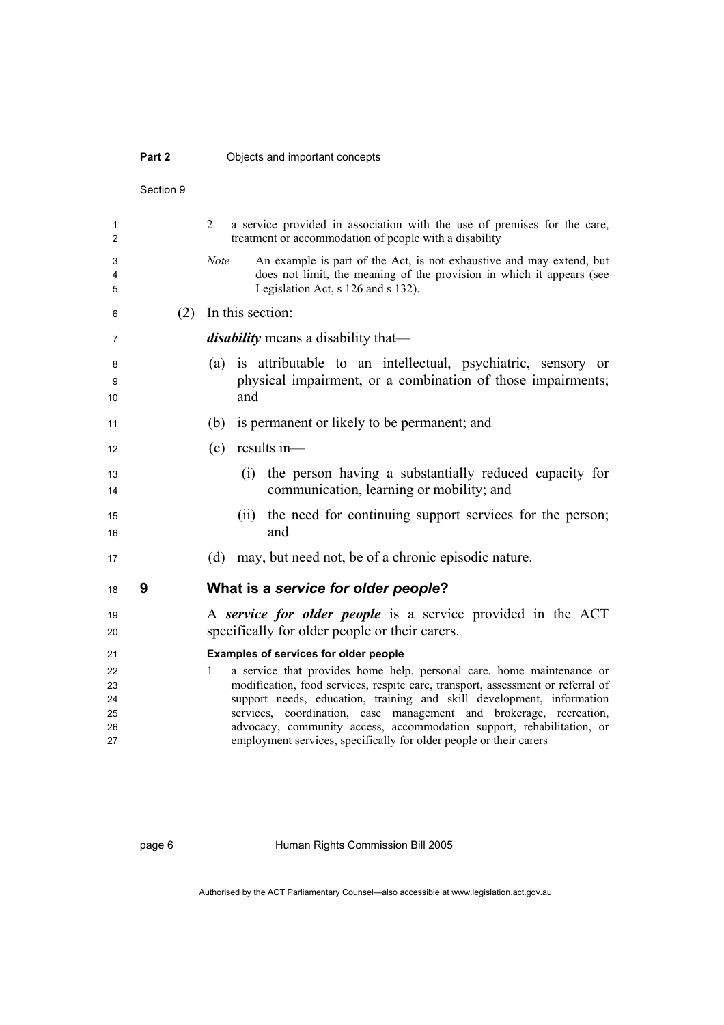### **Part 2 Objects and important concepts**

|              | Section 9 |                                                                                                                                                                                                    |
|--------------|-----------|----------------------------------------------------------------------------------------------------------------------------------------------------------------------------------------------------|
| 1<br>2       |           | 2<br>a service provided in association with the use of premises for the care,<br>treatment or accommodation of people with a disability                                                            |
| 3<br>4<br>5  |           | <b>Note</b><br>An example is part of the Act, is not exhaustive and may extend, but<br>does not limit, the meaning of the provision in which it appears (see<br>Legislation Act, s 126 and s 132). |
| 6            | (2)       | In this section:                                                                                                                                                                                   |
| 7            |           | <i>disability</i> means a disability that—                                                                                                                                                         |
| 8<br>9<br>10 |           | (a) is attributable to an intellectual, psychiatric, sensory or<br>physical impairment, or a combination of those impairments;<br>and                                                              |
| 11           |           | (b)<br>is permanent or likely to be permanent; and                                                                                                                                                 |
| 12           |           | results in-<br>(c)                                                                                                                                                                                 |
| 13<br>14     |           | the person having a substantially reduced capacity for<br>(i)<br>communication, learning or mobility; and                                                                                          |
| 15<br>16     |           | the need for continuing support services for the person;<br>(ii)<br>and                                                                                                                            |
| 17           |           | (d)<br>may, but need not, be of a chronic episodic nature.                                                                                                                                         |
| 18           | 9         | What is a service for older people?                                                                                                                                                                |
| 19           |           | A service for older people is a service provided in the ACT                                                                                                                                        |
| 20           |           | specifically for older people or their carers.                                                                                                                                                     |
| 21<br>22     |           | Examples of services for older people<br>a service that provides home help, personal care, home maintenance or<br>$\mathbf{1}$                                                                     |
| 23           |           | modification, food services, respite care, transport, assessment or referral of                                                                                                                    |
| 24           |           | support needs, education, training and skill development, information                                                                                                                              |
| 25<br>26     |           | services, coordination, case management and brokerage, recreation,<br>advocacy, community access, accommodation support, rehabilitation, or                                                        |
| 27           |           | employment services, specifically for older people or their carers                                                                                                                                 |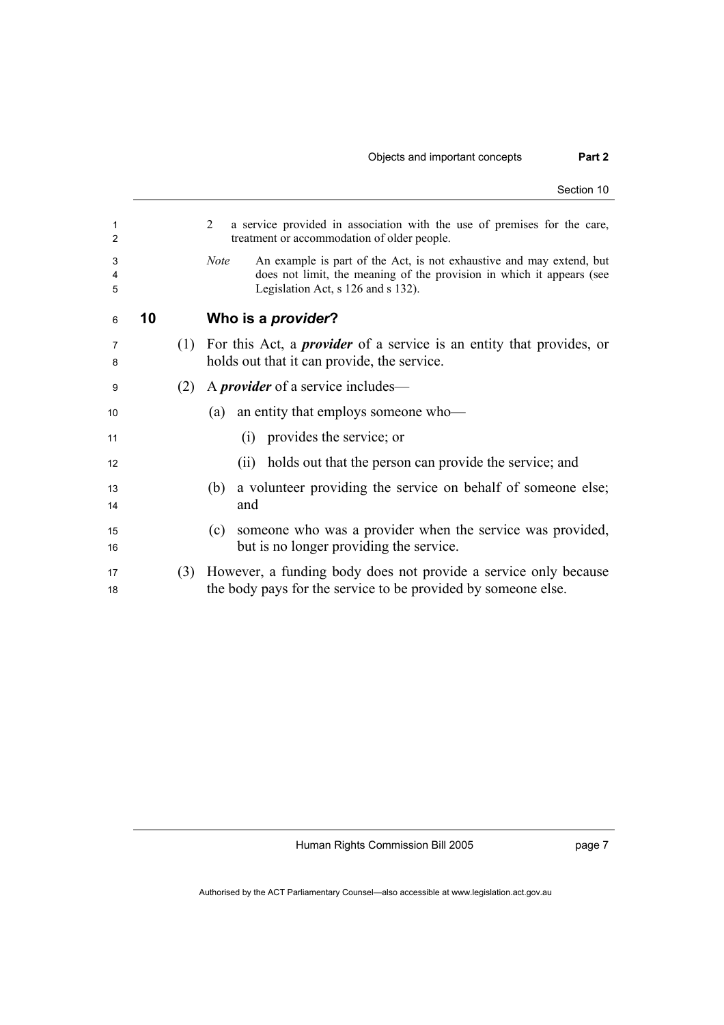|             |    |     | Section 10                                                                                                                                                                                         |
|-------------|----|-----|----------------------------------------------------------------------------------------------------------------------------------------------------------------------------------------------------|
| 1<br>2      |    |     | 2<br>a service provided in association with the use of premises for the care,<br>treatment or accommodation of older people.                                                                       |
| 3<br>4<br>5 |    |     | An example is part of the Act, is not exhaustive and may extend, but<br><b>Note</b><br>does not limit, the meaning of the provision in which it appears (see<br>Legislation Act, s 126 and s 132). |
| 6           | 10 |     | Who is a <i>provider</i> ?                                                                                                                                                                         |
| 7<br>8      |    | (1) | For this Act, a <i>provider</i> of a service is an entity that provides, or<br>holds out that it can provide, the service.                                                                         |
| 9           |    | (2) | A <i>provider</i> of a service includes—                                                                                                                                                           |
| 10          |    |     | an entity that employs someone who—<br>(a)                                                                                                                                                         |
| 11          |    |     | provides the service; or<br>(1)                                                                                                                                                                    |
| 12          |    |     | holds out that the person can provide the service; and<br>(i)                                                                                                                                      |
| 13<br>14    |    |     | a volunteer providing the service on behalf of someone else;<br>(b)<br>and                                                                                                                         |
| 15<br>16    |    |     | someone who was a provider when the service was provided,<br>(c)<br>but is no longer providing the service.                                                                                        |
| 17<br>18    |    | (3) | However, a funding body does not provide a service only because<br>the body pays for the service to be provided by someone else.                                                                   |

page 7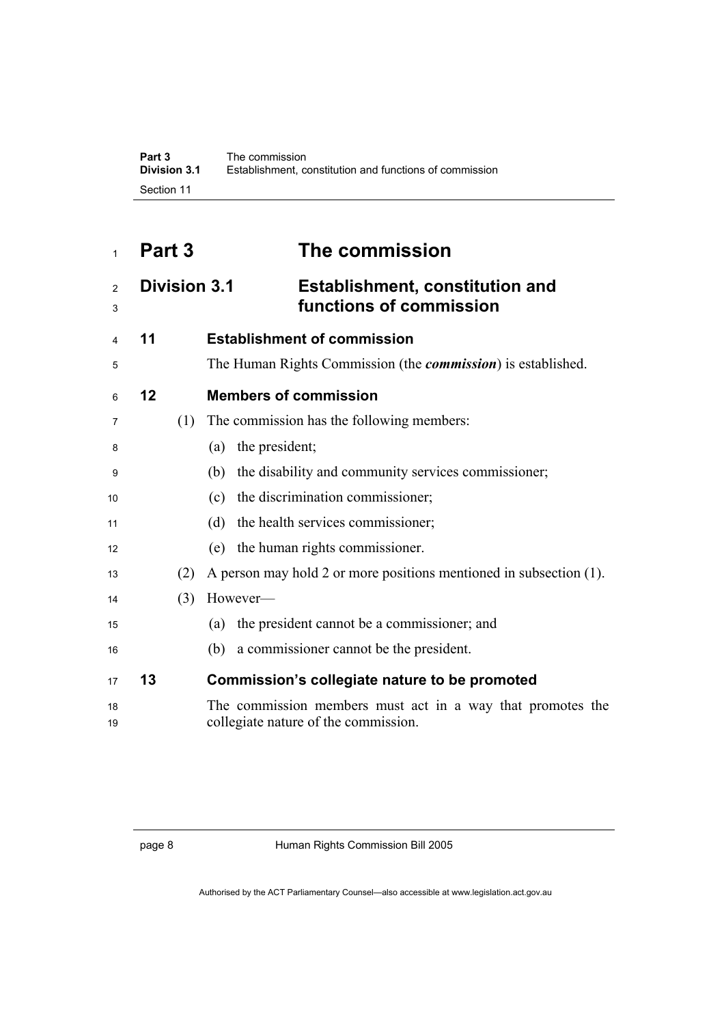## **Part 3 The commission**

### **Division 3.1 Establishment, constitution and functions of commission**

| 4              | 11 |     | <b>Establishment of commission</b>                                                                 |
|----------------|----|-----|----------------------------------------------------------------------------------------------------|
| 5              |    |     | The Human Rights Commission (the <i>commission</i> ) is established.                               |
| 6              | 12 |     | <b>Members of commission</b>                                                                       |
| $\overline{7}$ |    | (1) | The commission has the following members:                                                          |
| 8              |    |     | the president;<br>(a)                                                                              |
| 9              |    |     | (b) the disability and community services commissioner;                                            |
| 10             |    |     | (c) the discrimination commissioner;                                                               |
| 11             |    |     | the health services commissioner;<br>(d)                                                           |
| 12             |    |     | (e) the human rights commissioner.                                                                 |
| 13             |    | (2) | A person may hold 2 or more positions mentioned in subsection (1).                                 |
| 14             |    | (3) | However-                                                                                           |
| 15             |    |     | the president cannot be a commissioner; and<br>(a)                                                 |
| 16             |    |     | (b) a commissioner cannot be the president.                                                        |
| 17             | 13 |     | Commission's collegiate nature to be promoted                                                      |
| 18<br>19       |    |     | The commission members must act in a way that promotes the<br>collegiate nature of the commission. |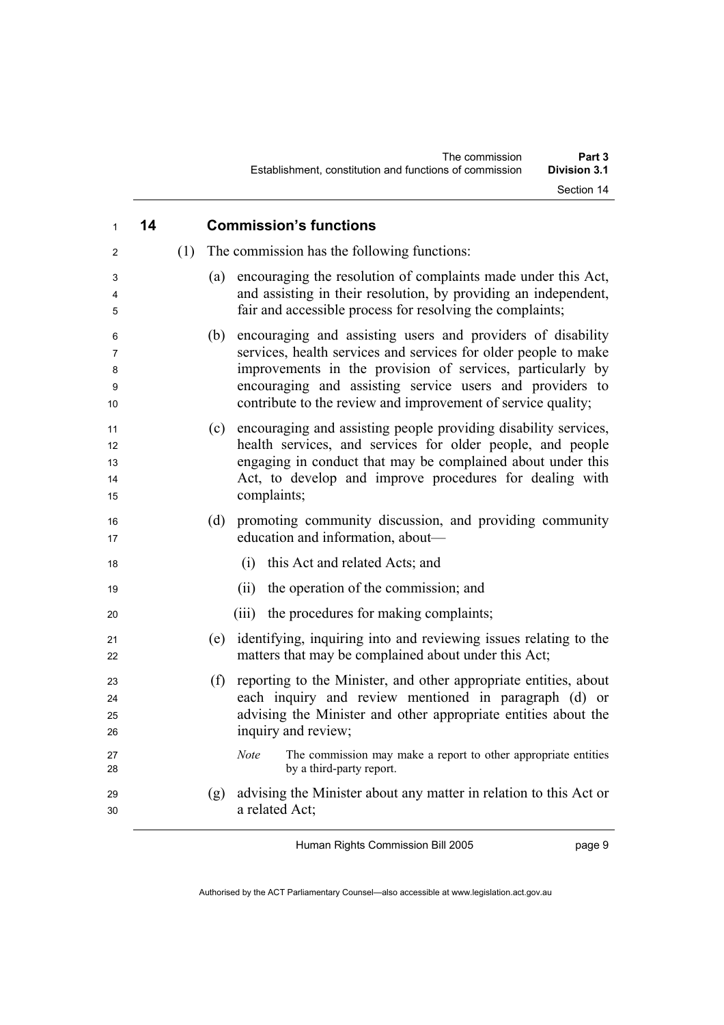| $\mathbf{1}$               | 14 |     | <b>Commission's functions</b>                                                                                                                                                                                                                                                                                                   |
|----------------------------|----|-----|---------------------------------------------------------------------------------------------------------------------------------------------------------------------------------------------------------------------------------------------------------------------------------------------------------------------------------|
| 2                          |    | (1) | The commission has the following functions:                                                                                                                                                                                                                                                                                     |
| 3<br>4<br>5                |    |     | encouraging the resolution of complaints made under this Act,<br>(a)<br>and assisting in their resolution, by providing an independent,<br>fair and accessible process for resolving the complaints;                                                                                                                            |
| 6<br>7<br>8<br>9<br>10     |    |     | encouraging and assisting users and providers of disability<br>(b)<br>services, health services and services for older people to make<br>improvements in the provision of services, particularly by<br>encouraging and assisting service users and providers to<br>contribute to the review and improvement of service quality; |
| 11<br>12<br>13<br>14<br>15 |    |     | encouraging and assisting people providing disability services,<br>(c)<br>health services, and services for older people, and people<br>engaging in conduct that may be complained about under this<br>Act, to develop and improve procedures for dealing with<br>complaints;                                                   |
| 16<br>17                   |    |     | promoting community discussion, and providing community<br>(d)<br>education and information, about—                                                                                                                                                                                                                             |
| 18                         |    |     | this Act and related Acts; and<br>(i)                                                                                                                                                                                                                                                                                           |
| 19                         |    |     | the operation of the commission; and<br>(ii)                                                                                                                                                                                                                                                                                    |
| 20                         |    |     | the procedures for making complaints;<br>(iii)                                                                                                                                                                                                                                                                                  |
| 21<br>22                   |    |     | identifying, inquiring into and reviewing issues relating to the<br>(e)<br>matters that may be complained about under this Act;                                                                                                                                                                                                 |
| 23<br>24<br>25<br>26       |    |     | reporting to the Minister, and other appropriate entities, about<br>(f)<br>each inquiry and review mentioned in paragraph (d) or<br>advising the Minister and other appropriate entities about the<br>inquiry and review;                                                                                                       |
| 27<br>28                   |    |     | The commission may make a report to other appropriate entities<br><b>Note</b><br>by a third-party report.                                                                                                                                                                                                                       |
| 29<br>30                   |    |     | advising the Minister about any matter in relation to this Act or<br>(g)<br>a related Act;                                                                                                                                                                                                                                      |

page 9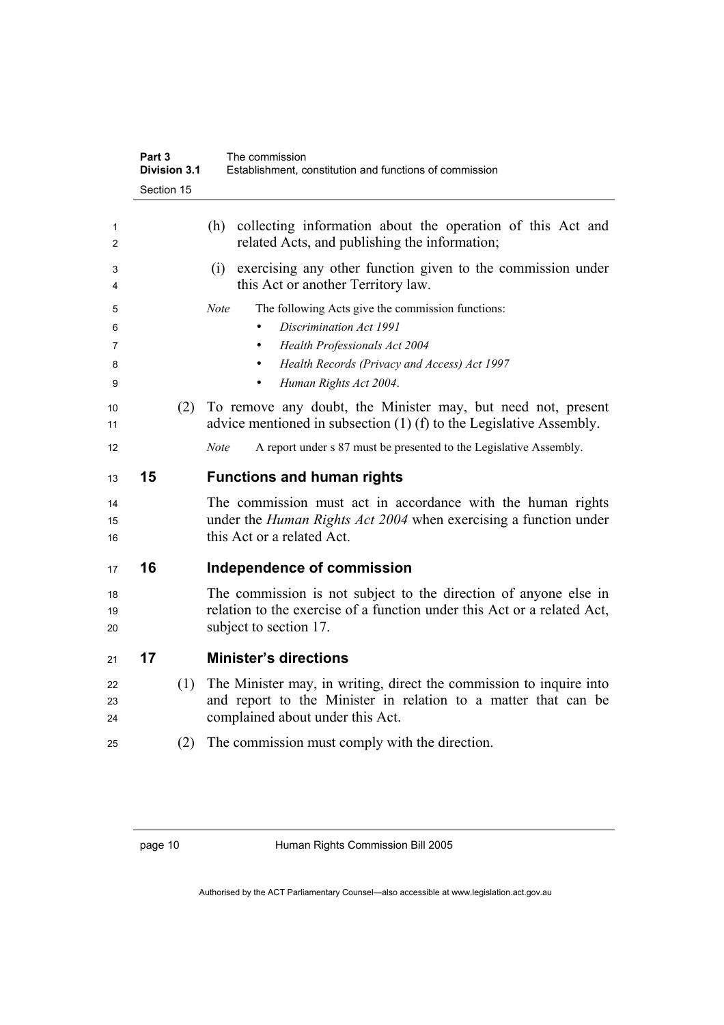|                | Part 3<br><b>Division 3.1</b> | The commission<br>Establishment, constitution and functions of commission                                                                                                 |
|----------------|-------------------------------|---------------------------------------------------------------------------------------------------------------------------------------------------------------------------|
|                | Section 15                    |                                                                                                                                                                           |
| 1<br>2         |                               | collecting information about the operation of this Act and<br>(h)<br>related Acts, and publishing the information;                                                        |
| 3<br>4         |                               | exercising any other function given to the commission under<br>(i)<br>this Act or another Territory law.                                                                  |
| 5<br>6         |                               | The following Acts give the commission functions:<br><b>Note</b><br>Discrimination Act 1991                                                                               |
| 7<br>8         |                               | Health Professionals Act 2004<br>Health Records (Privacy and Access) Act 1997<br>$\bullet$                                                                                |
| 9              |                               | Human Rights Act 2004.<br>$\bullet$                                                                                                                                       |
| 10<br>11       | (2)                           | To remove any doubt, the Minister may, but need not, present<br>advice mentioned in subsection $(1)$ (f) to the Legislative Assembly.                                     |
| 12             |                               | A report under s 87 must be presented to the Legislative Assembly.<br><b>Note</b>                                                                                         |
| 13             | 15                            | <b>Functions and human rights</b>                                                                                                                                         |
|                |                               |                                                                                                                                                                           |
| 14<br>15<br>16 |                               | The commission must act in accordance with the human rights<br>under the <i>Human Rights Act 2004</i> when exercising a function under<br>this Act or a related Act.      |
| 17             | 16                            | Independence of commission                                                                                                                                                |
| 18<br>19<br>20 |                               | The commission is not subject to the direction of anyone else in<br>relation to the exercise of a function under this Act or a related Act,<br>subject to section 17.     |
| 21             | 17                            | <b>Minister's directions</b>                                                                                                                                              |
| 22<br>23<br>24 | (1)                           | The Minister may, in writing, direct the commission to inquire into<br>and report to the Minister in relation to a matter that can be<br>complained about under this Act. |
| 25             | (2)                           | The commission must comply with the direction.                                                                                                                            |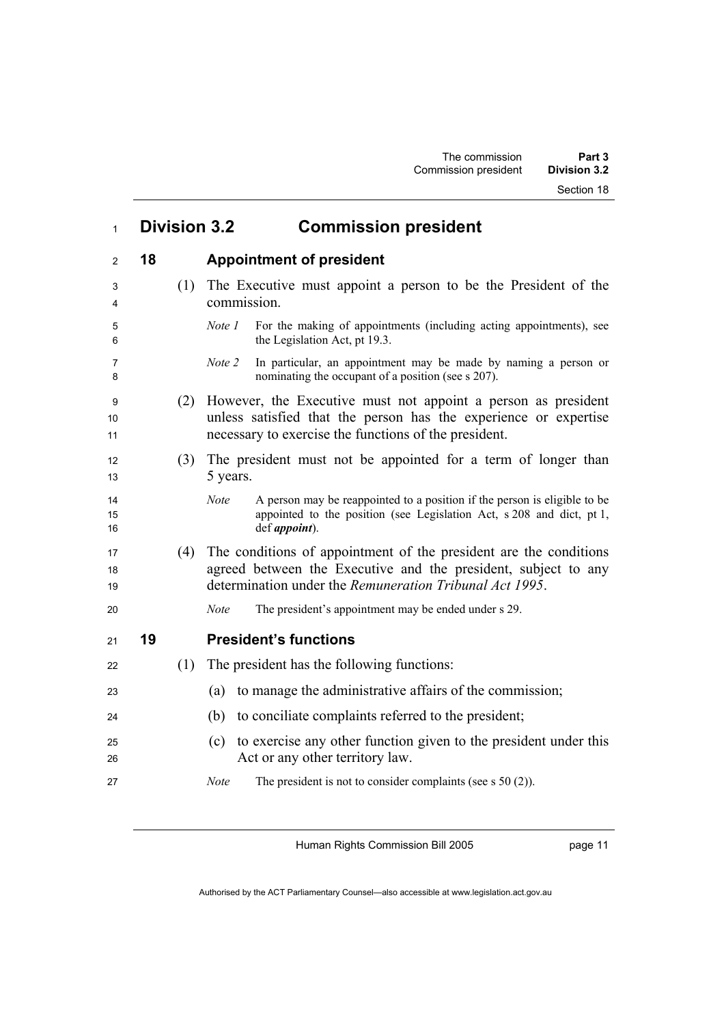Section 18

| $\mathbf{1}$   | <b>Division 3.2</b> | <b>Commission president</b>                                                                                                                                                                    |
|----------------|---------------------|------------------------------------------------------------------------------------------------------------------------------------------------------------------------------------------------|
| 2              | 18                  | <b>Appointment of president</b>                                                                                                                                                                |
| 3<br>4         | (1)                 | The Executive must appoint a person to be the President of the<br>commission.                                                                                                                  |
| 5<br>6         |                     | For the making of appointments (including acting appointments), see<br>Note 1<br>the Legislation Act, pt 19.3.                                                                                 |
| 7<br>8         |                     | In particular, an appointment may be made by naming a person or<br>Note 2<br>nominating the occupant of a position (see s 207).                                                                |
| 9<br>10<br>11  | (2)                 | However, the Executive must not appoint a person as president<br>unless satisfied that the person has the experience or expertise<br>necessary to exercise the functions of the president.     |
| 12<br>13       | (3)                 | The president must not be appointed for a term of longer than<br>5 years.                                                                                                                      |
| 14<br>15<br>16 |                     | A person may be reappointed to a position if the person is eligible to be<br><b>Note</b><br>appointed to the position (see Legislation Act, s 208 and dict, pt 1,<br>def <i>appoint</i> ).     |
| 17<br>18<br>19 | (4)                 | The conditions of appointment of the president are the conditions<br>agreed between the Executive and the president, subject to any<br>determination under the Remuneration Tribunal Act 1995. |
| 20             |                     | <b>Note</b><br>The president's appointment may be ended under s 29.                                                                                                                            |
| 21             | 19                  | <b>President's functions</b>                                                                                                                                                                   |
| 22             | (1)                 | The president has the following functions:                                                                                                                                                     |
| 23             |                     | to manage the administrative affairs of the commission;<br>(a)                                                                                                                                 |
| 24             |                     | to conciliate complaints referred to the president;<br>(b)                                                                                                                                     |
| 25<br>26       |                     | to exercise any other function given to the president under this<br>(c)<br>Act or any other territory law.                                                                                     |
| 27             |                     | <b>Note</b><br>The president is not to consider complaints (see $s$ 50 (2)).                                                                                                                   |

Human Rights Commission Bill 2005

page 11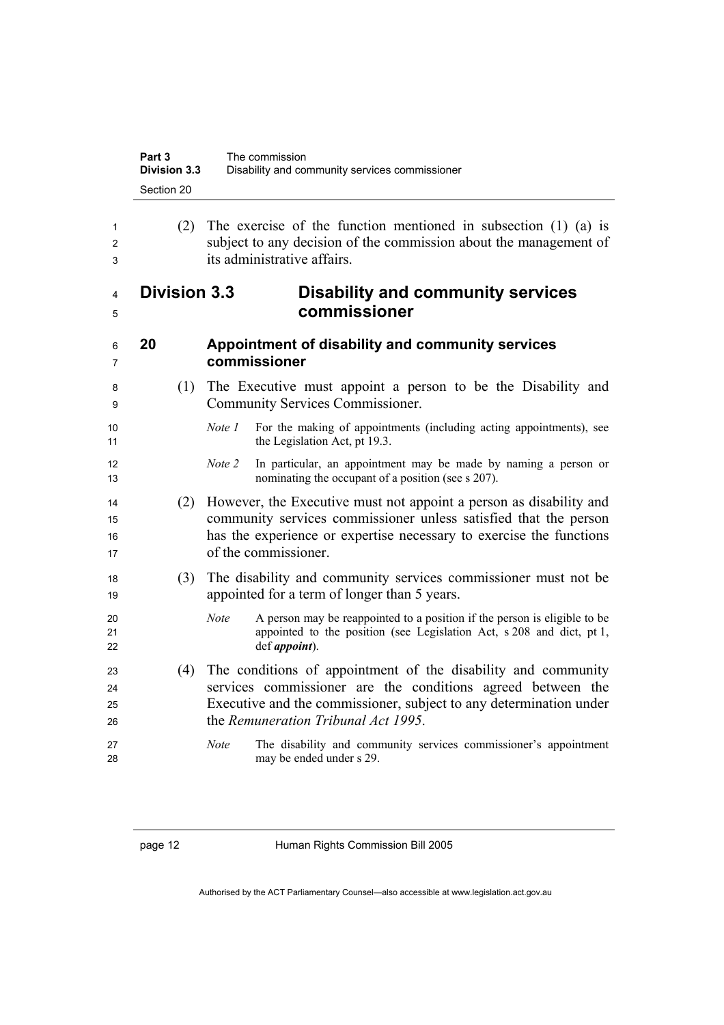| Part 3              | The commission                                 |
|---------------------|------------------------------------------------|
| <b>Division 3.3</b> | Disability and community services commissioner |
| Section 20          |                                                |

### **Division 3.3 Disability and community services commissioner**

| 20 | Appointment of disability and community services |
|----|--------------------------------------------------|
|    | commissioner                                     |

- (1) The Executive must appoint a person to be the Disability and Community Services Commissioner.
- *Note 1* For the making of appointments (including acting appointments), see 11 the Legislation Act, pt 19.3.
- *Note 2* In particular, an appointment may be made by naming a person or 13 nominating the occupant of a position (see s 207).
- (2) However, the Executive must not appoint a person as disability and community services commissioner unless satisfied that the person has the experience or expertise necessary to exercise the functions 17 of the commissioner.
- (3) The disability and community services commissioner must not be appointed for a term of longer than 5 years.
- *Note* A person may be reappointed to a position if the person is eligible to be 21 appointed to the position (see Legislation Act, s 208 and dict, pt 1, def *appoint*).
- (4) The conditions of appointment of the disability and community services commissioner are the conditions agreed between the Executive and the commissioner, subject to any determination under 26 the *Remuneration Tribunal Act 1995*.
- *Note* The disability and community services commissioner's appointment may be ended under s 29.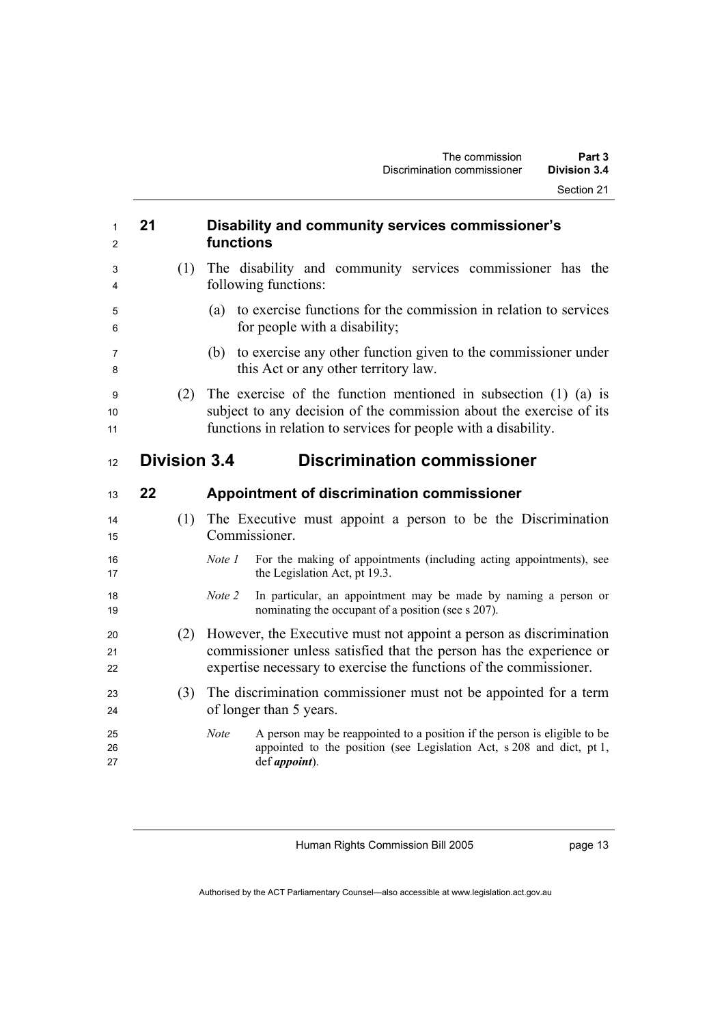| 1<br>2         | 21                  | Disability and community services commissioner's<br>functions                                                                                                                                                   |
|----------------|---------------------|-----------------------------------------------------------------------------------------------------------------------------------------------------------------------------------------------------------------|
| 3<br>4         | (1)                 | The disability and community services commissioner has the<br>following functions:                                                                                                                              |
| 5<br>6         |                     | to exercise functions for the commission in relation to services<br>(a)<br>for people with a disability;                                                                                                        |
| 7<br>8         |                     | (b) to exercise any other function given to the commissioner under<br>this Act or any other territory law.                                                                                                      |
| 9<br>10<br>11  | (2)                 | The exercise of the function mentioned in subsection $(1)$ $(a)$ is<br>subject to any decision of the commission about the exercise of its<br>functions in relation to services for people with a disability.   |
| 12             | <b>Division 3.4</b> | <b>Discrimination commissioner</b>                                                                                                                                                                              |
| 13             | 22                  | Appointment of discrimination commissioner                                                                                                                                                                      |
|                |                     |                                                                                                                                                                                                                 |
| 14<br>15       | (1)                 | The Executive must appoint a person to be the Discrimination<br>Commissioner.                                                                                                                                   |
| 16<br>17       |                     | Note 1<br>For the making of appointments (including acting appointments), see<br>the Legislation Act, pt 19.3.                                                                                                  |
| 18<br>19       |                     | In particular, an appointment may be made by naming a person or<br>Note 2<br>nominating the occupant of a position (see s 207).                                                                                 |
| 20<br>21<br>22 | (2)                 | However, the Executive must not appoint a person as discrimination<br>commissioner unless satisfied that the person has the experience or<br>expertise necessary to exercise the functions of the commissioner. |
| 23<br>24       | (3)                 | The discrimination commissioner must not be appointed for a term<br>of longer than 5 years.                                                                                                                     |

page 13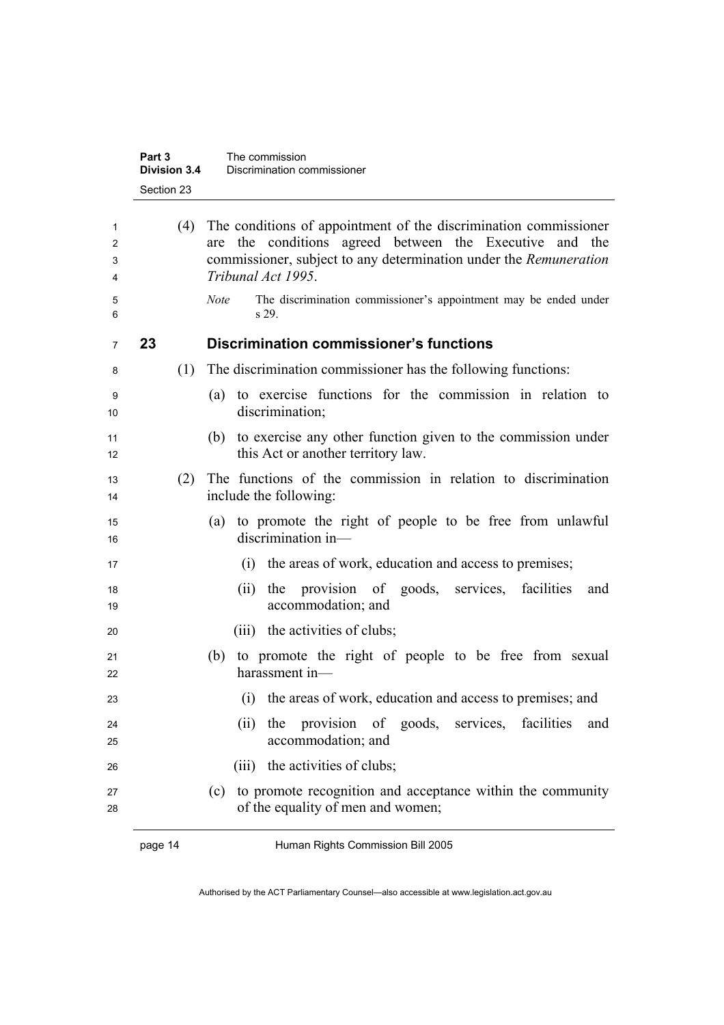|                  | Part 3<br><b>Division 3.4</b><br>Section 23 | The commission<br>Discrimination commissioner                                                                                                                                                                                   |
|------------------|---------------------------------------------|---------------------------------------------------------------------------------------------------------------------------------------------------------------------------------------------------------------------------------|
| 1<br>2<br>3<br>4 | (4)                                         | The conditions of appointment of the discrimination commissioner<br>the conditions agreed between the Executive<br>and<br>the<br>are<br>commissioner, subject to any determination under the Remuneration<br>Tribunal Act 1995. |
| 5<br>6           |                                             | The discrimination commissioner's appointment may be ended under<br><b>Note</b><br>s 29.                                                                                                                                        |
| 7                | 23                                          | <b>Discrimination commissioner's functions</b>                                                                                                                                                                                  |
| 8                | (1)                                         | The discrimination commissioner has the following functions:                                                                                                                                                                    |
| 9<br>10          |                                             | to exercise functions for the commission in relation to<br>(a)<br>discrimination;                                                                                                                                               |
| 11<br>12         |                                             | (b) to exercise any other function given to the commission under<br>this Act or another territory law.                                                                                                                          |
| 13<br>14         | (2)                                         | The functions of the commission in relation to discrimination<br>include the following:                                                                                                                                         |
| 15<br>16         |                                             | to promote the right of people to be free from unlawful<br>(a)<br>discrimination in-                                                                                                                                            |
| 17               |                                             | the areas of work, education and access to premises;<br>(i)                                                                                                                                                                     |
| 18<br>19         |                                             | provision of goods, services, facilities<br>(ii)<br>the<br>and<br>accommodation; and                                                                                                                                            |
| 20               |                                             | (iii) the activities of clubs;                                                                                                                                                                                                  |
| 21<br>22         |                                             | to promote the right of people to be free from sexual<br>(b)<br>harassment in-                                                                                                                                                  |
| 23               |                                             | (i) the areas of work, education and access to premises; and                                                                                                                                                                    |
| 24<br>25         |                                             | provision of goods, services, facilities<br>the<br>(ii)<br>and<br>accommodation; and                                                                                                                                            |
| 26               |                                             | (iii) the activities of clubs;                                                                                                                                                                                                  |
| 27<br>28         |                                             | to promote recognition and acceptance within the community<br>(c)<br>of the equality of men and women;                                                                                                                          |
|                  | page 14                                     | Human Rights Commission Bill 2005                                                                                                                                                                                               |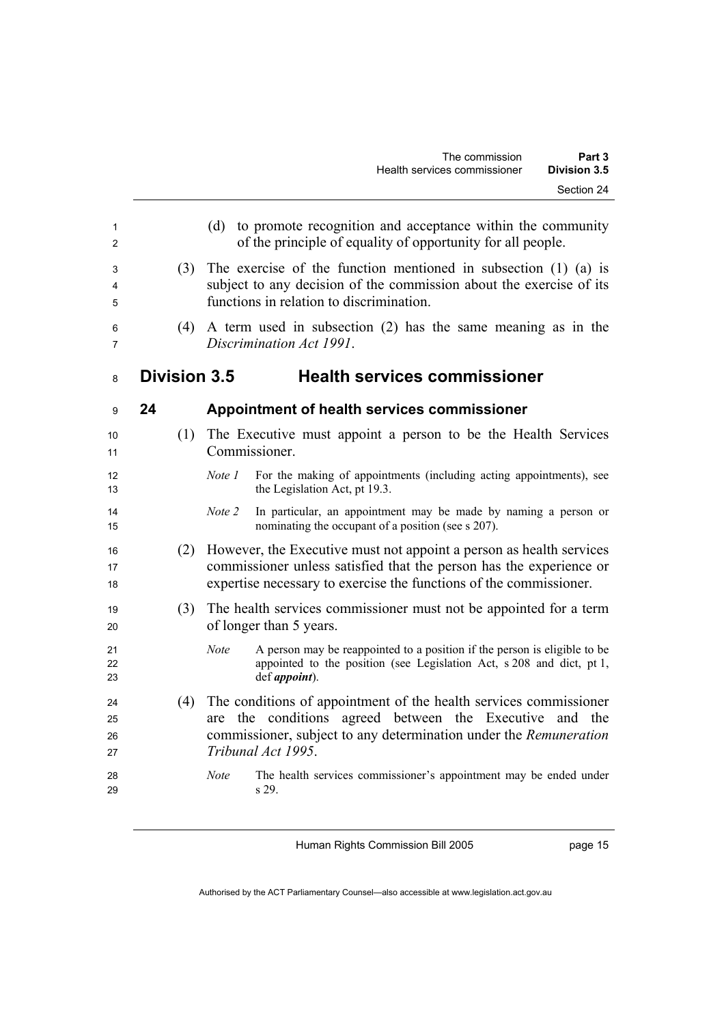| 1<br>2<br>3<br>4<br>5 | (3)                 | (d) to promote recognition and acceptance within the community<br>of the principle of equality of opportunity for all people.<br>The exercise of the function mentioned in subsection $(1)$ $(a)$ is<br>subject to any decision of the commission about the exercise of its<br>functions in relation to discrimination. |
|-----------------------|---------------------|-------------------------------------------------------------------------------------------------------------------------------------------------------------------------------------------------------------------------------------------------------------------------------------------------------------------------|
| 6<br>7                | (4)                 | A term used in subsection $(2)$ has the same meaning as in the<br>Discrimination Act 1991.                                                                                                                                                                                                                              |
| 8                     | <b>Division 3.5</b> | <b>Health services commissioner</b>                                                                                                                                                                                                                                                                                     |
| 9                     | 24                  | <b>Appointment of health services commissioner</b>                                                                                                                                                                                                                                                                      |
| 10<br>11              | (1)                 | The Executive must appoint a person to be the Health Services<br>Commissioner.                                                                                                                                                                                                                                          |
| 12<br>13              |                     | For the making of appointments (including acting appointments), see<br>Note 1<br>the Legislation Act, pt 19.3.                                                                                                                                                                                                          |
| 14<br>15              |                     | Note 2<br>In particular, an appointment may be made by naming a person or<br>nominating the occupant of a position (see s 207).                                                                                                                                                                                         |
| 16<br>17<br>18        | (2)                 | However, the Executive must not appoint a person as health services<br>commissioner unless satisfied that the person has the experience or<br>expertise necessary to exercise the functions of the commissioner.                                                                                                        |
| 19<br>20              | (3)                 | The health services commissioner must not be appointed for a term<br>of longer than 5 years.                                                                                                                                                                                                                            |
| 21<br>22<br>23        |                     | A person may be reappointed to a position if the person is eligible to be<br><b>Note</b><br>appointed to the position (see Legislation Act, s 208 and dict, pt 1,<br>def <i>appoint</i> ).                                                                                                                              |
| 24<br>25<br>26<br>27  | (4)                 | The conditions of appointment of the health services commissioner<br>conditions agreed between the Executive and the<br>the<br>are<br>commissioner, subject to any determination under the Remuneration<br>Tribunal Act 1995.                                                                                           |
| 28<br>29              |                     | Note<br>The health services commissioner's appointment may be ended under<br>s 29.                                                                                                                                                                                                                                      |

page 15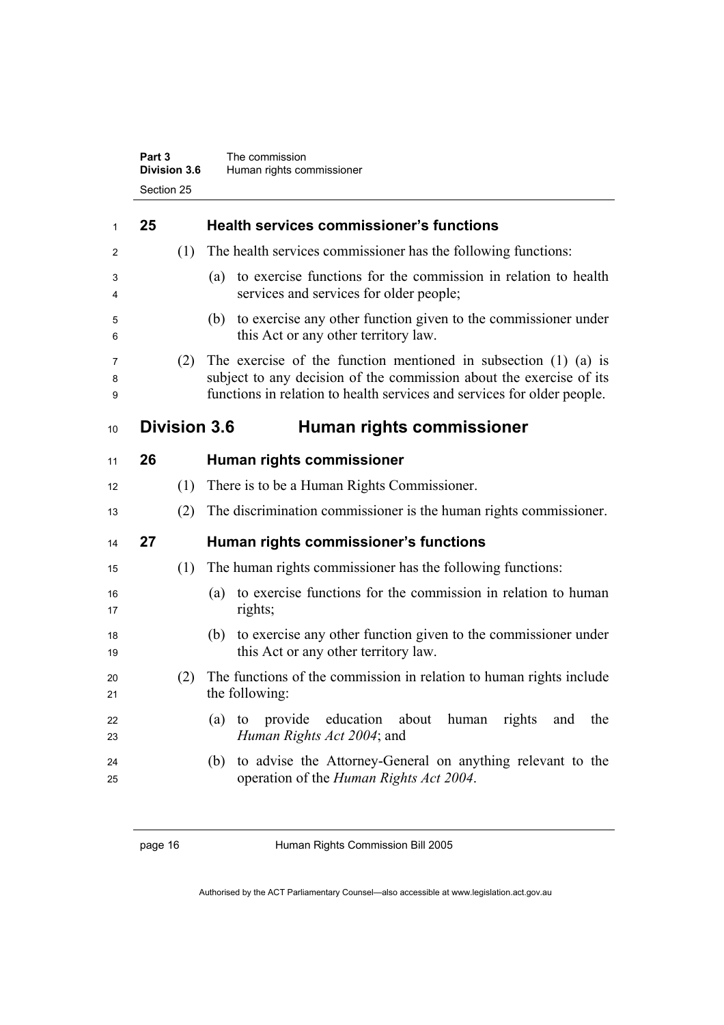### **Part 3** The commission **Division 3.6** Human rights commissioner Section 25

| 25 |     | <b>Health services commissioner's functions</b>                                                                                                                                                                       |
|----|-----|-----------------------------------------------------------------------------------------------------------------------------------------------------------------------------------------------------------------------|
|    | (1) | The health services commissioner has the following functions:                                                                                                                                                         |
|    |     | (a) to exercise functions for the commission in relation to health<br>services and services for older people;                                                                                                         |
|    |     | (b) to exercise any other function given to the commissioner under<br>this Act or any other territory law.                                                                                                            |
|    | (2) | The exercise of the function mentioned in subsection $(1)$ $(a)$ is<br>subject to any decision of the commission about the exercise of its<br>functions in relation to health services and services for older people. |
|    |     | Human rights commissioner                                                                                                                                                                                             |
| 26 |     | Human rights commissioner                                                                                                                                                                                             |
|    | (1) | There is to be a Human Rights Commissioner.                                                                                                                                                                           |
|    | (2) | The discrimination commissioner is the human rights commissioner.                                                                                                                                                     |
| 27 |     | Human rights commissioner's functions                                                                                                                                                                                 |
|    | (1) | The human rights commissioner has the following functions:                                                                                                                                                            |
|    |     | (a) to exercise functions for the commission in relation to human<br>rights;                                                                                                                                          |
|    |     | (b) to exercise any other function given to the commissioner under<br>this Act or any other territory law.                                                                                                            |
|    | (2) | The functions of the commission in relation to human rights include<br>the following:                                                                                                                                 |
|    |     | provide<br>education<br>about<br>rights<br>$(a)$ to<br>human<br>and<br>the<br>Human Rights Act 2004; and                                                                                                              |
|    |     | to advise the Attorney-General on anything relevant to the<br>(b)<br>operation of the <i>Human Rights Act 2004</i> .                                                                                                  |
|    |     | <b>Division 3.6</b>                                                                                                                                                                                                   |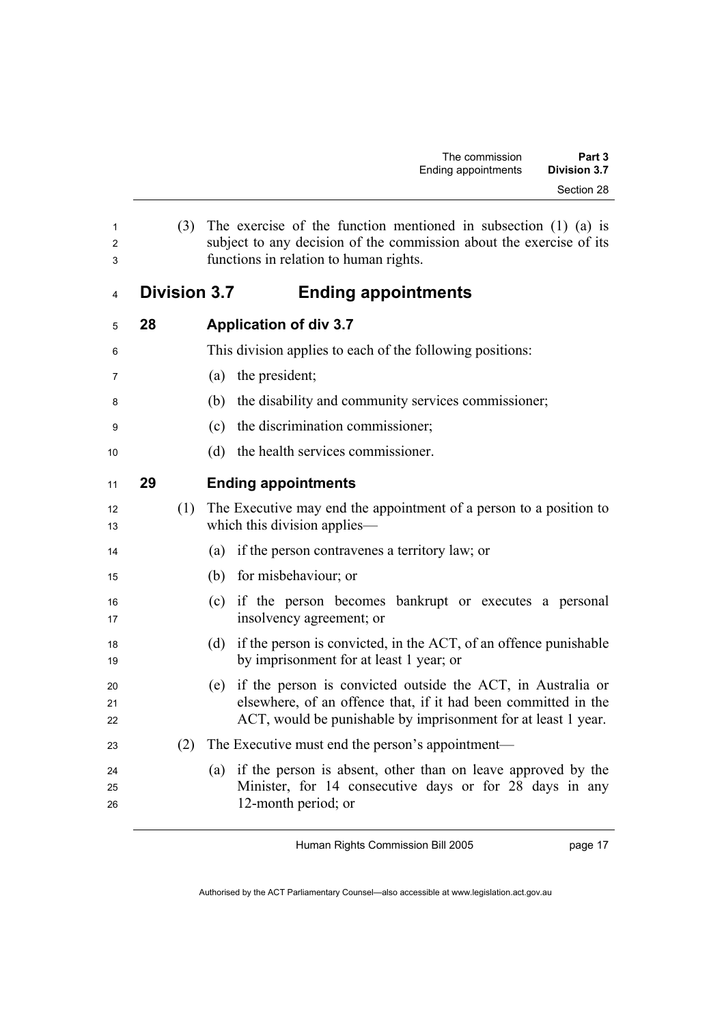| 1<br>2<br>3 | (3)                 | The exercise of the function mentioned in subsection $(1)$ $(a)$ is<br>subject to any decision of the commission about the exercise of its<br>functions in relation to human rights. |
|-------------|---------------------|--------------------------------------------------------------------------------------------------------------------------------------------------------------------------------------|
| 4           | <b>Division 3.7</b> | <b>Ending appointments</b>                                                                                                                                                           |
| 5           | 28                  | <b>Application of div 3.7</b>                                                                                                                                                        |
| 6           |                     | This division applies to each of the following positions:                                                                                                                            |
| 7           |                     | the president;<br>(a)                                                                                                                                                                |
| 8           |                     | the disability and community services commissioner;<br>(b)                                                                                                                           |
| 9           |                     | the discrimination commissioner;<br>(c)                                                                                                                                              |
| 10          |                     | the health services commissioner.<br>(d)                                                                                                                                             |
| 11          | 29                  | <b>Ending appointments</b>                                                                                                                                                           |

| 12<br>13 | (1) The Executive may end the appointment of a person to a position to<br>which this division applies— |
|----------|--------------------------------------------------------------------------------------------------------|
|          |                                                                                                        |

- (a) if the person contravenes a territory law; or
- (b) for misbehaviour; or
- (c) if the person becomes bankrupt or executes a personal 17 insolvency agreement; or
- (d) if the person is convicted, in the ACT, of an offence punishable 19 by imprisonment for at least 1 year; or
- (e) if the person is convicted outside the ACT, in Australia or elsewhere, of an offence that, if it had been committed in the 22 ACT, would be punishable by imprisonment for at least 1 year.
- 23 (2) The Executive must end the person's appointment—
- (a) if the person is absent, other than on leave approved by the Minister, for 14 consecutive days or for 28 days in any 12-month period; or

page 17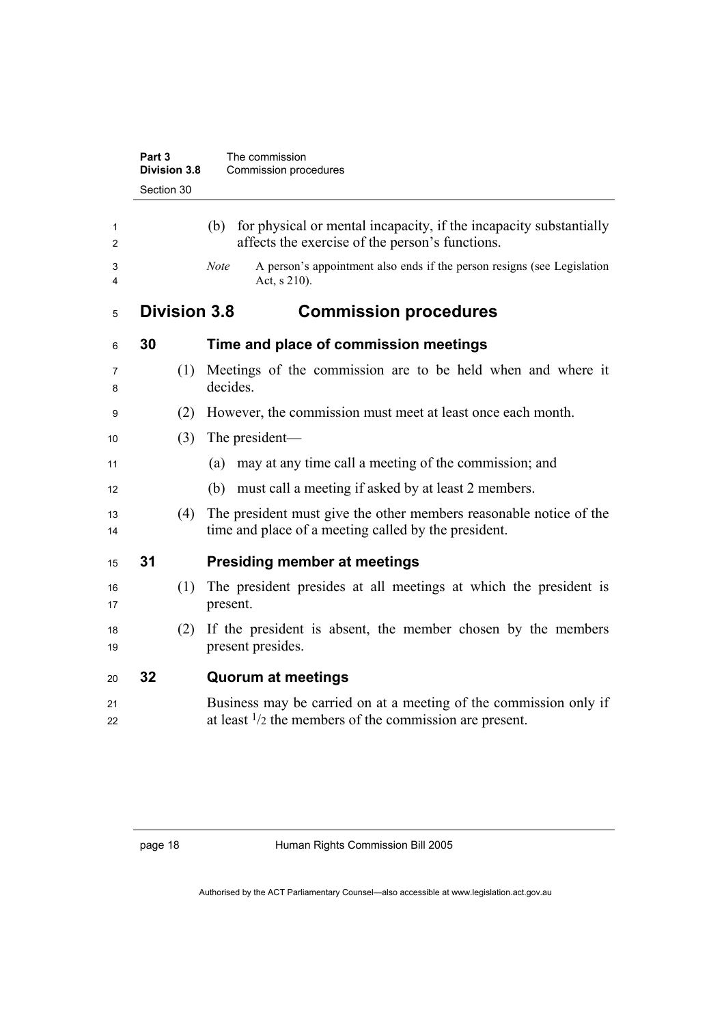|          | Part 3<br>Division 3.8 | The commission<br>Commission procedures                                                                                                |
|----------|------------------------|----------------------------------------------------------------------------------------------------------------------------------------|
|          | Section 30             |                                                                                                                                        |
| 1<br>2   |                        | for physical or mental incapacity, if the incapacity substantially<br>(b)<br>affects the exercise of the person's functions.           |
| 3<br>4   |                        | A person's appointment also ends if the person resigns (see Legislation<br><b>Note</b><br>Act, s 210).                                 |
| 5        | <b>Division 3.8</b>    | <b>Commission procedures</b>                                                                                                           |
| 6        | 30                     | Time and place of commission meetings                                                                                                  |
| 7<br>8   | (1)                    | Meetings of the commission are to be held when and where it<br>decides.                                                                |
| 9        | (2)                    | However, the commission must meet at least once each month.                                                                            |
| 10       | (3)                    | The president—                                                                                                                         |
| 11       |                        | may at any time call a meeting of the commission; and<br>(a)                                                                           |
| 12       |                        | must call a meeting if asked by at least 2 members.<br>(b)                                                                             |
| 13<br>14 | (4)                    | The president must give the other members reasonable notice of the<br>time and place of a meeting called by the president.             |
| 15       | 31                     | <b>Presiding member at meetings</b>                                                                                                    |
| 16<br>17 | (1)                    | The president presides at all meetings at which the president is<br>present.                                                           |
| 18<br>19 | (2)                    | If the president is absent, the member chosen by the members<br>present presides.                                                      |
| 20       | 32                     | <b>Quorum at meetings</b>                                                                                                              |
| 21<br>22 |                        | Business may be carried on at a meeting of the commission only if<br>at least $\frac{1}{2}$ the members of the commission are present. |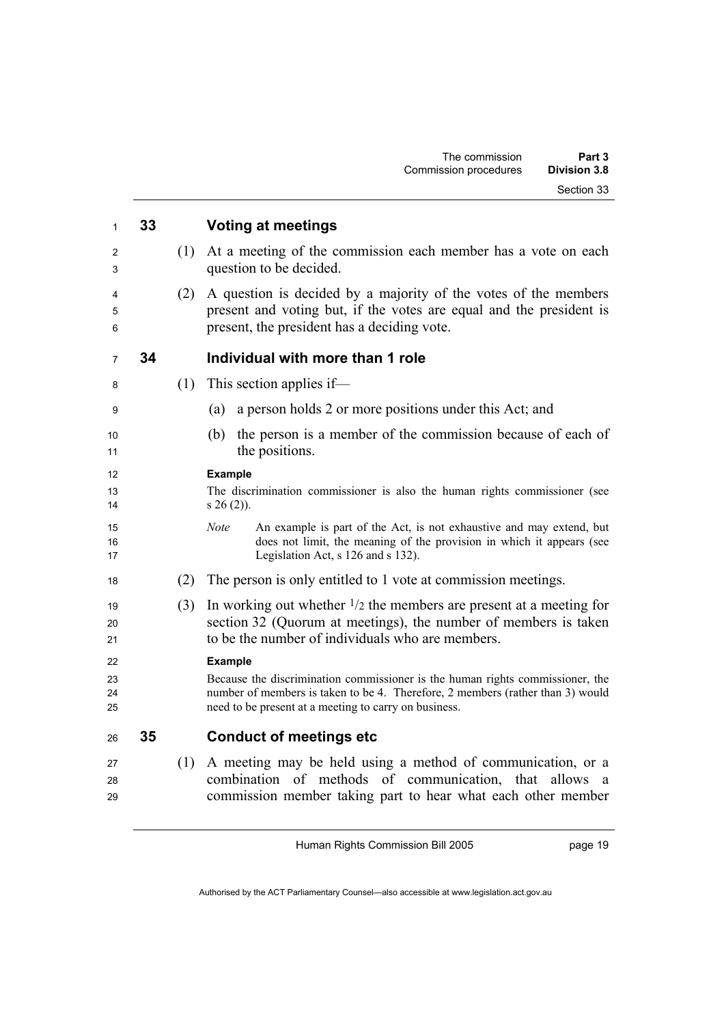| 1                    | 33 |     | <b>Voting at meetings</b>                                                                                                                                                                                                                  |
|----------------------|----|-----|--------------------------------------------------------------------------------------------------------------------------------------------------------------------------------------------------------------------------------------------|
| 2<br>3               |    | (1) | At a meeting of the commission each member has a vote on each<br>question to be decided.                                                                                                                                                   |
| 4<br>5<br>6          |    | (2) | A question is decided by a majority of the votes of the members<br>present and voting but, if the votes are equal and the president is<br>present, the president has a deciding vote.                                                      |
| $\overline{7}$       | 34 |     | Individual with more than 1 role                                                                                                                                                                                                           |
| 8                    |    | (1) | This section applies if-                                                                                                                                                                                                                   |
| 9                    |    |     | a person holds 2 or more positions under this Act; and<br>(a)                                                                                                                                                                              |
| 10<br>11             |    |     | the person is a member of the commission because of each of<br>(b)<br>the positions.                                                                                                                                                       |
| 12<br>13<br>14       |    |     | <b>Example</b><br>The discrimination commissioner is also the human rights commissioner (see<br>$s 26(2)$ ).                                                                                                                               |
| 15<br>16<br>17       |    |     | <b>Note</b><br>An example is part of the Act, is not exhaustive and may extend, but<br>does not limit, the meaning of the provision in which it appears (see<br>Legislation Act, s 126 and s 132).                                         |
| 18                   |    | (2) | The person is only entitled to 1 vote at commission meetings.                                                                                                                                                                              |
| 19<br>20<br>21       |    | (3) | In working out whether $\frac{1}{2}$ the members are present at a meeting for<br>section 32 (Quorum at meetings), the number of members is taken<br>to be the number of individuals who are members.                                       |
| 22<br>23<br>24<br>25 |    |     | <b>Example</b><br>Because the discrimination commissioner is the human rights commissioner, the<br>number of members is taken to be 4. Therefore, 2 members (rather than 3) would<br>need to be present at a meeting to carry on business. |
| 26                   | 35 |     | <b>Conduct of meetings etc</b>                                                                                                                                                                                                             |
| 27<br>28<br>29       |    | (1) | A meeting may be held using a method of communication, or a<br>combination of methods of communication, that allows<br>a<br>commission member taking part to hear what each other member                                                   |

page 19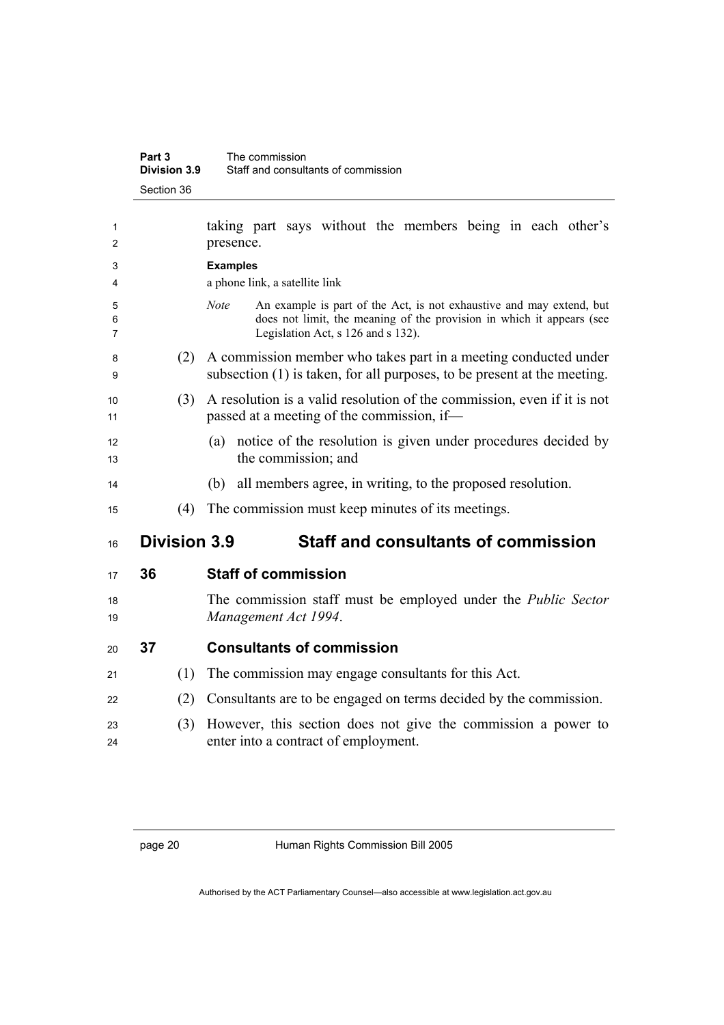| Part 3       | The commission                      |
|--------------|-------------------------------------|
| Division 3.9 | Staff and consultants of commission |
| Section 36   |                                     |

| 1<br>2 |                     | taking part says without the members being in each other's<br>presence.                                     |
|--------|---------------------|-------------------------------------------------------------------------------------------------------------|
| 3      |                     | <b>Examples</b>                                                                                             |
| 4      |                     | a phone link, a satellite link                                                                              |
| 5      |                     | <b>Note</b><br>An example is part of the Act, is not exhaustive and may extend, but                         |
| 6<br>7 |                     | does not limit, the meaning of the provision in which it appears (see<br>Legislation Act, s 126 and s 132). |
| 8      | (2)                 | A commission member who takes part in a meeting conducted under                                             |
| 9      |                     | subsection $(1)$ is taken, for all purposes, to be present at the meeting.                                  |
| 10     | (3)                 | A resolution is a valid resolution of the commission, even if it is not                                     |
| 11     |                     | passed at a meeting of the commission, if—                                                                  |
| 12     |                     | (a) notice of the resolution is given under procedures decided by                                           |
| 13     |                     | the commission; and                                                                                         |
| 14     |                     | all members agree, in writing, to the proposed resolution.<br>(b)                                           |
| 15     | (4)                 | The commission must keep minutes of its meetings.                                                           |
|        |                     |                                                                                                             |
| 16     | <b>Division 3.9</b> | <b>Staff and consultants of commission</b>                                                                  |
| 17     | 36                  | <b>Staff of commission</b>                                                                                  |
| 18     |                     |                                                                                                             |
| 19     |                     | The commission staff must be employed under the <i>Public Sector</i><br>Management Act 1994.                |
| 20     | 37                  | <b>Consultants of commission</b>                                                                            |
| 21     | (1)                 | The commission may engage consultants for this Act.                                                         |
| 22     | (2)                 | Consultants are to be engaged on terms decided by the commission.                                           |
| 23     | (3)                 | However, this section does not give the commission a power to                                               |
| 24     |                     | enter into a contract of employment.                                                                        |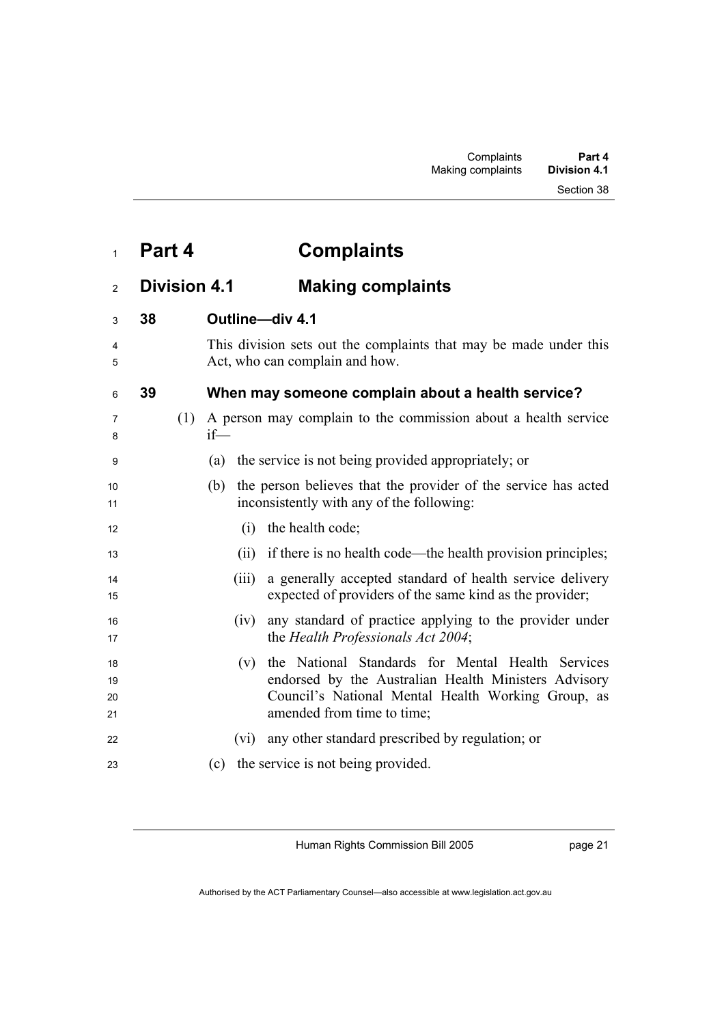| Part 4 | <b>Complaints</b> |
|--------|-------------------|
|--------|-------------------|

## <sup>2</sup>**Division 4.1 Making complaints**

| 3                    | 38 |     | Outline-div 4.1                                                                                                                                                                                      |  |
|----------------------|----|-----|------------------------------------------------------------------------------------------------------------------------------------------------------------------------------------------------------|--|
| 4<br>5               |    |     | This division sets out the complaints that may be made under this<br>Act, who can complain and how.                                                                                                  |  |
| 6                    | 39 |     | When may someone complain about a health service?                                                                                                                                                    |  |
| 7<br>8               |    | (1) | A person may complain to the commission about a health service<br>$if$ —                                                                                                                             |  |
| 9                    |    |     | the service is not being provided appropriately; or<br>(a)                                                                                                                                           |  |
| 10<br>11             |    |     | the person believes that the provider of the service has acted<br>(b)<br>inconsistently with any of the following:                                                                                   |  |
| 12                   |    |     | the health code;<br>(i)                                                                                                                                                                              |  |
| 13                   |    |     | if there is no health code—the health provision principles;<br>(ii)                                                                                                                                  |  |
| 14<br>15             |    |     | a generally accepted standard of health service delivery<br>(iii)<br>expected of providers of the same kind as the provider;                                                                         |  |
| 16<br>17             |    |     | any standard of practice applying to the provider under<br>(iv)<br>the Health Professionals Act 2004;                                                                                                |  |
| 18<br>19<br>20<br>21 |    |     | the National Standards for Mental Health Services<br>(v)<br>endorsed by the Australian Health Ministers Advisory<br>Council's National Mental Health Working Group, as<br>amended from time to time; |  |
| 22                   |    |     | any other standard prescribed by regulation; or<br>(vi)                                                                                                                                              |  |
| 23                   |    |     | the service is not being provided.<br>(c)                                                                                                                                                            |  |
|                      |    |     |                                                                                                                                                                                                      |  |

Human Rights Commission Bill 2005

page 21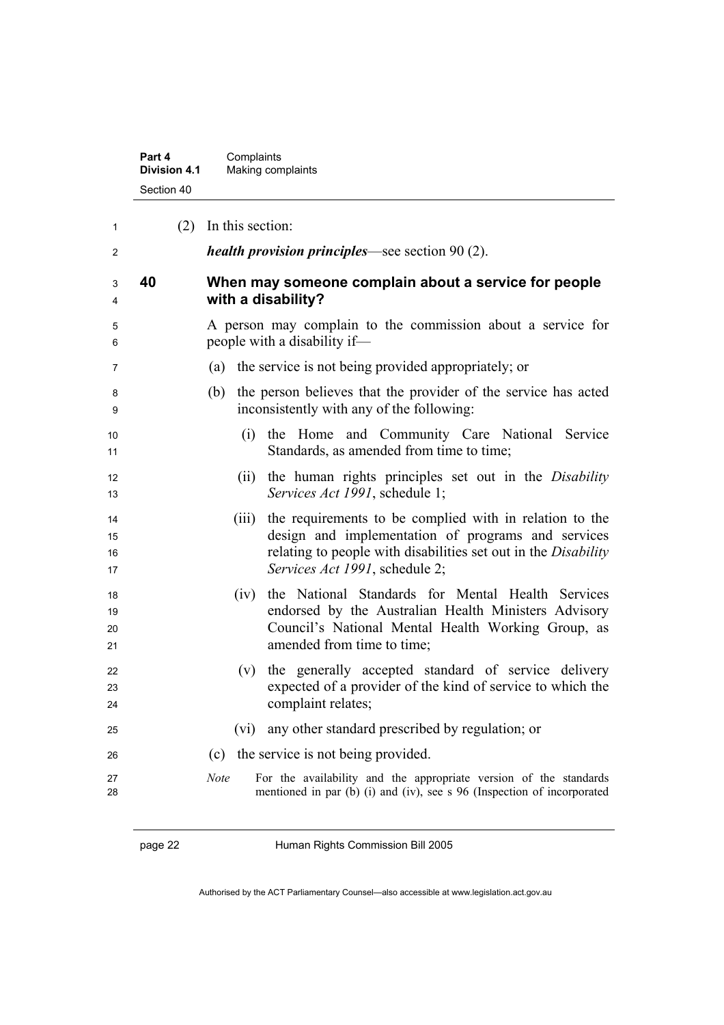| Part 4              | Complaints        |
|---------------------|-------------------|
| <b>Division 4.1</b> | Making complaints |
| Section 40          |                   |

| 1                    |    | $(2)$ In this section:                                                                                                                                                                                                     |
|----------------------|----|----------------------------------------------------------------------------------------------------------------------------------------------------------------------------------------------------------------------------|
| 2                    |    | <i>health provision principles</i> —see section 90 (2).                                                                                                                                                                    |
| 3<br>4               | 40 | When may someone complain about a service for people<br>with a disability?                                                                                                                                                 |
| 5<br>6               |    | A person may complain to the commission about a service for<br>people with a disability if-                                                                                                                                |
| 7                    |    | (a) the service is not being provided appropriately; or                                                                                                                                                                    |
| 8<br>9               |    | the person believes that the provider of the service has acted<br>(b)<br>inconsistently with any of the following:                                                                                                         |
| 10<br>11             |    | the Home and Community Care National Service<br>(i)<br>Standards, as amended from time to time;                                                                                                                            |
| 12<br>13             |    | the human rights principles set out in the Disability<br>(ii)<br>Services Act 1991, schedule 1;                                                                                                                            |
| 14<br>15<br>16<br>17 |    | the requirements to be complied with in relation to the<br>(iii)<br>design and implementation of programs and services<br>relating to people with disabilities set out in the Disability<br>Services Act 1991, schedule 2; |
| 18<br>19<br>20<br>21 |    | the National Standards for Mental Health Services<br>(iv)<br>endorsed by the Australian Health Ministers Advisory<br>Council's National Mental Health Working Group, as<br>amended from time to time;                      |
| 22<br>23<br>24       |    | (v) the generally accepted standard of service delivery<br>expected of a provider of the kind of service to which the<br>complaint relates;                                                                                |
| 25                   |    | any other standard prescribed by regulation; or<br>(vi)                                                                                                                                                                    |
| 26                   |    | (c) the service is not being provided.                                                                                                                                                                                     |
| 27<br>28             |    | <b>Note</b><br>For the availability and the appropriate version of the standards<br>mentioned in par (b) (i) and (iv), see s 96 (Inspection of incorporated                                                                |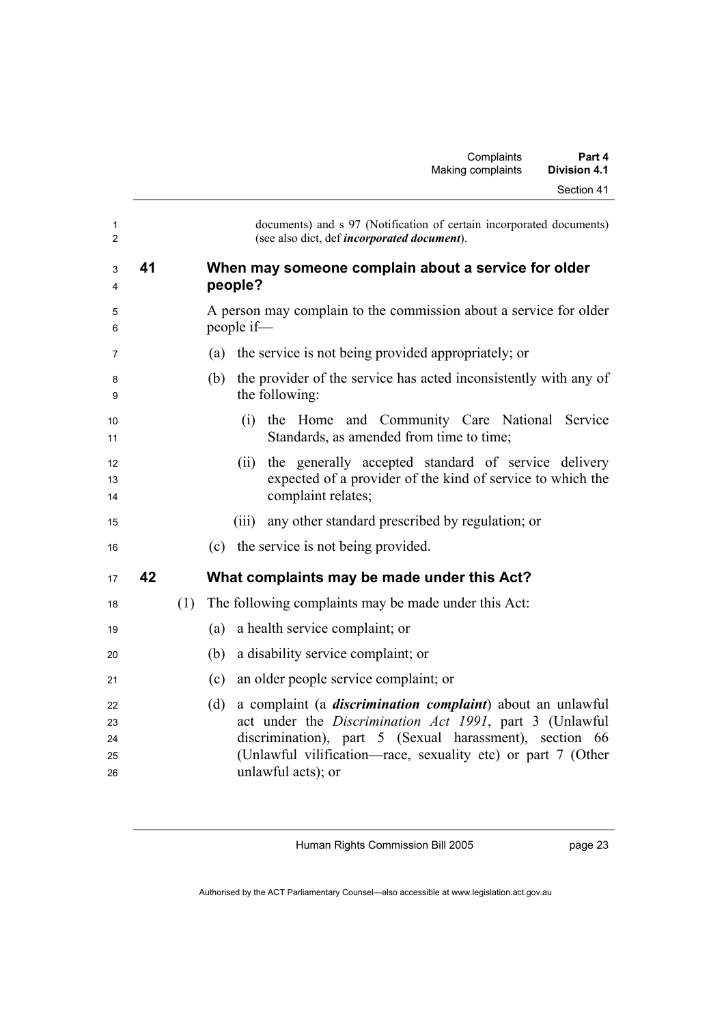|    |     | documents) and s 97 (Notification of certain incorporated documents)<br>(see also dict, def incorporated document).                                                                                                                                                                   |
|----|-----|---------------------------------------------------------------------------------------------------------------------------------------------------------------------------------------------------------------------------------------------------------------------------------------|
| 41 |     | When may someone complain about a service for older<br>people?                                                                                                                                                                                                                        |
|    |     | A person may complain to the commission about a service for older<br>people if-                                                                                                                                                                                                       |
|    |     | the service is not being provided appropriately; or<br>(a)                                                                                                                                                                                                                            |
|    |     | the provider of the service has acted inconsistently with any of<br>(b)<br>the following:                                                                                                                                                                                             |
|    |     | the Home and Community Care National Service<br>(i)<br>Standards, as amended from time to time;                                                                                                                                                                                       |
|    |     | the generally accepted standard of service delivery<br>(ii)<br>expected of a provider of the kind of service to which the<br>complaint relates;                                                                                                                                       |
|    |     | any other standard prescribed by regulation; or<br>(iii)                                                                                                                                                                                                                              |
|    |     | the service is not being provided.<br>(c)                                                                                                                                                                                                                                             |
| 42 |     | What complaints may be made under this Act?                                                                                                                                                                                                                                           |
|    | (1) | The following complaints may be made under this Act:                                                                                                                                                                                                                                  |
|    |     | a health service complaint; or<br>(a)                                                                                                                                                                                                                                                 |
|    |     | a disability service complaint; or<br>(b)                                                                                                                                                                                                                                             |
|    |     | an older people service complaint; or<br>(c)                                                                                                                                                                                                                                          |
|    |     | (d)<br>a complaint (a <i>discrimination complaint</i> ) about an unlawful<br>act under the Discrimination Act 1991, part 3 (Unlawful<br>discrimination), part 5 (Sexual harassment), section 66<br>(Unlawful vilification-race, sexuality etc) or part 7 (Other<br>unlawful acts); or |
|    |     |                                                                                                                                                                                                                                                                                       |

page 23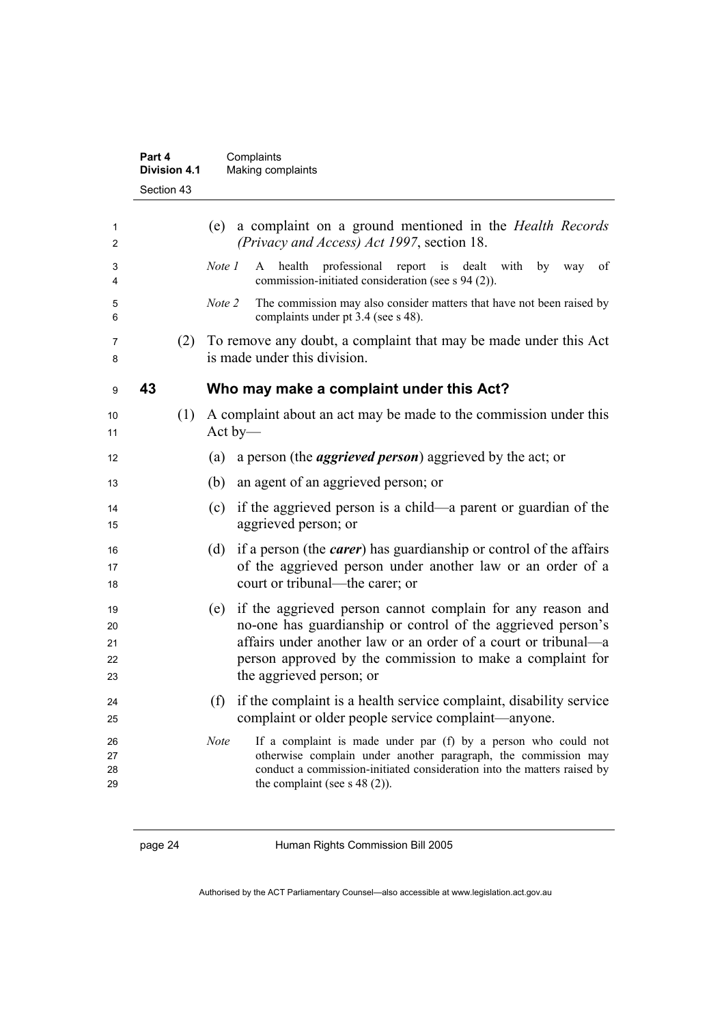|                            | Part 4<br><b>Division 4.1</b> | Complaints<br>Making complaints                                         |                                                                                                                                                                                                                                                           |
|----------------------------|-------------------------------|-------------------------------------------------------------------------|-----------------------------------------------------------------------------------------------------------------------------------------------------------------------------------------------------------------------------------------------------------|
|                            | Section 43                    |                                                                         |                                                                                                                                                                                                                                                           |
| 1<br>2                     |                               | (e)<br>(Privacy and Access) Act 1997, section 18.                       | a complaint on a ground mentioned in the <i>Health Records</i>                                                                                                                                                                                            |
| 3<br>4                     |                               | Note 1<br>A<br>commission-initiated consideration (see s 94 (2)).       | health professional report is dealt with by way<br>of                                                                                                                                                                                                     |
| 5<br>6                     |                               | Note 2<br>complaints under pt 3.4 (see s 48).                           | The commission may also consider matters that have not been raised by                                                                                                                                                                                     |
| 7<br>8                     | (2)                           | is made under this division.                                            | To remove any doubt, a complaint that may be made under this Act                                                                                                                                                                                          |
| 9                          | 43                            | Who may make a complaint under this Act?                                |                                                                                                                                                                                                                                                           |
| 10<br>11                   | (1)                           | Act by-                                                                 | A complaint about an act may be made to the commission under this                                                                                                                                                                                         |
| 12                         |                               | a person (the <i>aggrieved person</i> ) aggrieved by the act; or<br>(a) |                                                                                                                                                                                                                                                           |
| 13                         |                               | an agent of an aggrieved person; or<br>(b)                              |                                                                                                                                                                                                                                                           |
| 14<br>15                   |                               | (c)<br>aggrieved person; or                                             | if the aggrieved person is a child—a parent or guardian of the                                                                                                                                                                                            |
| 16<br>17<br>18             |                               | (d)<br>court or tribunal—the carer; or                                  | if a person (the <i>carer</i> ) has guardianship or control of the affairs<br>of the aggrieved person under another law or an order of a                                                                                                                  |
| 19<br>20<br>21<br>22<br>23 |                               | (e)<br>the aggrieved person; or                                         | if the aggrieved person cannot complain for any reason and<br>no-one has guardianship or control of the aggrieved person's<br>affairs under another law or an order of a court or tribunal—a<br>person approved by the commission to make a complaint for |
| 24<br>25                   |                               | (f)<br>complaint or older people service complaint—anyone.              | if the complaint is a health service complaint, disability service                                                                                                                                                                                        |
| 26<br>27<br>28<br>29       |                               | Note<br>the complaint (see $s$ 48 (2)).                                 | If a complaint is made under par (f) by a person who could not<br>otherwise complain under another paragraph, the commission may<br>conduct a commission-initiated consideration into the matters raised by                                               |

page 24 Human Rights Commission Bill 2005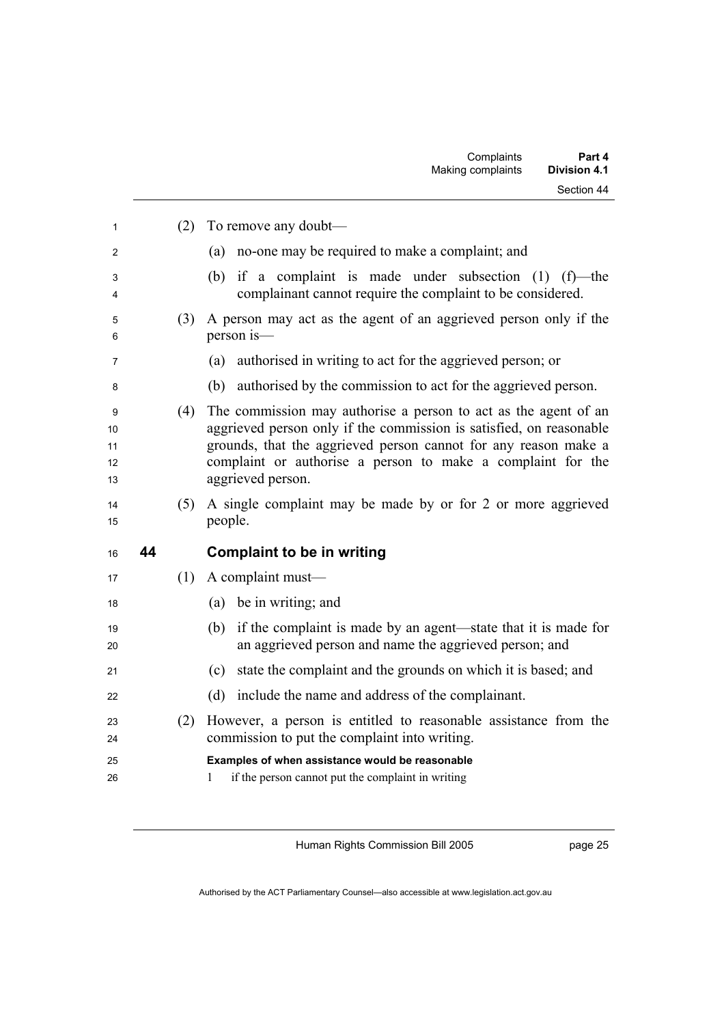| 1                         |    | (2) | To remove any doubt-                                                                                                                                                                                                                                                                          |
|---------------------------|----|-----|-----------------------------------------------------------------------------------------------------------------------------------------------------------------------------------------------------------------------------------------------------------------------------------------------|
| 2                         |    |     | no-one may be required to make a complaint; and<br>(a)                                                                                                                                                                                                                                        |
| 3<br>4                    |    |     | if a complaint is made under subsection $(1)$ $(f)$ —the<br>(b)<br>complainant cannot require the complaint to be considered.                                                                                                                                                                 |
| 5<br>6                    |    | (3) | A person may act as the agent of an aggrieved person only if the<br>person is-                                                                                                                                                                                                                |
| 7                         |    |     | authorised in writing to act for the aggrieved person; or<br>(a)                                                                                                                                                                                                                              |
| 8                         |    |     | (b) authorised by the commission to act for the aggrieved person.                                                                                                                                                                                                                             |
| 9<br>10<br>11<br>12<br>13 |    | (4) | The commission may authorise a person to act as the agent of an<br>aggrieved person only if the commission is satisfied, on reasonable<br>grounds, that the aggrieved person cannot for any reason make a<br>complaint or authorise a person to make a complaint for the<br>aggrieved person. |
| 14<br>15                  |    | (5) | A single complaint may be made by or for 2 or more aggrieved<br>people.                                                                                                                                                                                                                       |
| 16                        | 44 |     | <b>Complaint to be in writing</b>                                                                                                                                                                                                                                                             |
| 17                        |    | (1) | A complaint must-                                                                                                                                                                                                                                                                             |
| 18                        |    |     | (a) be in writing; and                                                                                                                                                                                                                                                                        |
| 19<br>20                  |    |     | if the complaint is made by an agent—state that it is made for<br>(b)<br>an aggrieved person and name the aggrieved person; and                                                                                                                                                               |
| 21                        |    |     | state the complaint and the grounds on which it is based; and<br>(c)                                                                                                                                                                                                                          |
| 22                        |    |     | (d)<br>include the name and address of the complainant.                                                                                                                                                                                                                                       |
| 23<br>24                  |    | (2) | However, a person is entitled to reasonable assistance from the<br>commission to put the complaint into writing.                                                                                                                                                                              |
| 25<br>26                  |    |     | Examples of when assistance would be reasonable<br>1<br>if the person cannot put the complaint in writing                                                                                                                                                                                     |

page 25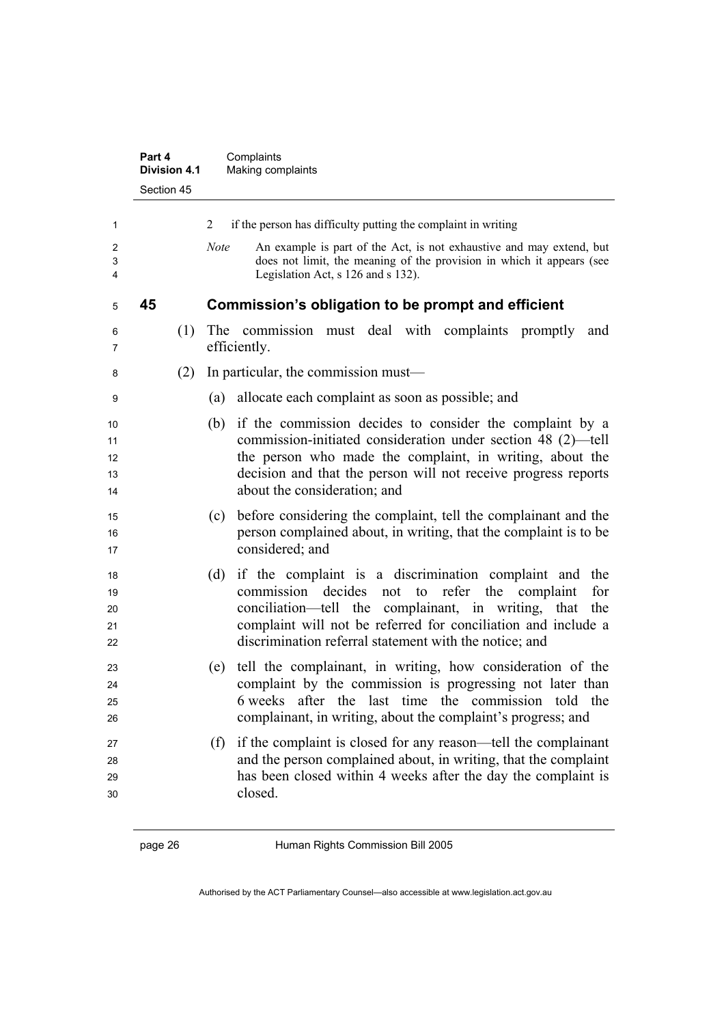|                            | Part 4<br><b>Division 4.1</b> | Complaints<br>Making complaints                                                                                                                                                                                                                                                                                      |
|----------------------------|-------------------------------|----------------------------------------------------------------------------------------------------------------------------------------------------------------------------------------------------------------------------------------------------------------------------------------------------------------------|
|                            | Section 45                    |                                                                                                                                                                                                                                                                                                                      |
| 1                          |                               | if the person has difficulty putting the complaint in writing<br>2                                                                                                                                                                                                                                                   |
| 2<br>3<br>4                |                               | An example is part of the Act, is not exhaustive and may extend, but<br><b>Note</b><br>does not limit, the meaning of the provision in which it appears (see<br>Legislation Act, s 126 and s 132).                                                                                                                   |
| 5                          | 45                            | Commission's obligation to be prompt and efficient                                                                                                                                                                                                                                                                   |
| 6<br>7                     | (1)                           | The commission must deal with complaints promptly<br>and<br>efficiently.                                                                                                                                                                                                                                             |
| 8                          | (2)                           | In particular, the commission must—                                                                                                                                                                                                                                                                                  |
| 9                          |                               | allocate each complaint as soon as possible; and<br>(a)                                                                                                                                                                                                                                                              |
| 10<br>11<br>12<br>13<br>14 |                               | if the commission decides to consider the complaint by a<br>(b)<br>commission-initiated consideration under section 48 (2)—tell<br>the person who made the complaint, in writing, about the<br>decision and that the person will not receive progress reports<br>about the consideration; and                        |
| 15<br>16<br>17             |                               | before considering the complaint, tell the complainant and the<br>(c)<br>person complained about, in writing, that the complaint is to be<br>considered; and                                                                                                                                                         |
| 18<br>19<br>20<br>21<br>22 |                               | if the complaint is a discrimination complaint and<br>(d)<br>the<br>commission decides<br>not to refer the complaint<br>for<br>conciliation—tell the complainant, in writing, that<br>the<br>complaint will not be referred for conciliation and include a<br>discrimination referral statement with the notice; and |
| 23<br>24<br>25<br>26       |                               | tell the complainant, in writing, how consideration of the<br>(e)<br>complaint by the commission is progressing not later than<br>6 weeks after the last time the commission told the<br>complainant, in writing, about the complaint's progress; and                                                                |
| 27<br>28<br>29<br>30       |                               | (f) if the complaint is closed for any reason—tell the complainant<br>and the person complained about, in writing, that the complaint<br>has been closed within 4 weeks after the day the complaint is<br>closed.                                                                                                    |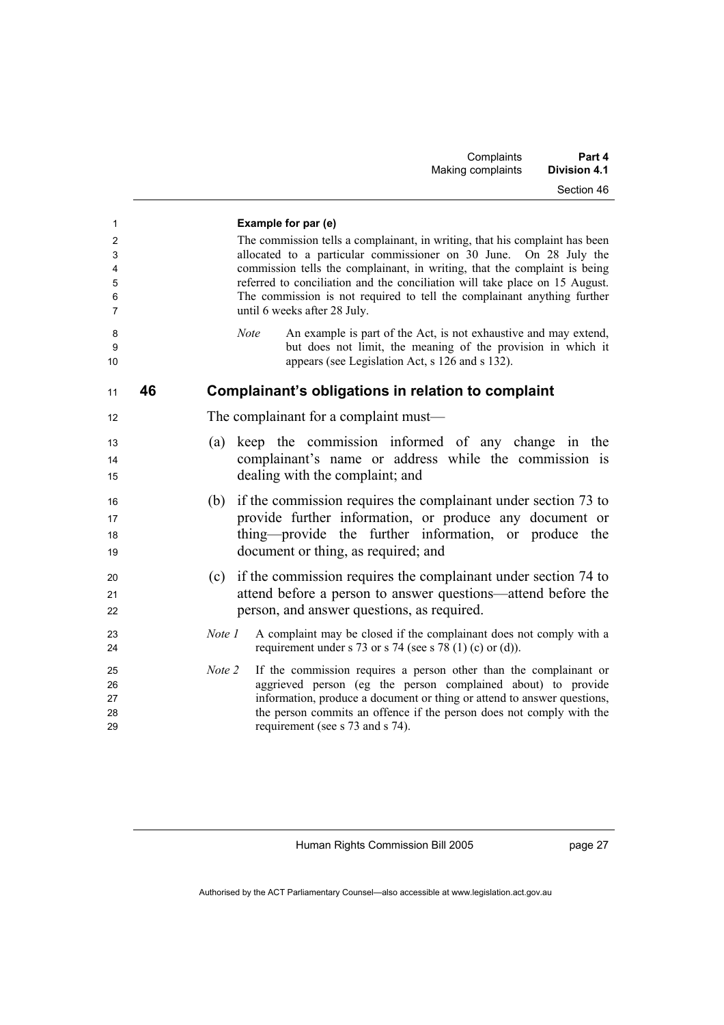| Part 4<br><b>Division 4.1</b> | Complaints<br>Making complaints |
|-------------------------------|---------------------------------|
| Section 46                    |                                 |
|                               |                                 |

| 1                                     |    | Example for par (e)                                                                                                                                                                                                                                                                                                                |
|---------------------------------------|----|------------------------------------------------------------------------------------------------------------------------------------------------------------------------------------------------------------------------------------------------------------------------------------------------------------------------------------|
| $\overline{c}$<br>3<br>$\overline{4}$ |    | The commission tells a complainant, in writing, that his complaint has been<br>allocated to a particular commissioner on 30 June. On 28 July the<br>commission tells the complainant, in writing, that the complaint is being                                                                                                      |
| 5<br>6<br>7                           |    | referred to conciliation and the conciliation will take place on 15 August.<br>The commission is not required to tell the complainant anything further<br>until 6 weeks after 28 July.                                                                                                                                             |
| 8<br>9<br>10                          |    | An example is part of the Act, is not exhaustive and may extend,<br><b>Note</b><br>but does not limit, the meaning of the provision in which it<br>appears (see Legislation Act, s 126 and s 132).                                                                                                                                 |
| 11                                    | 46 | Complainant's obligations in relation to complaint                                                                                                                                                                                                                                                                                 |
| 12                                    |    | The complainant for a complaint must—                                                                                                                                                                                                                                                                                              |
| 13<br>14<br>15                        |    | keep the commission informed of any change in the<br>(a)<br>complainant's name or address while the commission is<br>dealing with the complaint; and                                                                                                                                                                               |
| 16<br>17<br>18<br>19                  |    | if the commission requires the complainant under section 73 to<br>(b)<br>provide further information, or produce any document or<br>thing—provide the further information, or produce the<br>document or thing, as required; and                                                                                                   |
| 20<br>21<br>22                        |    | if the commission requires the complainant under section 74 to<br>(c)<br>attend before a person to answer questions—attend before the<br>person, and answer questions, as required.                                                                                                                                                |
| 23<br>24                              |    | Note 1<br>A complaint may be closed if the complainant does not comply with a<br>requirement under s 73 or s 74 (see s 78 (1) (c) or (d)).                                                                                                                                                                                         |
| 25<br>26<br>27<br>28<br>29            |    | Note 2<br>If the commission requires a person other than the complainant or<br>aggrieved person (eg the person complained about) to provide<br>information, produce a document or thing or attend to answer questions,<br>the person commits an offence if the person does not comply with the<br>requirement (see s 73 and s 74). |

page 27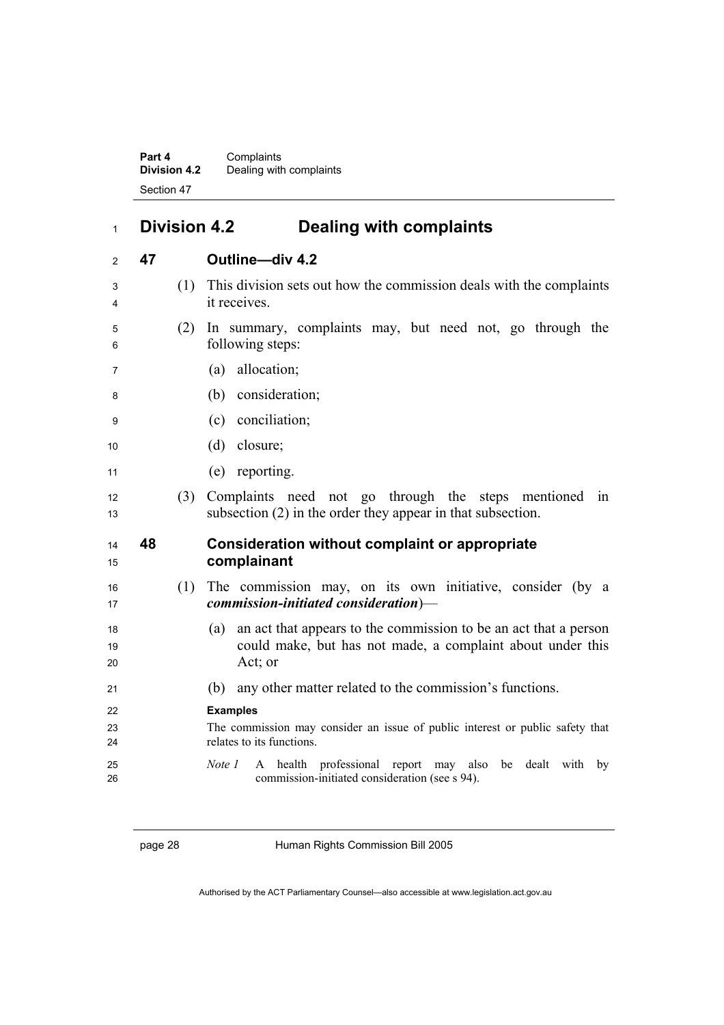**Part 4** Complaints **Division 4.2** Dealing with complaints Section 47

## **Division 4.2 Dealing with complaints**

| 2              | 47 |     | Outline-div 4.2                                                                                                                                  |
|----------------|----|-----|--------------------------------------------------------------------------------------------------------------------------------------------------|
| 3<br>4         |    | (1) | This division sets out how the commission deals with the complaints<br>it receives.                                                              |
| 5<br>6         |    | (2) | In summary, complaints may, but need not, go through the<br>following steps:                                                                     |
| 7              |    |     | allocation;<br>(a)                                                                                                                               |
| 8              |    |     | (b) consideration;                                                                                                                               |
| 9              |    |     | (c) conciliation;                                                                                                                                |
| 10             |    |     | $(d)$ closure;                                                                                                                                   |
| 11             |    |     | (e) reporting.                                                                                                                                   |
| 12<br>13       |    | (3) | Complaints need not go through the steps mentioned in<br>subsection (2) in the order they appear in that subsection.                             |
|                |    |     |                                                                                                                                                  |
| 14<br>15       | 48 |     | <b>Consideration without complaint or appropriate</b><br>complainant                                                                             |
| 16<br>17       |    | (1) | The commission may, on its own initiative, consider (by a<br>$commission\text{-}initiated\ consideration\text{)}$                                |
| 18<br>19<br>20 |    |     | an act that appears to the commission to be an act that a person<br>(a)<br>could make, but has not made, a complaint about under this<br>Act; or |
| 21             |    |     | any other matter related to the commission's functions.<br>(b)                                                                                   |
| 22             |    |     | <b>Examples</b>                                                                                                                                  |
| 23<br>24       |    |     | The commission may consider an issue of public interest or public safety that<br>relates to its functions.                                       |

page 28 Human Rights Commission Bill 2005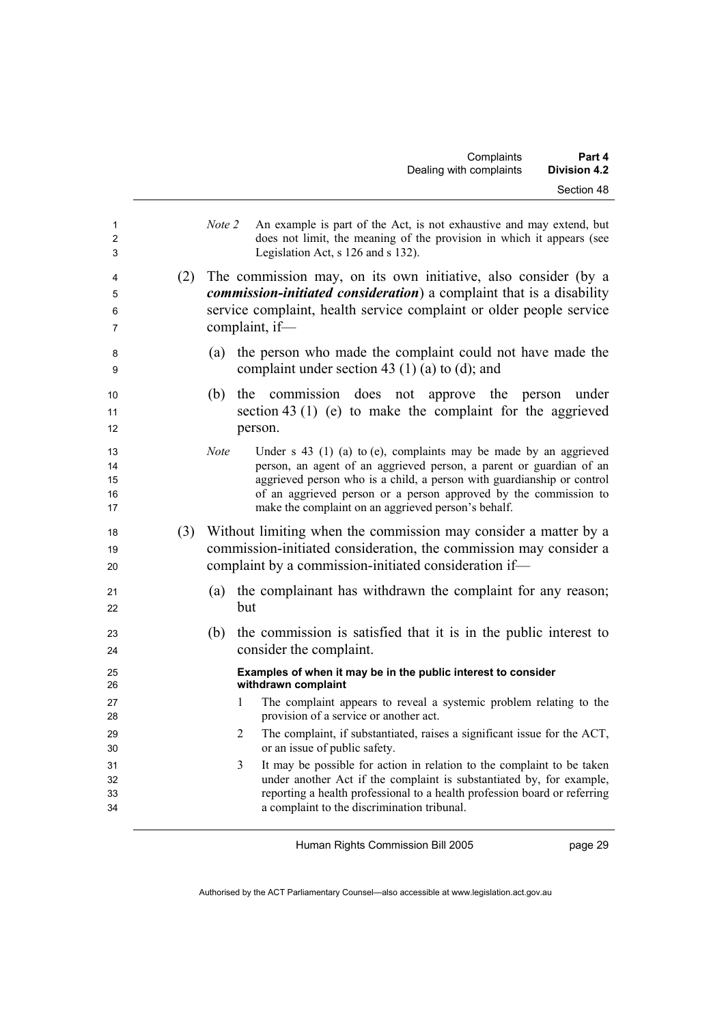| 1<br>$\overline{2}$<br>3   |     | Note 2<br>An example is part of the Act, is not exhaustive and may extend, but<br>does not limit, the meaning of the provision in which it appears (see<br>Legislation Act, s 126 and s 132).                                                                                                                                                                  |
|----------------------------|-----|----------------------------------------------------------------------------------------------------------------------------------------------------------------------------------------------------------------------------------------------------------------------------------------------------------------------------------------------------------------|
| 4<br>5<br>6<br>7           | (2) | The commission may, on its own initiative, also consider (by a<br><i>commission-initiated consideration</i> ) a complaint that is a disability<br>service complaint, health service complaint or older people service<br>complaint, if-                                                                                                                        |
| 8<br>9                     |     | the person who made the complaint could not have made the<br>(a)<br>complaint under section 43 (1) (a) to (d); and                                                                                                                                                                                                                                             |
| 10<br>11<br>12             |     | the commission does not approve the person<br>(b)<br>under<br>section 43 (1) (e) to make the complaint for the aggrieved<br>person.                                                                                                                                                                                                                            |
| 13<br>14<br>15<br>16<br>17 |     | Under $s$ 43 (1) (a) to (e), complaints may be made by an aggrieved<br><b>Note</b><br>person, an agent of an aggrieved person, a parent or guardian of an<br>aggrieved person who is a child, a person with guardianship or control<br>of an aggrieved person or a person approved by the commission to<br>make the complaint on an aggrieved person's behalf. |
| 18<br>19<br>20             | (3) | Without limiting when the commission may consider a matter by a<br>commission-initiated consideration, the commission may consider a<br>complaint by a commission-initiated consideration if-                                                                                                                                                                  |
| 21<br>22                   |     | the complainant has withdrawn the complaint for any reason;<br>(a)<br>but                                                                                                                                                                                                                                                                                      |
| 23<br>24                   |     | the commission is satisfied that it is in the public interest to<br>(b)<br>consider the complaint.                                                                                                                                                                                                                                                             |
| 25<br>26                   |     | Examples of when it may be in the public interest to consider<br>withdrawn complaint                                                                                                                                                                                                                                                                           |
| 27<br>28                   |     | The complaint appears to reveal a systemic problem relating to the<br>1<br>provision of a service or another act.                                                                                                                                                                                                                                              |
| 29<br>30                   |     | The complaint, if substantiated, raises a significant issue for the ACT,<br>2<br>or an issue of public safety.                                                                                                                                                                                                                                                 |
| 31<br>32<br>33<br>34       |     | 3<br>It may be possible for action in relation to the complaint to be taken<br>under another Act if the complaint is substantiated by, for example,<br>reporting a health professional to a health profession board or referring<br>a complaint to the discrimination tribunal.                                                                                |

page 29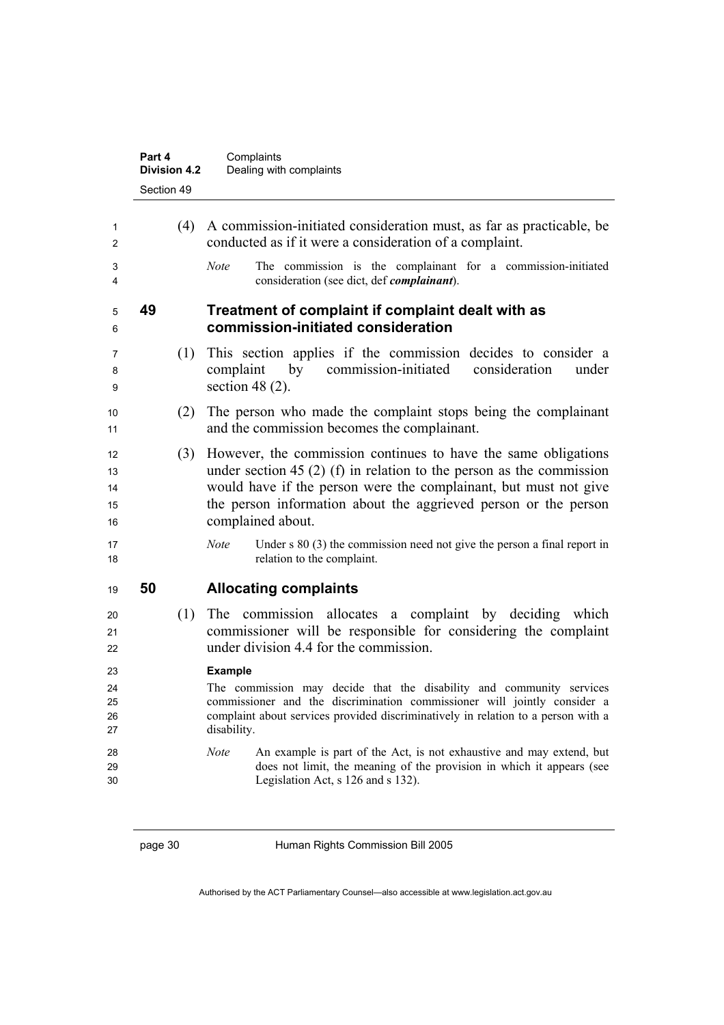|                            | Part 4<br><b>Division 4.2</b> | Complaints<br>Dealing with complaints                                                                                                                                                                                                                                                              |
|----------------------------|-------------------------------|----------------------------------------------------------------------------------------------------------------------------------------------------------------------------------------------------------------------------------------------------------------------------------------------------|
|                            | Section 49                    |                                                                                                                                                                                                                                                                                                    |
| 1<br>2<br>3                | (4)                           | A commission-initiated consideration must, as far as practicable, be<br>conducted as if it were a consideration of a complaint.<br>The commission is the complainant for a commission-initiated<br><b>Note</b>                                                                                     |
| 4                          |                               | consideration (see dict, def <i>complainant</i> ).                                                                                                                                                                                                                                                 |
| 5<br>6                     | 49                            | Treatment of complaint if complaint dealt with as<br>commission-initiated consideration                                                                                                                                                                                                            |
| 7<br>8<br>9                | (1)                           | This section applies if the commission decides to consider a<br>by<br>commission-initiated<br>consideration<br>complaint<br>under<br>section 48 $(2)$ .                                                                                                                                            |
| 10<br>11                   | (2)                           | The person who made the complaint stops being the complainant<br>and the commission becomes the complainant.                                                                                                                                                                                       |
| 12<br>13<br>14<br>15<br>16 | (3)                           | However, the commission continues to have the same obligations<br>under section 45 (2) (f) in relation to the person as the commission<br>would have if the person were the complainant, but must not give<br>the person information about the aggrieved person or the person<br>complained about. |
| 17<br>18                   |                               | Under $s 80$ (3) the commission need not give the person a final report in<br><b>Note</b><br>relation to the complaint.                                                                                                                                                                            |
| 19                         | 50                            | <b>Allocating complaints</b>                                                                                                                                                                                                                                                                       |
| 20<br>21<br>22             | (1)                           | The commission allocates a complaint by deciding which<br>commissioner will be responsible for considering the complaint<br>under division 4.4 for the commission.                                                                                                                                 |
| 23<br>24<br>25<br>26<br>27 |                               | <b>Example</b><br>The commission may decide that the disability and community services<br>commissioner and the discrimination commissioner will jointly consider a<br>complaint about services provided discriminatively in relation to a person with a<br>disability.                             |
| 28<br>29<br>30             |                               | An example is part of the Act, is not exhaustive and may extend, but<br><b>Note</b><br>does not limit, the meaning of the provision in which it appears (see<br>Legislation Act, s 126 and s 132).                                                                                                 |
|                            |                               |                                                                                                                                                                                                                                                                                                    |

page 30 Human Rights Commission Bill 2005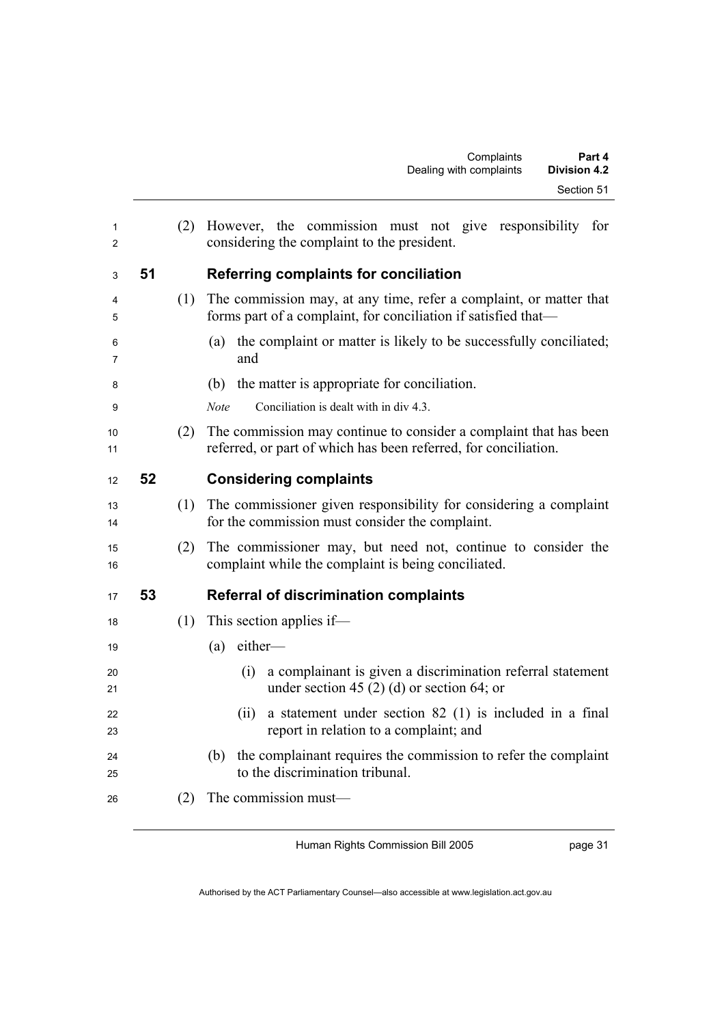| 1<br>2   |    | (2) | However, the commission must not give responsibility for<br>considering the complaint to the president.                              |  |
|----------|----|-----|--------------------------------------------------------------------------------------------------------------------------------------|--|
| 3        | 51 |     | Referring complaints for conciliation                                                                                                |  |
| 4<br>5   |    | (1) | The commission may, at any time, refer a complaint, or matter that<br>forms part of a complaint, for conciliation if satisfied that- |  |
| 6<br>7   |    |     | the complaint or matter is likely to be successfully conciliated;<br>(a)<br>and                                                      |  |
| 8        |    |     | (b) the matter is appropriate for conciliation.                                                                                      |  |
| 9        |    |     | Note<br>Conciliation is dealt with in div 4.3.                                                                                       |  |
| 10<br>11 |    | (2) | The commission may continue to consider a complaint that has been<br>referred, or part of which has been referred, for conciliation. |  |
| 12       | 52 |     | <b>Considering complaints</b>                                                                                                        |  |
| 13<br>14 |    | (1) | The commissioner given responsibility for considering a complaint<br>for the commission must consider the complaint.                 |  |
| 15<br>16 |    | (2) | The commissioner may, but need not, continue to consider the<br>complaint while the complaint is being conciliated.                  |  |
| 17       | 53 |     | <b>Referral of discrimination complaints</b>                                                                                         |  |
| 18       |    | (1) | This section applies if—                                                                                                             |  |
| 19       |    |     | either-<br>(a)                                                                                                                       |  |
| 20<br>21 |    |     | a complainant is given a discrimination referral statement<br>(i)<br>under section 45 (2) (d) or section 64; or                      |  |
| 22<br>23 |    |     | a statement under section $82$ (1) is included in a final<br>(ii)<br>report in relation to a complaint; and                          |  |
| 24<br>25 |    |     | the complainant requires the commission to refer the complaint<br>(b)<br>to the discrimination tribunal.                             |  |
| 26       |    | (2) | The commission must-                                                                                                                 |  |
|          |    |     |                                                                                                                                      |  |

Authorised by the ACT Parliamentary Counsel—also accessible at www.legislation.act.gov.au

Human Rights Commission Bill 2005

page 31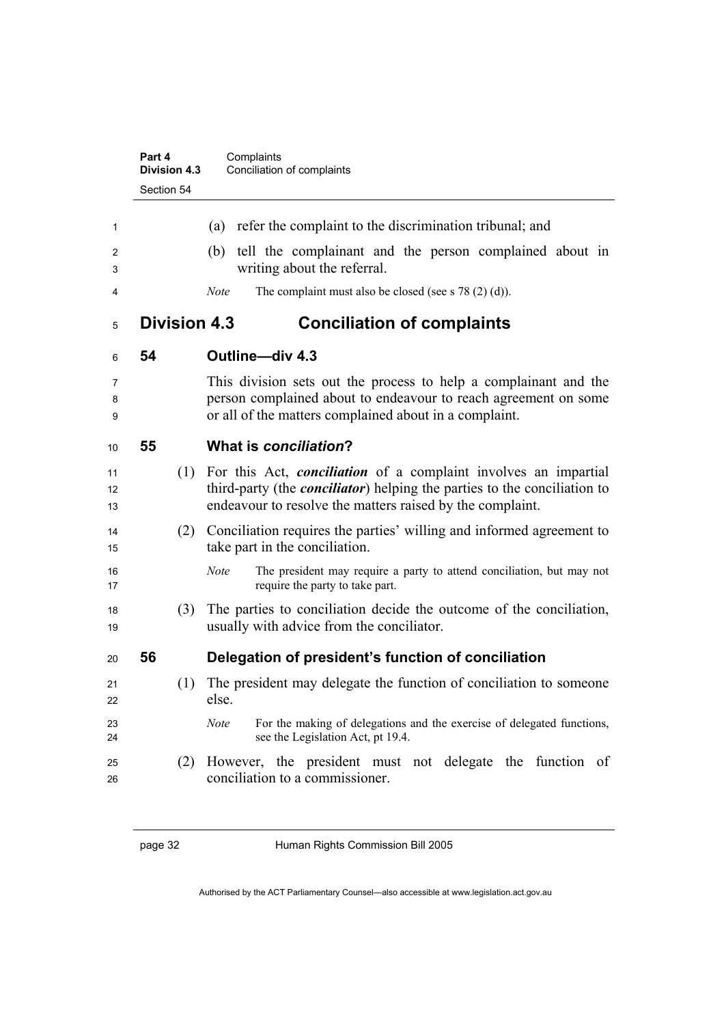|                | Part 4<br><b>Division 4.3</b> | Complaints<br>Conciliation of complaints                                                                                                                                                                                |
|----------------|-------------------------------|-------------------------------------------------------------------------------------------------------------------------------------------------------------------------------------------------------------------------|
|                | Section 54                    |                                                                                                                                                                                                                         |
| 1              |                               | refer the complaint to the discrimination tribunal; and<br>(a)                                                                                                                                                          |
| 2<br>3         |                               | tell the complainant and the person complained about in<br>(b)<br>writing about the referral.                                                                                                                           |
| 4              |                               | <b>Note</b><br>The complaint must also be closed (see s $78(2)(d)$ ).                                                                                                                                                   |
| 5              | <b>Division 4.3</b>           | <b>Conciliation of complaints</b>                                                                                                                                                                                       |
| 6              | 54                            | Outline-div 4.3                                                                                                                                                                                                         |
| 7<br>8<br>9    |                               | This division sets out the process to help a complainant and the<br>person complained about to endeavour to reach agreement on some<br>or all of the matters complained about in a complaint.                           |
| 10             | 55                            | What is conciliation?                                                                                                                                                                                                   |
| 11<br>12<br>13 | (1)                           | For this Act, <i>conciliation</i> of a complaint involves an impartial<br>third-party (the <i>conciliator</i> ) helping the parties to the conciliation to<br>endeavour to resolve the matters raised by the complaint. |
| 14<br>15       | (2)                           | Conciliation requires the parties' willing and informed agreement to<br>take part in the conciliation.                                                                                                                  |
| 16<br>17       |                               | <b>Note</b><br>The president may require a party to attend conciliation, but may not<br>require the party to take part.                                                                                                 |
| 18<br>19       | (3)                           | The parties to conciliation decide the outcome of the conciliation,<br>usually with advice from the conciliator.                                                                                                        |
| 20             | 56                            | Delegation of president's function of conciliation                                                                                                                                                                      |
| 21<br>22       | (1)                           | The president may delegate the function of conciliation to someone<br>else.                                                                                                                                             |
| 23<br>24       |                               | For the making of delegations and the exercise of delegated functions,<br><b>Note</b><br>see the Legislation Act, pt 19.4.                                                                                              |
| 25<br>26       | (2)                           | However, the president must not delegate the function of<br>conciliation to a commissioner.                                                                                                                             |

page 32 Human Rights Commission Bill 2005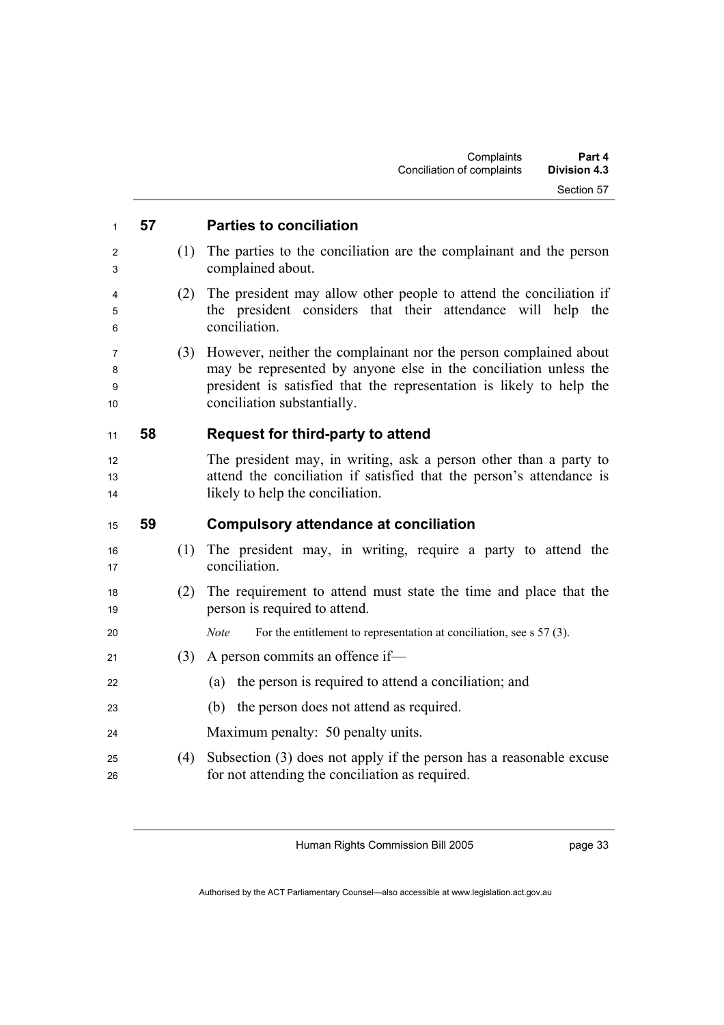| $\mathbf{1}$      | 57 |     | <b>Parties to conciliation</b>                                                                                                                                                                                                              |
|-------------------|----|-----|---------------------------------------------------------------------------------------------------------------------------------------------------------------------------------------------------------------------------------------------|
| 2<br>3            |    | (1) | The parties to the conciliation are the complainant and the person<br>complained about.                                                                                                                                                     |
| 4<br>5<br>6       |    | (2) | The president may allow other people to attend the conciliation if<br>the president considers that their attendance will help the<br>conciliation.                                                                                          |
| 7<br>8<br>9<br>10 |    | (3) | However, neither the complainant nor the person complained about<br>may be represented by anyone else in the conciliation unless the<br>president is satisfied that the representation is likely to help the<br>conciliation substantially. |
| 11                | 58 |     | Request for third-party to attend                                                                                                                                                                                                           |
| 12<br>13<br>14    |    |     | The president may, in writing, ask a person other than a party to<br>attend the conciliation if satisfied that the person's attendance is<br>likely to help the conciliation.                                                               |
| 15                | 59 |     | <b>Compulsory attendance at conciliation</b>                                                                                                                                                                                                |
| 16<br>17          |    | (1) | The president may, in writing, require a party to attend the<br>conciliation.                                                                                                                                                               |
| 18<br>19          |    | (2) | The requirement to attend must state the time and place that the<br>person is required to attend.                                                                                                                                           |
| 20                |    |     | <b>Note</b><br>For the entitlement to representation at conciliation, see $\sigma$ 57 (3).                                                                                                                                                  |
| 21                |    | (3) | A person commits an offence if-                                                                                                                                                                                                             |
| 22                |    |     | the person is required to attend a conciliation; and<br>(a)                                                                                                                                                                                 |
| 23                |    |     | the person does not attend as required.<br>(b)                                                                                                                                                                                              |
| 24                |    |     | Maximum penalty: 50 penalty units.                                                                                                                                                                                                          |

(4) Subsection (3) does not apply if the person has a reasonable excuse for not attending the conciliation as required.

Human Rights Commission Bill 2005

page 33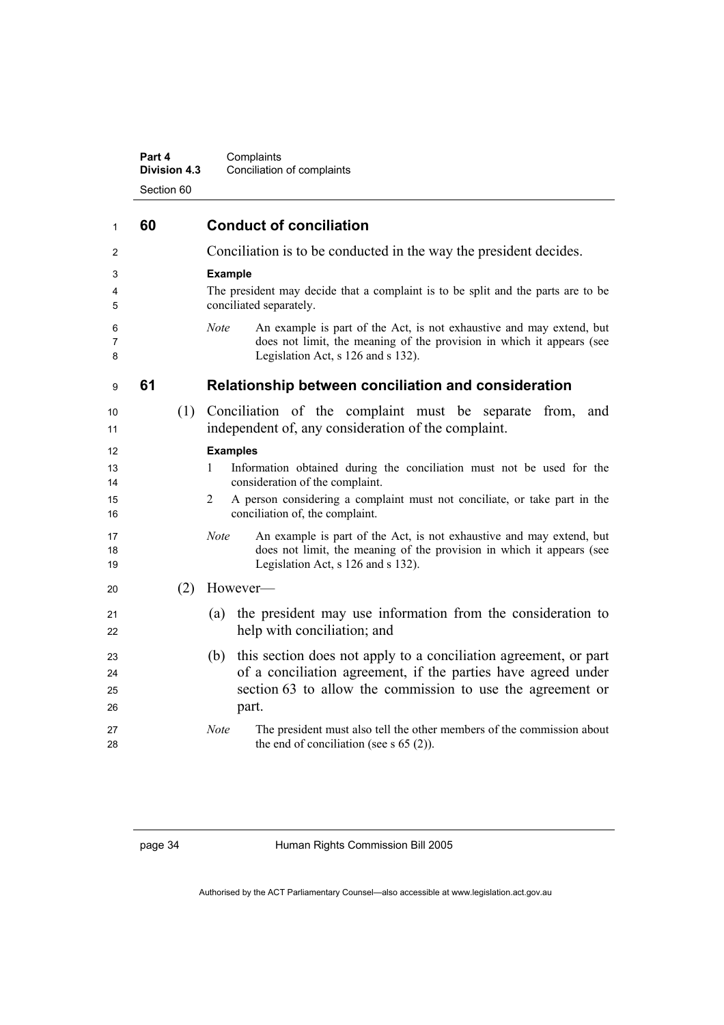| Part 4              | Complaints                 |
|---------------------|----------------------------|
| <b>Division 4.3</b> | Conciliation of complaints |
| Section 60          |                            |

| $\mathbf{1}$               | 60 |     | <b>Conduct of conciliation</b>                                                                                                                                                                                                                                     |  |
|----------------------------|----|-----|--------------------------------------------------------------------------------------------------------------------------------------------------------------------------------------------------------------------------------------------------------------------|--|
| 2                          |    |     | Conciliation is to be conducted in the way the president decides.                                                                                                                                                                                                  |  |
| 3<br>4<br>5                |    |     | <b>Example</b><br>The president may decide that a complaint is to be split and the parts are to be<br>conciliated separately.                                                                                                                                      |  |
| 6<br>7<br>8                |    |     | An example is part of the Act, is not exhaustive and may extend, but<br><b>Note</b><br>does not limit, the meaning of the provision in which it appears (see<br>Legislation Act, s 126 and s 132).                                                                 |  |
| 9                          | 61 |     | Relationship between conciliation and consideration                                                                                                                                                                                                                |  |
| 10<br>11                   |    |     | (1) Conciliation of the complaint must be separate<br>from,<br>and<br>independent of, any consideration of the complaint.                                                                                                                                          |  |
| 12<br>13<br>14<br>15<br>16 |    |     | <b>Examples</b><br>Information obtained during the conciliation must not be used for the<br>1<br>consideration of the complaint.<br>A person considering a complaint must not conciliate, or take part in the<br>$\overline{2}$<br>conciliation of, the complaint. |  |
| 17<br>18<br>19             |    |     | Note<br>An example is part of the Act, is not exhaustive and may extend, but<br>does not limit, the meaning of the provision in which it appears (see<br>Legislation Act, s 126 and s 132).                                                                        |  |
| 20                         |    | (2) | However-                                                                                                                                                                                                                                                           |  |
| 21<br>22                   |    |     | the president may use information from the consideration to<br>(a)<br>help with conciliation; and                                                                                                                                                                  |  |
| 23<br>24<br>25<br>26       |    |     | this section does not apply to a conciliation agreement, or part<br>(b)<br>of a conciliation agreement, if the parties have agreed under<br>section 63 to allow the commission to use the agreement or<br>part.                                                    |  |
| 27<br>28                   |    |     | <b>Note</b><br>The president must also tell the other members of the commission about<br>the end of conciliation (see s $65(2)$ ).                                                                                                                                 |  |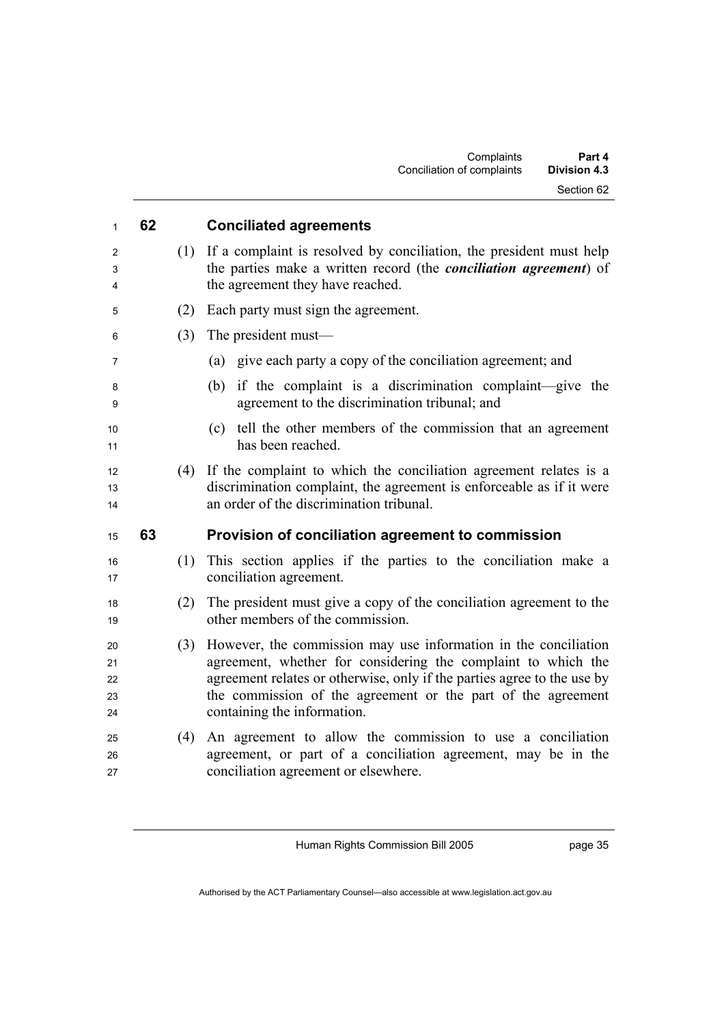| 1                          | 62  | <b>Conciliated agreements</b>                                                                                                                                                                                                                                                                              |
|----------------------------|-----|------------------------------------------------------------------------------------------------------------------------------------------------------------------------------------------------------------------------------------------------------------------------------------------------------------|
| 2<br>3<br>4                | (1) | If a complaint is resolved by conciliation, the president must help<br>the parties make a written record (the <i>conciliation agreement</i> ) of<br>the agreement they have reached.                                                                                                                       |
| 5                          | (2) | Each party must sign the agreement.                                                                                                                                                                                                                                                                        |
| 6                          | (3) | The president must—                                                                                                                                                                                                                                                                                        |
| 7                          |     | (a) give each party a copy of the conciliation agreement; and                                                                                                                                                                                                                                              |
| 8<br>9                     |     | if the complaint is a discrimination complaint—give the<br>(b)<br>agreement to the discrimination tribunal; and                                                                                                                                                                                            |
| 10<br>11                   |     | tell the other members of the commission that an agreement<br>(c)<br>has been reached.                                                                                                                                                                                                                     |
| 12<br>13<br>14             | (4) | If the complaint to which the conciliation agreement relates is a<br>discrimination complaint, the agreement is enforceable as if it were<br>an order of the discrimination tribunal.                                                                                                                      |
| 15                         | 63  | Provision of conciliation agreement to commission                                                                                                                                                                                                                                                          |
| 16<br>17                   | (1) | This section applies if the parties to the conciliation make a<br>conciliation agreement.                                                                                                                                                                                                                  |
| 18<br>19                   | (2) | The president must give a copy of the conciliation agreement to the<br>other members of the commission.                                                                                                                                                                                                    |
| 20<br>21<br>22<br>23<br>24 | (3) | However, the commission may use information in the conciliation<br>agreement, whether for considering the complaint to which the<br>agreement relates or otherwise, only if the parties agree to the use by<br>the commission of the agreement or the part of the agreement<br>containing the information. |
| 25<br>26                   |     | An agreement to allow the commission to use a conciliation<br>(4)                                                                                                                                                                                                                                          |

page 35

Authorised by the ACT Parliamentary Counsel—also accessible at www.legislation.act.gov.au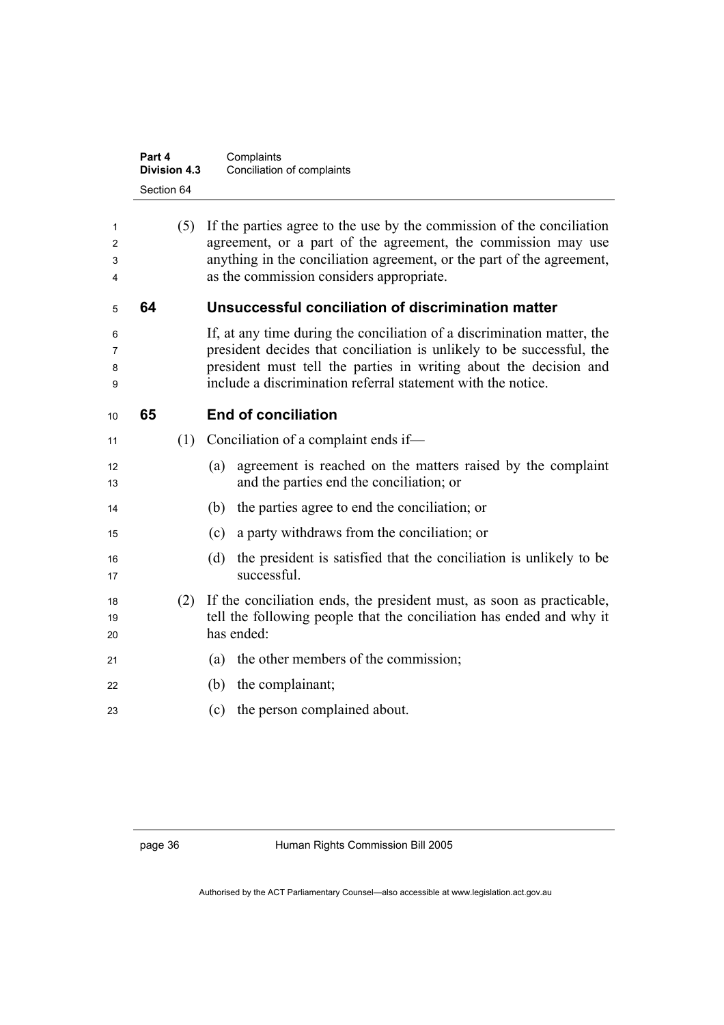|                  | Part 4<br><b>Division 4.3</b> |     | Complaints<br>Conciliation of complaints                                                                                                                                                                                                                                              |
|------------------|-------------------------------|-----|---------------------------------------------------------------------------------------------------------------------------------------------------------------------------------------------------------------------------------------------------------------------------------------|
|                  | Section 64                    |     |                                                                                                                                                                                                                                                                                       |
| 1<br>2<br>3<br>4 |                               | (5) | If the parties agree to the use by the commission of the conciliation<br>agreement, or a part of the agreement, the commission may use<br>anything in the conciliation agreement, or the part of the agreement,<br>as the commission considers appropriate.                           |
| 5                | 64                            |     | Unsuccessful conciliation of discrimination matter                                                                                                                                                                                                                                    |
| 6<br>7<br>8<br>9 |                               |     | If, at any time during the conciliation of a discrimination matter, the<br>president decides that conciliation is unlikely to be successful, the<br>president must tell the parties in writing about the decision and<br>include a discrimination referral statement with the notice. |
| 10               | 65                            |     | <b>End of conciliation</b>                                                                                                                                                                                                                                                            |
| 11               |                               | (1) | Conciliation of a complaint ends if—                                                                                                                                                                                                                                                  |
| 12<br>13         |                               |     | agreement is reached on the matters raised by the complaint<br>(a)<br>and the parties end the conciliation; or                                                                                                                                                                        |
| 14               |                               |     | the parties agree to end the conciliation; or<br>(b)                                                                                                                                                                                                                                  |
| 15               |                               |     | a party withdraws from the conciliation; or<br>(c)                                                                                                                                                                                                                                    |
| 16<br>17         |                               |     | the president is satisfied that the conciliation is unlikely to be<br>(d)<br>successful.                                                                                                                                                                                              |
| 18<br>19<br>20   |                               | (2) | If the conciliation ends, the president must, as soon as practicable,<br>tell the following people that the conciliation has ended and why it<br>has ended:                                                                                                                           |
| 21               |                               |     | the other members of the commission;<br>(a)                                                                                                                                                                                                                                           |
| 22               |                               |     | the complainant;<br>(b)                                                                                                                                                                                                                                                               |
| 23               |                               |     | the person complained about.<br>(c)                                                                                                                                                                                                                                                   |
|                  |                               |     |                                                                                                                                                                                                                                                                                       |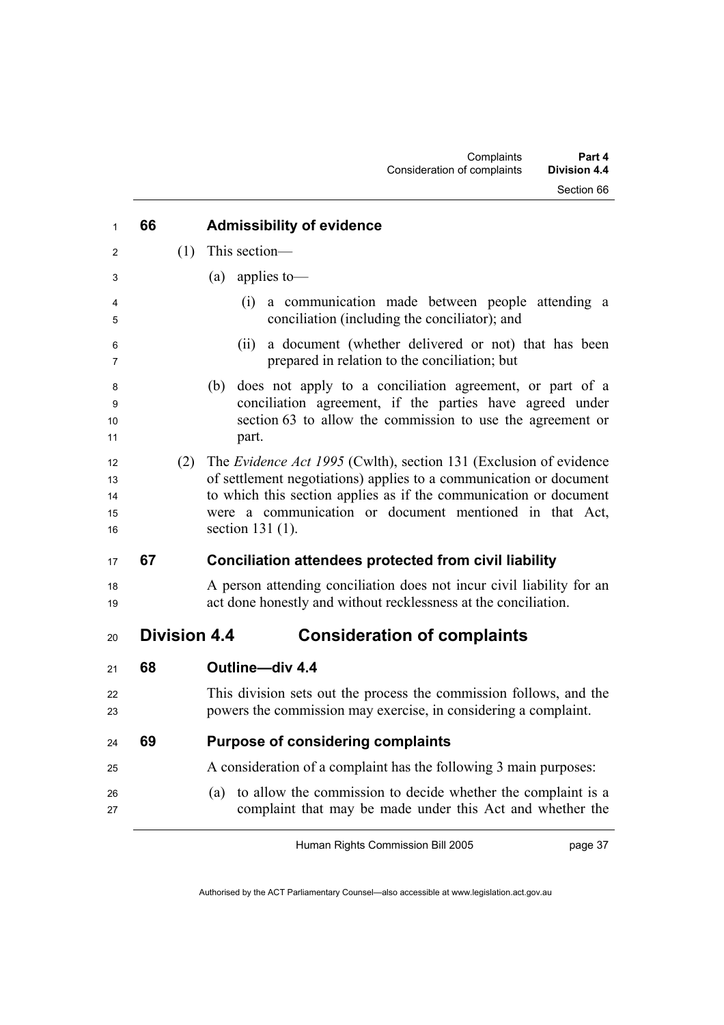| 1                          | 66                  | <b>Admissibility of evidence</b>                                                                                                                                                                                                                                                              |
|----------------------------|---------------------|-----------------------------------------------------------------------------------------------------------------------------------------------------------------------------------------------------------------------------------------------------------------------------------------------|
| 2                          | (1)                 | This section-                                                                                                                                                                                                                                                                                 |
| 3                          |                     | applies to-<br>(a)                                                                                                                                                                                                                                                                            |
| 4<br>5                     |                     | a communication made between people attending a<br>(i)<br>conciliation (including the conciliator); and                                                                                                                                                                                       |
| 6<br>7                     |                     | a document (whether delivered or not) that has been<br>(ii)<br>prepared in relation to the conciliation; but                                                                                                                                                                                  |
| 8<br>9<br>10<br>11         |                     | does not apply to a conciliation agreement, or part of a<br>(b)<br>conciliation agreement, if the parties have agreed under<br>section 63 to allow the commission to use the agreement or<br>part.                                                                                            |
| 12<br>13<br>14<br>15<br>16 | (2)                 | The Evidence Act 1995 (Cwlth), section 131 (Exclusion of evidence<br>of settlement negotiations) applies to a communication or document<br>to which this section applies as if the communication or document<br>were a communication or document mentioned in that Act,<br>section $131(1)$ . |
| 17                         | 67                  | <b>Conciliation attendees protected from civil liability</b>                                                                                                                                                                                                                                  |
| 18<br>19                   |                     | A person attending conciliation does not incur civil liability for an<br>act done honestly and without recklessness at the conciliation.                                                                                                                                                      |
| 20                         | <b>Division 4.4</b> | <b>Consideration of complaints</b>                                                                                                                                                                                                                                                            |
| 21                         | 68                  | Outline-div 4.4                                                                                                                                                                                                                                                                               |
| 22<br>23                   |                     | This division sets out the process the commission follows, and the<br>powers the commission may exercise, in considering a complaint.                                                                                                                                                         |
| 24                         | 69                  | <b>Purpose of considering complaints</b>                                                                                                                                                                                                                                                      |
| 25                         |                     | A consideration of a complaint has the following 3 main purposes:                                                                                                                                                                                                                             |
| 26<br>27                   |                     | to allow the commission to decide whether the complaint is a<br>(a)<br>complaint that may be made under this Act and whether the                                                                                                                                                              |

page 37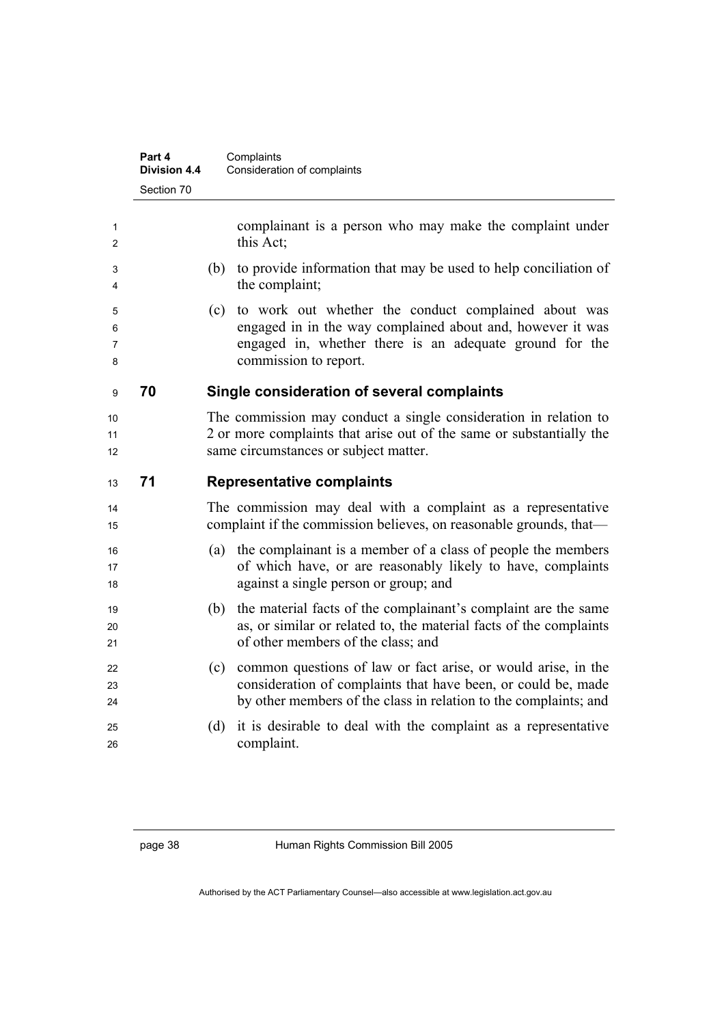|                  | Part 4<br><b>Division 4.4</b> | Complaints<br>Consideration of complaints                                                                                                                                                                     |  |  |
|------------------|-------------------------------|---------------------------------------------------------------------------------------------------------------------------------------------------------------------------------------------------------------|--|--|
|                  | Section 70                    |                                                                                                                                                                                                               |  |  |
| 1<br>2           |                               | complainant is a person who may make the complaint under<br>this Act;                                                                                                                                         |  |  |
| 3<br>4           |                               | to provide information that may be used to help conciliation of<br>(b)<br>the complaint;                                                                                                                      |  |  |
| 5<br>6<br>7<br>8 |                               | to work out whether the conduct complained about was<br>(c)<br>engaged in in the way complained about and, however it was<br>engaged in, whether there is an adequate ground for the<br>commission to report. |  |  |
| 9                | 70                            | Single consideration of several complaints                                                                                                                                                                    |  |  |
| 10<br>11<br>12   |                               | The commission may conduct a single consideration in relation to<br>2 or more complaints that arise out of the same or substantially the<br>same circumstances or subject matter.                             |  |  |
| 13               | 71                            | <b>Representative complaints</b>                                                                                                                                                                              |  |  |
| 14<br>15         |                               | The commission may deal with a complaint as a representative<br>complaint if the commission believes, on reasonable grounds, that—                                                                            |  |  |
| 16<br>17<br>18   |                               | the complainant is a member of a class of people the members<br>(a)<br>of which have, or are reasonably likely to have, complaints<br>against a single person or group; and                                   |  |  |
| 19<br>20<br>21   |                               | the material facts of the complainant's complaint are the same<br>(b)<br>as, or similar or related to, the material facts of the complaints<br>of other members of the class; and                             |  |  |
| 22<br>23<br>24   |                               | common questions of law or fact arise, or would arise, in the<br>(c)<br>consideration of complaints that have been, or could be, made<br>by other members of the class in relation to the complaints; and     |  |  |
| 25<br>26         |                               | it is desirable to deal with the complaint as a representative<br>(d)<br>complaint.                                                                                                                           |  |  |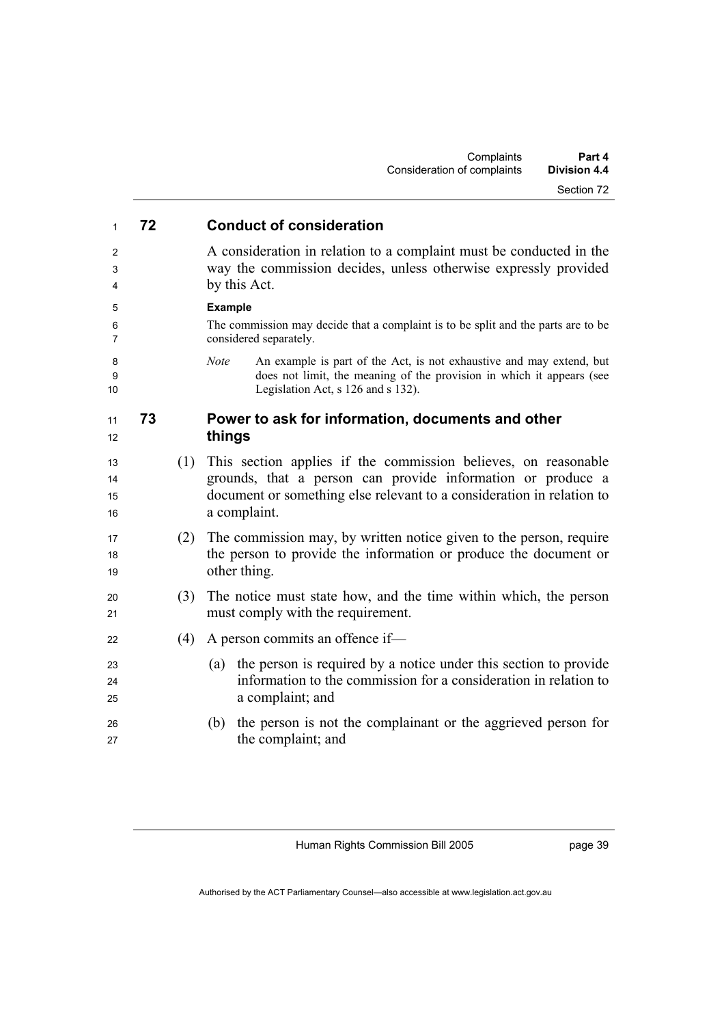| 1                    | 72 |     | <b>Conduct of consideration</b>                                                                                                                                                                                        |
|----------------------|----|-----|------------------------------------------------------------------------------------------------------------------------------------------------------------------------------------------------------------------------|
| 2<br>3<br>4          |    |     | A consideration in relation to a complaint must be conducted in the<br>way the commission decides, unless otherwise expressly provided<br>by this Act.                                                                 |
| 5                    |    |     | <b>Example</b>                                                                                                                                                                                                         |
| 6<br>7               |    |     | The commission may decide that a complaint is to be split and the parts are to be<br>considered separately.                                                                                                            |
| 8<br>9<br>10         |    |     | An example is part of the Act, is not exhaustive and may extend, but<br><b>Note</b><br>does not limit, the meaning of the provision in which it appears (see<br>Legislation Act, s 126 and s 132).                     |
| 11<br>12             | 73 |     | Power to ask for information, documents and other<br>things                                                                                                                                                            |
| 13<br>14<br>15<br>16 |    | (1) | This section applies if the commission believes, on reasonable<br>grounds, that a person can provide information or produce a<br>document or something else relevant to a consideration in relation to<br>a complaint. |
| 17<br>18<br>19       |    | (2) | The commission may, by written notice given to the person, require<br>the person to provide the information or produce the document or<br>other thing.                                                                 |
| 20<br>21             |    | (3) | The notice must state how, and the time within which, the person<br>must comply with the requirement.                                                                                                                  |
| 22                   |    | (4) | A person commits an offence if-                                                                                                                                                                                        |
| 23<br>24<br>25       |    |     | the person is required by a notice under this section to provide<br>(a)<br>information to the commission for a consideration in relation to<br>a complaint; and                                                        |
| 26<br>27             |    |     | the person is not the complainant or the aggrieved person for<br>(b)<br>the complaint; and                                                                                                                             |

page 39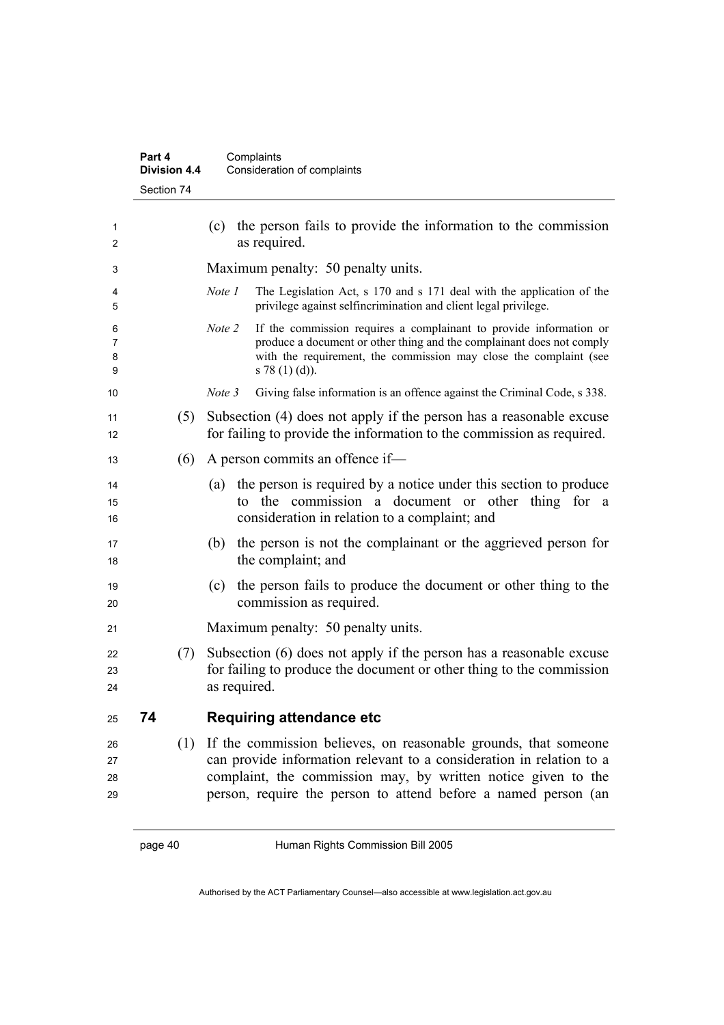| Part 4              | Complaints                  |
|---------------------|-----------------------------|
| <b>Division 4.4</b> | Consideration of complaints |
| Section 74          |                             |

| 1<br>2               |    |     | the person fails to provide the information to the commission<br>(c)<br>as required.                                                                                                                                                                                       |
|----------------------|----|-----|----------------------------------------------------------------------------------------------------------------------------------------------------------------------------------------------------------------------------------------------------------------------------|
| 3                    |    |     | Maximum penalty: 50 penalty units.                                                                                                                                                                                                                                         |
| 4<br>5               |    |     | The Legislation Act, s 170 and s 171 deal with the application of the<br>Note 1<br>privilege against selfincrimination and client legal privilege.                                                                                                                         |
| 6<br>7<br>8<br>9     |    |     | If the commission requires a complainant to provide information or<br>Note 2<br>produce a document or other thing and the complainant does not comply<br>with the requirement, the commission may close the complaint (see<br>$s 78(1)(d)$ ).                              |
| 10                   |    |     | Giving false information is an offence against the Criminal Code, s 338.<br>Note 3                                                                                                                                                                                         |
| 11<br>12             |    | (5) | Subsection (4) does not apply if the person has a reasonable excuse<br>for failing to provide the information to the commission as required.                                                                                                                               |
| 13                   |    | (6) | A person commits an offence if-                                                                                                                                                                                                                                            |
| 14<br>15<br>16       |    |     | the person is required by a notice under this section to produce<br>(a)<br>to the commission a document or other thing for a<br>consideration in relation to a complaint; and                                                                                              |
| 17<br>18             |    |     | the person is not the complainant or the aggrieved person for<br>(b)<br>the complaint; and                                                                                                                                                                                 |
| 19<br>20             |    |     | the person fails to produce the document or other thing to the<br>(c)<br>commission as required.                                                                                                                                                                           |
| 21                   |    |     | Maximum penalty: 50 penalty units.                                                                                                                                                                                                                                         |
| 22<br>23<br>24       |    | (7) | Subsection (6) does not apply if the person has a reasonable excuse<br>for failing to produce the document or other thing to the commission<br>as required.                                                                                                                |
| 25                   | 74 |     | <b>Requiring attendance etc</b>                                                                                                                                                                                                                                            |
| 26<br>27<br>28<br>29 |    | (1) | If the commission believes, on reasonable grounds, that someone<br>can provide information relevant to a consideration in relation to a<br>complaint, the commission may, by written notice given to the<br>person, require the person to attend before a named person (an |
|                      |    |     |                                                                                                                                                                                                                                                                            |

page 40 Human Rights Commission Bill 2005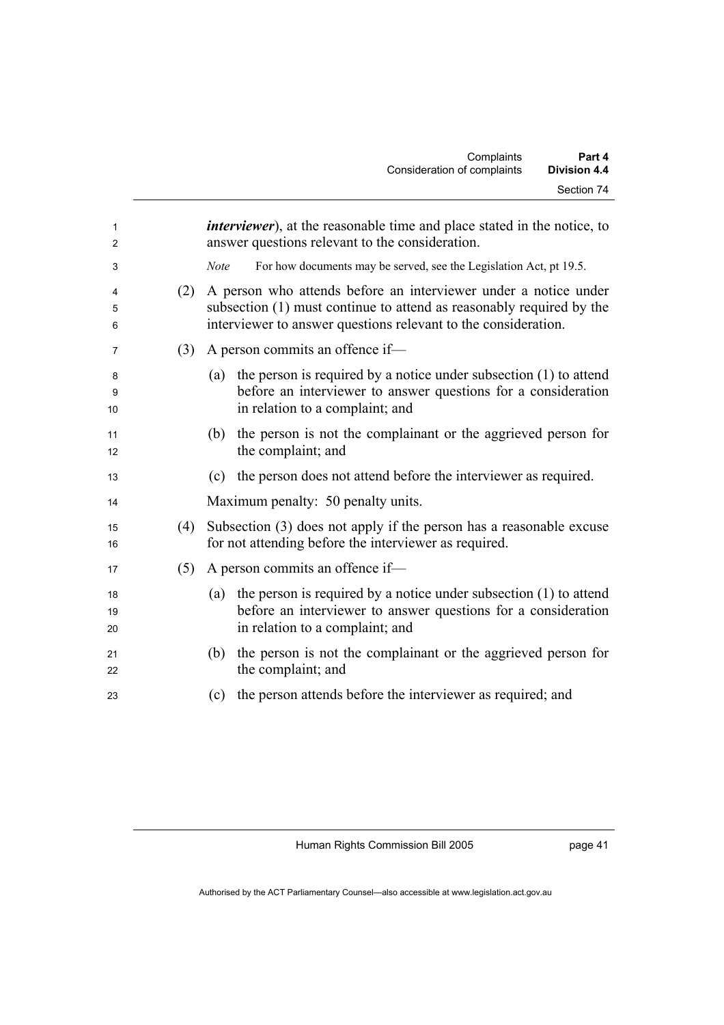| $\mathbf{1}$<br>2 |     | <i>interviewer</i> ), at the reasonable time and place stated in the notice, to<br>answer questions relevant to the consideration.                                                                        |
|-------------------|-----|-----------------------------------------------------------------------------------------------------------------------------------------------------------------------------------------------------------|
| 3                 |     | <b>Note</b><br>For how documents may be served, see the Legislation Act, pt 19.5.                                                                                                                         |
| 4<br>5<br>6       | (2) | A person who attends before an interviewer under a notice under<br>subsection (1) must continue to attend as reasonably required by the<br>interviewer to answer questions relevant to the consideration. |
| 7                 | (3) | A person commits an offence if-                                                                                                                                                                           |
| 8<br>9<br>10      |     | the person is required by a notice under subsection $(1)$ to attend<br>(a)<br>before an interviewer to answer questions for a consideration<br>in relation to a complaint; and                            |
| 11<br>12          |     | the person is not the complainant or the aggrieved person for<br>(b)<br>the complaint; and                                                                                                                |
| 13                |     | the person does not attend before the interviewer as required.<br>(c)                                                                                                                                     |
| 14                |     | Maximum penalty: 50 penalty units.                                                                                                                                                                        |
| 15<br>16          | (4) | Subsection (3) does not apply if the person has a reasonable excuse<br>for not attending before the interviewer as required.                                                                              |
| 17                | (5) | A person commits an offence if-                                                                                                                                                                           |
| 18<br>19<br>20    |     | the person is required by a notice under subsection $(1)$ to attend<br>(a)<br>before an interviewer to answer questions for a consideration<br>in relation to a complaint; and                            |
| 21<br>22          |     | the person is not the complainant or the aggrieved person for<br>(b)<br>the complaint; and                                                                                                                |
| 23                |     | the person attends before the interviewer as required; and<br>(c)                                                                                                                                         |

page 41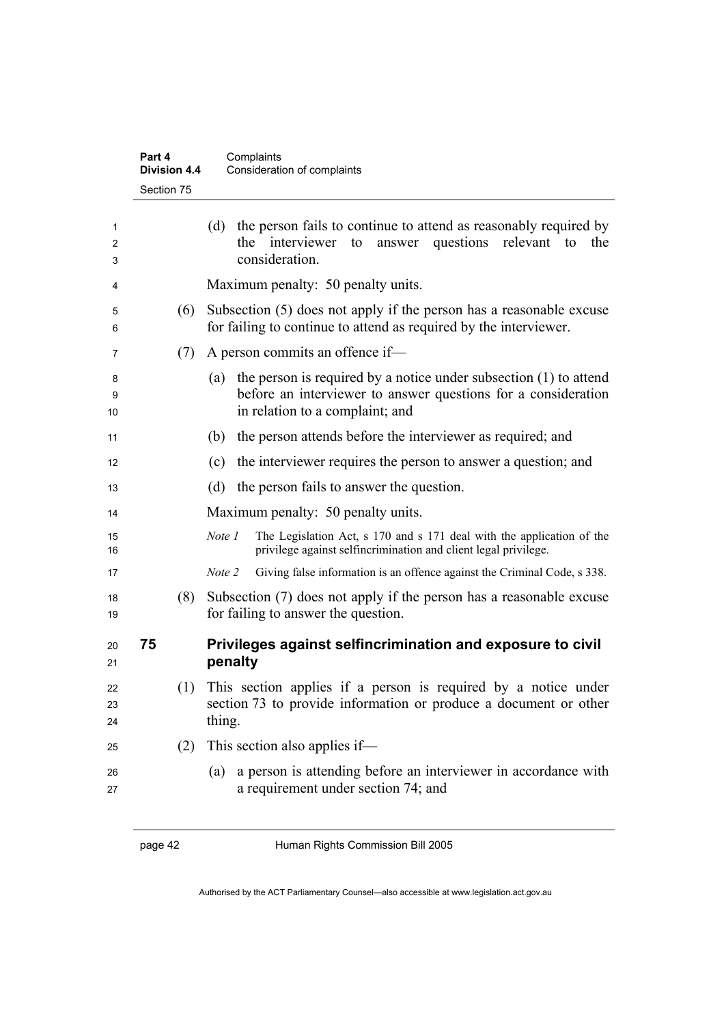|                | Part 4<br><b>Division 4.4</b> | Complaints<br>Consideration of complaints                                                                                                                                      |
|----------------|-------------------------------|--------------------------------------------------------------------------------------------------------------------------------------------------------------------------------|
|                | Section 75                    |                                                                                                                                                                                |
| 1<br>2<br>3    |                               | the person fails to continue to attend as reasonably required by<br>(d)<br>the interviewer to answer questions relevant to<br>the<br>consideration.                            |
| 4              |                               | Maximum penalty: 50 penalty units.                                                                                                                                             |
| 5<br>6         | (6)                           | Subsection (5) does not apply if the person has a reasonable excuse<br>for failing to continue to attend as required by the interviewer.                                       |
| 7              | (7)                           | A person commits an offence if-                                                                                                                                                |
| 8<br>9<br>10   |                               | the person is required by a notice under subsection $(1)$ to attend<br>(a)<br>before an interviewer to answer questions for a consideration<br>in relation to a complaint; and |
| 11             |                               | the person attends before the interviewer as required; and<br>(b)                                                                                                              |
| 12             |                               | the interviewer requires the person to answer a question; and<br>(c)                                                                                                           |
| 13             |                               | (d)<br>the person fails to answer the question.                                                                                                                                |
| 14             |                               | Maximum penalty: 50 penalty units.                                                                                                                                             |
| 15<br>16       |                               | The Legislation Act, s 170 and s 171 deal with the application of the<br>Note 1<br>privilege against selfincrimination and client legal privilege.                             |
| 17             |                               | Note 2<br>Giving false information is an offence against the Criminal Code, s 338.                                                                                             |
| 18<br>19       | (8)                           | Subsection (7) does not apply if the person has a reasonable excuse<br>for failing to answer the question.                                                                     |
| 20<br>21       | 75                            | Privileges against selfincrimination and exposure to civil<br>penalty                                                                                                          |
| 22<br>23<br>24 | (1)                           | This section applies if a person is required by a notice under<br>section 73 to provide information or produce a document or other<br>thing.                                   |
| 25             | (2)                           | This section also applies if—                                                                                                                                                  |
| 26<br>27       |                               | a person is attending before an interviewer in accordance with<br>(a)<br>a requirement under section 74; and                                                                   |

page 42 Human Rights Commission Bill 2005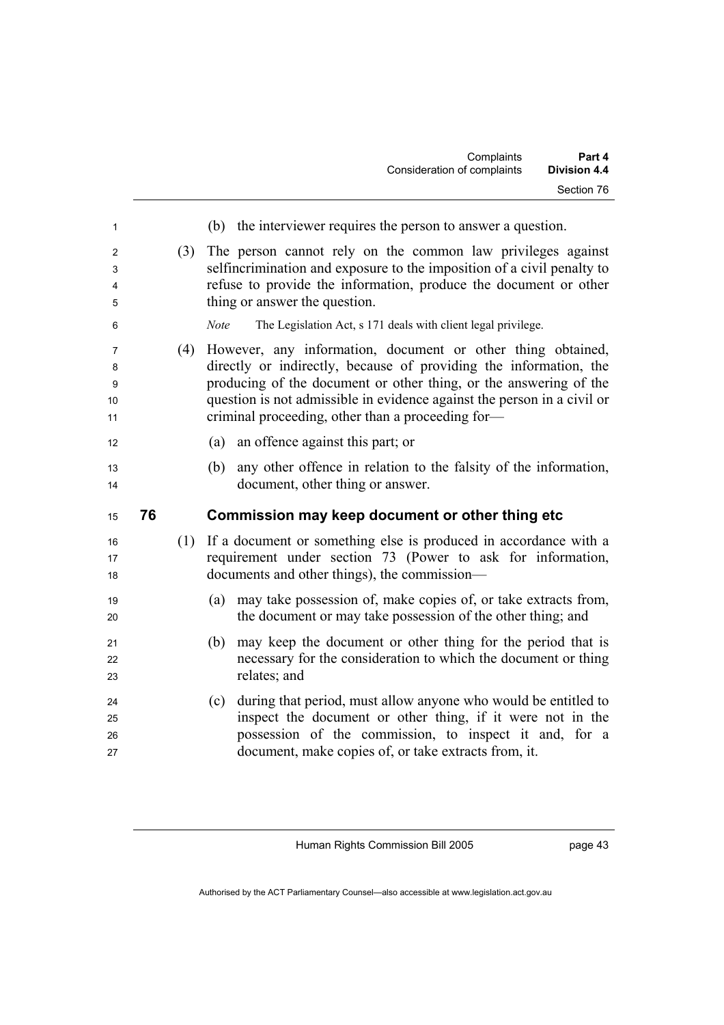|                         |    |     | Complaints<br>Part 4<br>Consideration of complaints<br><b>Division 4.4</b>                                                                                                                                                                                                                                                            |
|-------------------------|----|-----|---------------------------------------------------------------------------------------------------------------------------------------------------------------------------------------------------------------------------------------------------------------------------------------------------------------------------------------|
|                         |    |     | Section 76                                                                                                                                                                                                                                                                                                                            |
| 1                       |    |     | (b) the interviewer requires the person to answer a question.                                                                                                                                                                                                                                                                         |
| 2<br>3<br>4<br>5        |    | (3) | The person cannot rely on the common law privileges against<br>selfincrimination and exposure to the imposition of a civil penalty to<br>refuse to provide the information, produce the document or other<br>thing or answer the question.                                                                                            |
| 6                       |    |     | The Legislation Act, s 171 deals with client legal privilege.<br><b>Note</b>                                                                                                                                                                                                                                                          |
| 7<br>8<br>9<br>10<br>11 |    | (4) | However, any information, document or other thing obtained,<br>directly or indirectly, because of providing the information, the<br>producing of the document or other thing, or the answering of the<br>question is not admissible in evidence against the person in a civil or<br>criminal proceeding, other than a proceeding for- |
| 12                      |    |     | an offence against this part; or<br>(a)                                                                                                                                                                                                                                                                                               |
| 13<br>14                |    |     | any other offence in relation to the falsity of the information,<br>(b)<br>document, other thing or answer.                                                                                                                                                                                                                           |
| 15                      | 76 |     | Commission may keep document or other thing etc                                                                                                                                                                                                                                                                                       |
| 16<br>17<br>18          |    | (1) | If a document or something else is produced in accordance with a<br>requirement under section 73 (Power to ask for information,<br>documents and other things), the commission—                                                                                                                                                       |
| 19<br>20                |    |     | may take possession of, make copies of, or take extracts from,<br>(a)<br>the document or may take possession of the other thing; and                                                                                                                                                                                                  |
| 21<br>22<br>23          |    |     | may keep the document or other thing for the period that is<br>(b)<br>necessary for the consideration to which the document or thing<br>relates; and                                                                                                                                                                                  |
| 24<br>25<br>26<br>27    |    |     | during that period, must allow anyone who would be entitled to<br>(c)<br>inspect the document or other thing, if it were not in the<br>possession of the commission, to inspect it and, for a<br>document, make copies of, or take extracts from, it.                                                                                 |

page 43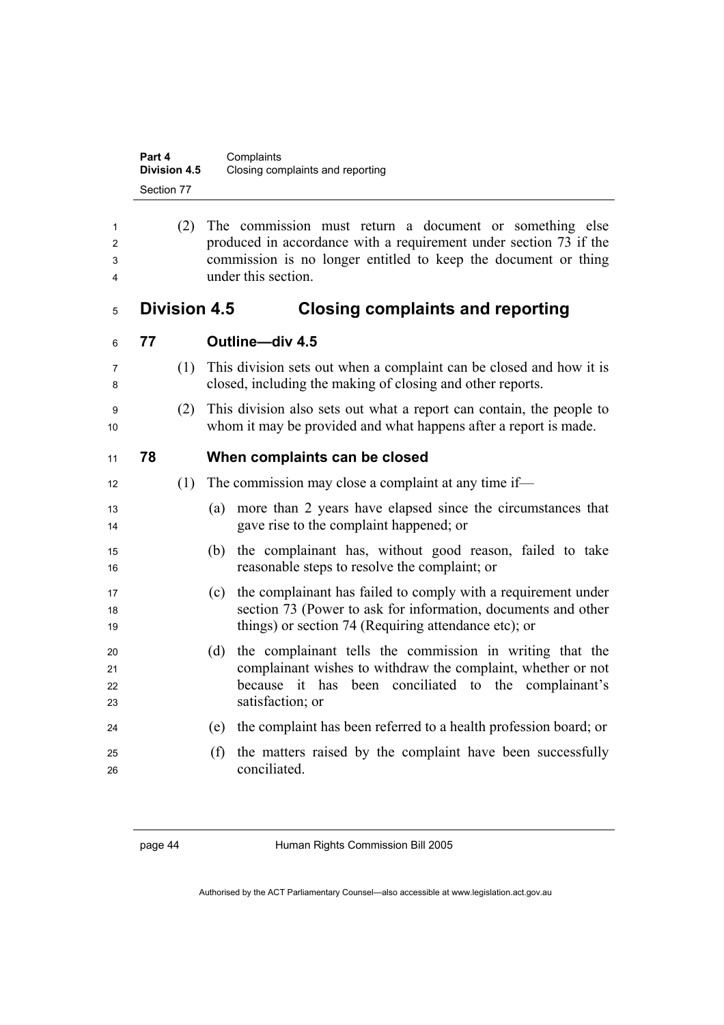| Part 4              | Complaints                       |
|---------------------|----------------------------------|
| <b>Division 4.5</b> | Closing complaints and reporting |
| Section 77          |                                  |

|   | (2) The commission must return a document or something else       |
|---|-------------------------------------------------------------------|
|   | produced in accordance with a requirement under section 73 if the |
|   | commission is no longer entitled to keep the document or thing    |
| 4 | under this section.                                               |

### **Division 4.5 Closing complaints and reporting**

| 6 | 77 | Outline-div 4.5           |
|---|----|---------------------------|
| 7 |    | (1) This division sets of |
| 8 |    | closed, including th      |
| 9 |    | (2) This division also    |
|   |    | whom it may be pro        |

- (1) This division sets out when a complaint can be closed and how it is closed, including the making of closing and other reports.
- (2) This division also sets out what a report can contain, the people to whom it may be provided and what happens after a report is made.

### **78 When complaints can be closed**

- 12 (1) The commission may close a complaint at any time if—
- (a) more than 2 years have elapsed since the circumstances that gave rise to the complaint happened; or
- (b) the complainant has, without good reason, failed to take reasonable steps to resolve the complaint; or
- (c) the complainant has failed to comply with a requirement under section 73 (Power to ask for information, documents and other 19 things) or section 74 (Requiring attendance etc); or
- (d) the complainant tells the commission in writing that the complainant wishes to withdraw the complaint, whether or not because it has been conciliated to the complainant's satisfaction; or
- (e) the complaint has been referred to a health profession board; or
- (f) the matters raised by the complaint have been successfully conciliated.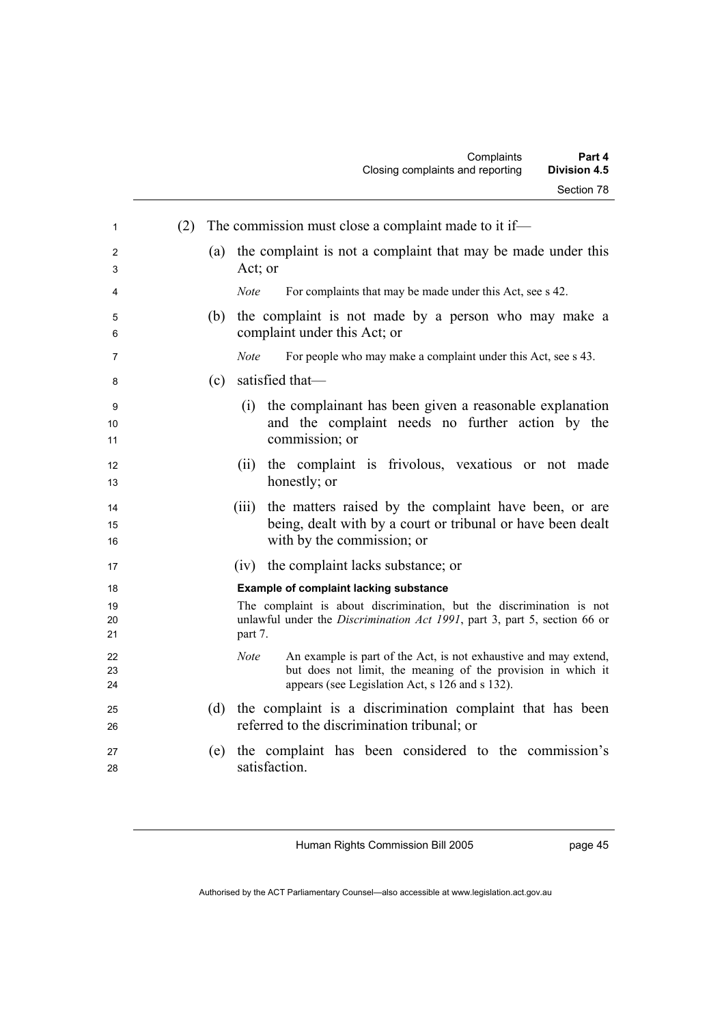|                | <b>Division 4.5</b><br>Closing complaints and reporting                                                                                                                                     |
|----------------|---------------------------------------------------------------------------------------------------------------------------------------------------------------------------------------------|
|                | Section 78                                                                                                                                                                                  |
| (2)<br>1       | The commission must close a complaint made to it if—                                                                                                                                        |
| 2<br>3         | the complaint is not a complaint that may be made under this<br>(a)<br>Act; or                                                                                                              |
| 4              | Note<br>For complaints that may be made under this Act, see s 42.                                                                                                                           |
| 5<br>6         | the complaint is not made by a person who may make a<br>(b)<br>complaint under this Act; or                                                                                                 |
| 7              | Note<br>For people who may make a complaint under this Act, see s 43.                                                                                                                       |
| 8              | satisfied that-<br>(c)                                                                                                                                                                      |
| 9<br>10<br>11  | the complainant has been given a reasonable explanation<br>(1)<br>and the complaint needs no further action by the<br>commission; or                                                        |
| 12<br>13       | the complaint is frivolous, vexatious or not made<br>(ii)<br>honestly; or                                                                                                                   |
| 14<br>15<br>16 | the matters raised by the complaint have been, or are<br>(iii)<br>being, dealt with by a court or tribunal or have been dealt<br>with by the commission; or                                 |
| 17             | (iv) the complaint lacks substance; or                                                                                                                                                      |
| 18             | <b>Example of complaint lacking substance</b>                                                                                                                                               |
| 19<br>20<br>21 | The complaint is about discrimination, but the discrimination is not<br>unlawful under the Discrimination Act 1991, part 3, part 5, section 66 or<br>part 7.                                |
| 22<br>23<br>24 | Note<br>An example is part of the Act, is not exhaustive and may extend,<br>but does not limit, the meaning of the provision in which it<br>appears (see Legislation Act, s 126 and s 132). |
| 25<br>26       | the complaint is a discrimination complaint that has been<br>(d)<br>referred to the discrimination tribunal; or                                                                             |
| 27<br>28       | the complaint has been considered to the commission's<br>(e)<br>satisfaction.                                                                                                               |

page 45

Complaints **Part 4**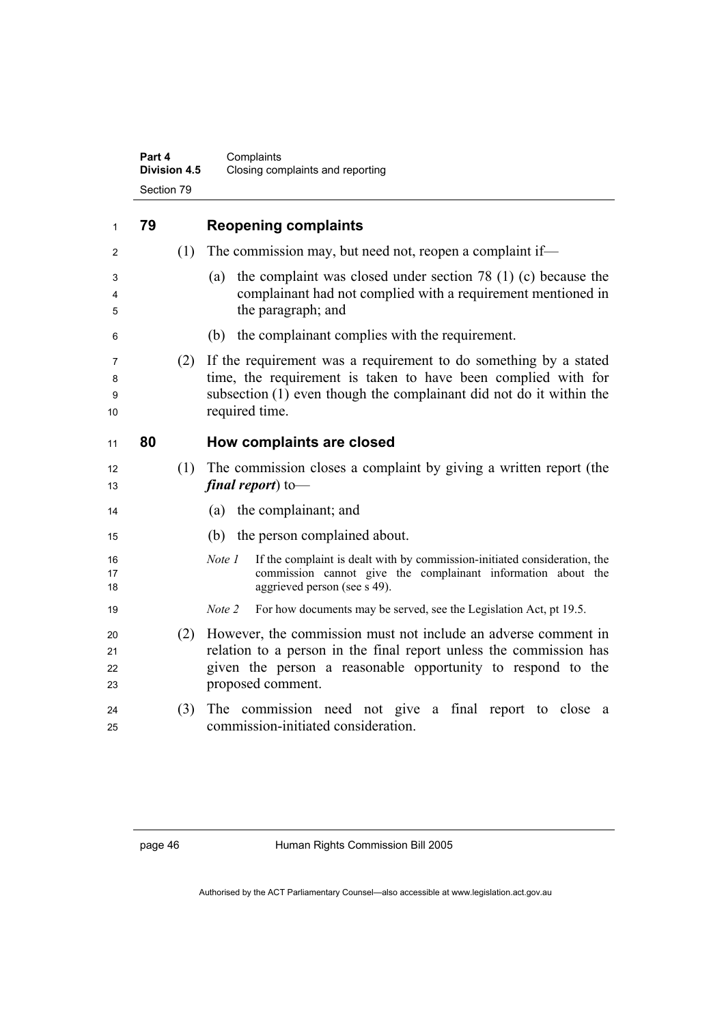|                      | Part 4<br>Division 4.5 | Complaints<br>Closing complaints and reporting                                                                                                                                                                             |
|----------------------|------------------------|----------------------------------------------------------------------------------------------------------------------------------------------------------------------------------------------------------------------------|
|                      | Section 79             |                                                                                                                                                                                                                            |
| 1                    | 79                     | <b>Reopening complaints</b>                                                                                                                                                                                                |
| 2                    | (1)                    | The commission may, but need not, reopen a complaint if—                                                                                                                                                                   |
| 3<br>4<br>5          |                        | the complaint was closed under section 78 $(1)$ (c) because the<br>(a)<br>complainant had not complied with a requirement mentioned in<br>the paragraph; and                                                               |
| 6                    |                        | the complainant complies with the requirement.<br>(b)                                                                                                                                                                      |
| 7<br>8<br>9<br>10    | (2)                    | If the requirement was a requirement to do something by a stated<br>time, the requirement is taken to have been complied with for<br>subsection (1) even though the complainant did not do it within the<br>required time. |
| 11                   | 80                     | How complaints are closed                                                                                                                                                                                                  |
| 12<br>13             | (1)                    | The commission closes a complaint by giving a written report (the<br>final report) to-                                                                                                                                     |
| 14                   |                        | (a) the complainant; and                                                                                                                                                                                                   |
| 15                   |                        | (b) the person complained about.                                                                                                                                                                                           |
| 16<br>17<br>18       |                        | If the complaint is dealt with by commission-initiated consideration, the<br>Note 1<br>commission cannot give the complainant information about the<br>aggrieved person (see s 49).                                        |
| 19                   |                        | For how documents may be served, see the Legislation Act, pt 19.5.<br>Note 2                                                                                                                                               |
| 20<br>21<br>22<br>23 | (2)                    | However, the commission must not include an adverse comment in<br>relation to a person in the final report unless the commission has<br>given the person a reasonable opportunity to respond to the<br>proposed comment.   |
| 24<br>25             | (3)                    | The commission need not give a final report to close<br>- a<br>commission-initiated consideration.                                                                                                                         |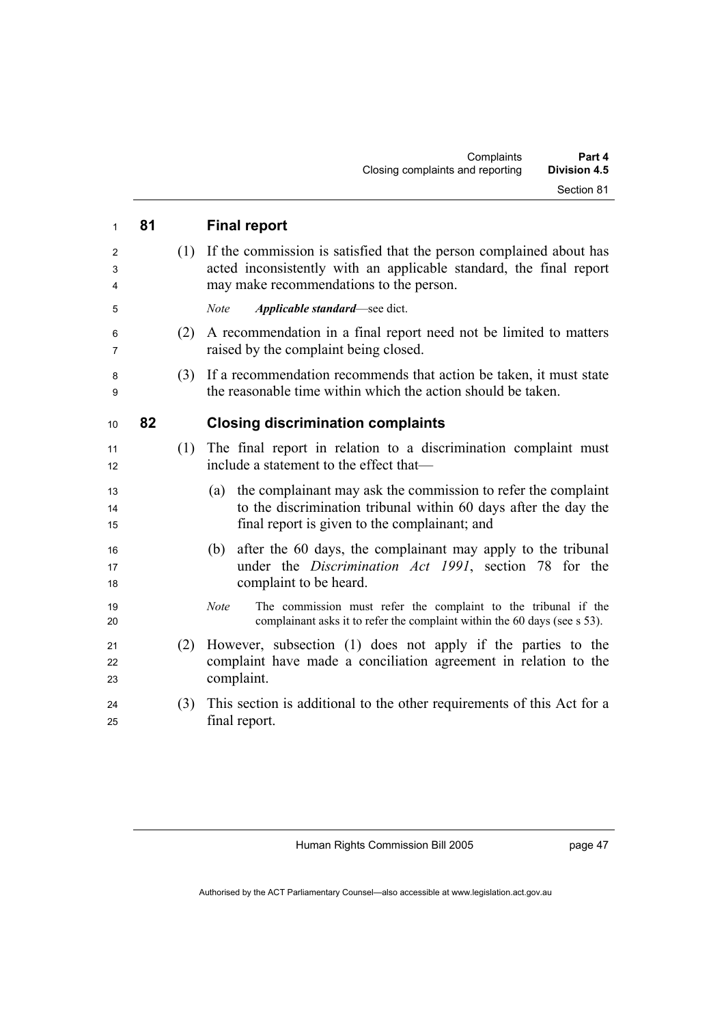| $\mathbf{1}$             | 81 |     | <b>Final report</b>                                                                                                                                                                      |
|--------------------------|----|-----|------------------------------------------------------------------------------------------------------------------------------------------------------------------------------------------|
| $\overline{2}$<br>3<br>4 |    | (1) | If the commission is satisfied that the person complained about has<br>acted inconsistently with an applicable standard, the final report<br>may make recommendations to the person.     |
| 5                        |    |     | Applicable standard-see dict.<br><b>Note</b>                                                                                                                                             |
| 6<br>7                   |    | (2) | A recommendation in a final report need not be limited to matters<br>raised by the complaint being closed.                                                                               |
| 8<br>9                   |    | (3) | If a recommendation recommends that action be taken, it must state<br>the reasonable time within which the action should be taken.                                                       |
| 10                       | 82 |     | <b>Closing discrimination complaints</b>                                                                                                                                                 |
| 11<br>12                 |    |     | (1) The final report in relation to a discrimination complaint must<br>include a statement to the effect that—                                                                           |
| 13<br>14<br>15           |    |     | the complainant may ask the commission to refer the complaint<br>(a)<br>to the discrimination tribunal within 60 days after the day the<br>final report is given to the complainant; and |
| 16<br>17<br>18           |    |     | after the 60 days, the complainant may apply to the tribunal<br>(b)<br>under the <i>Discrimination Act 1991</i> , section 78 for the<br>complaint to be heard.                           |
| 19<br>20                 |    |     | The commission must refer the complaint to the tribunal if the<br><b>Note</b><br>complainant asks it to refer the complaint within the 60 days (see s 53).                               |
| 21<br>22<br>23           |    | (2) | However, subsection (1) does not apply if the parties to the<br>complaint have made a conciliation agreement in relation to the<br>complaint.                                            |
| 24<br>25                 |    | (3) | This section is additional to the other requirements of this Act for a<br>final report.                                                                                                  |

page 47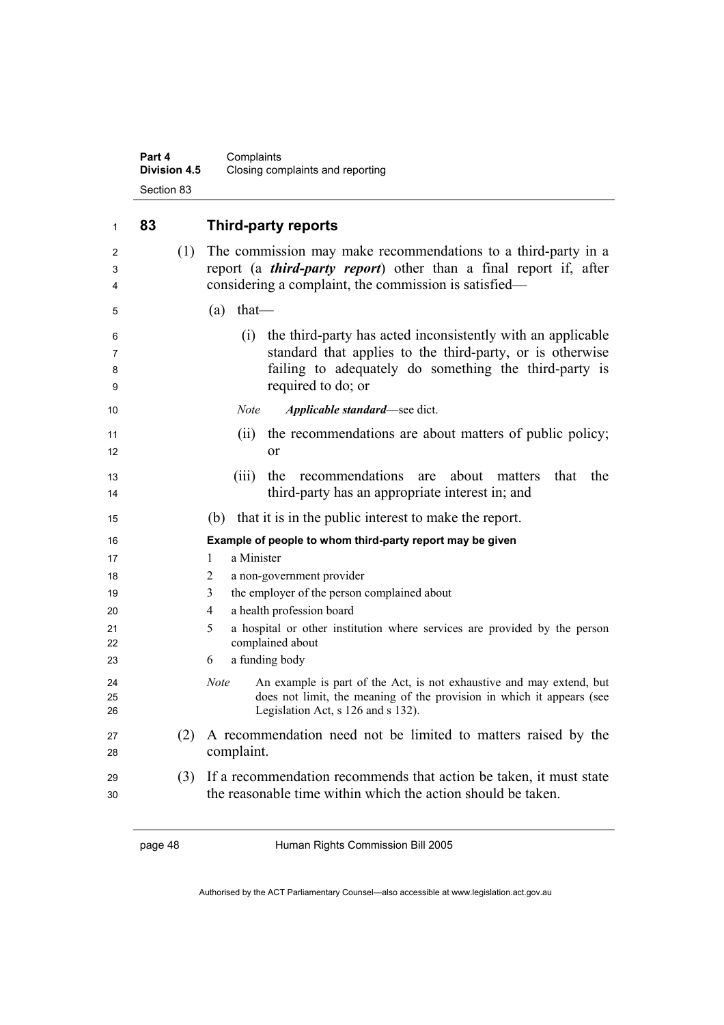### **Part 4** Complaints **Division 4.5** Closing complaints and reporting Section 83

| 1                | 83  | <b>Third-party reports</b>                                                                                                                                                                                     |
|------------------|-----|----------------------------------------------------------------------------------------------------------------------------------------------------------------------------------------------------------------|
| 2<br>3<br>4      | (1) | The commission may make recommendations to a third-party in a<br>report (a <i>third-party report</i> ) other than a final report if, after<br>considering a complaint, the commission is satisfied—            |
| 5                |     | (a)<br>$that$ —                                                                                                                                                                                                |
| 6<br>7<br>8<br>9 |     | the third-party has acted inconsistently with an applicable<br>(i)<br>standard that applies to the third-party, or is otherwise<br>failing to adequately do something the third-party is<br>required to do; or |
| 10               |     | <b>Note</b><br>Applicable standard-see dict.                                                                                                                                                                   |
| 11<br>12         |     | the recommendations are about matters of public policy;<br>(ii)<br><sub>or</sub>                                                                                                                               |
| 13<br>14         |     | recommendations<br>(iii)<br>about<br>that<br>the<br>the<br>matters<br>are<br>third-party has an appropriate interest in; and                                                                                   |
| 15               |     | that it is in the public interest to make the report.<br>(b)                                                                                                                                                   |
| 16               |     | Example of people to whom third-party report may be given                                                                                                                                                      |
| 17               |     | a Minister<br>1                                                                                                                                                                                                |
| 18               |     | 2<br>a non-government provider                                                                                                                                                                                 |
| 19               |     | the employer of the person complained about<br>3                                                                                                                                                               |
| 20               |     | a health profession board<br>4                                                                                                                                                                                 |
| 21<br>22         |     | 5<br>a hospital or other institution where services are provided by the person<br>complained about                                                                                                             |
| 23               |     | a funding body<br>6                                                                                                                                                                                            |
| 24<br>25<br>26   |     | <b>Note</b><br>An example is part of the Act, is not exhaustive and may extend, but<br>does not limit, the meaning of the provision in which it appears (see<br>Legislation Act, s 126 and s 132).             |
| 27<br>28         | (2) | A recommendation need not be limited to matters raised by the<br>complaint.                                                                                                                                    |
| 29<br>30         | (3) | If a recommendation recommends that action be taken, it must state<br>the reasonable time within which the action should be taken.                                                                             |

page 48 Human Rights Commission Bill 2005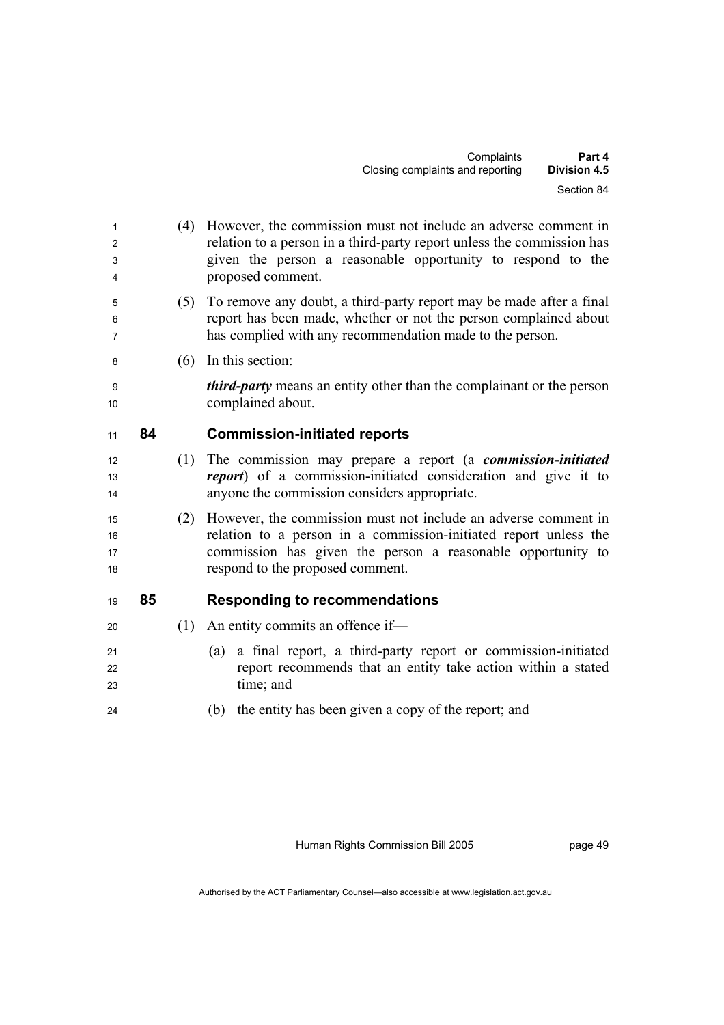| 1  |    | (4) | However, the commission must not include an adverse comment in              |
|----|----|-----|-----------------------------------------------------------------------------|
| 2  |    |     | relation to a person in a third-party report unless the commission has      |
| 3  |    |     | given the person a reasonable opportunity to respond to the                 |
| 4  |    |     | proposed comment.                                                           |
| 5  |    | (5) | To remove any doubt, a third-party report may be made after a final         |
| 6  |    |     | report has been made, whether or not the person complained about            |
| 7  |    |     | has complied with any recommendation made to the person.                    |
| 8  |    | (6) | In this section:                                                            |
| 9  |    |     | <i>third-party</i> means an entity other than the complainant or the person |
| 10 |    |     | complained about.                                                           |
| 11 | 84 |     | <b>Commission-initiated reports</b>                                         |
| 12 |    | (1) | The commission may prepare a report (a <i>commission-initiated</i>          |
| 13 |    |     | <i>report</i> ) of a commission-initiated consideration and give it to      |
| 14 |    |     | anyone the commission considers appropriate.                                |
| 15 |    | (2) | However, the commission must not include an adverse comment in              |
| 16 |    |     | relation to a person in a commission-initiated report unless the            |
| 17 |    |     | commission has given the person a reasonable opportunity to                 |
| 18 |    |     | respond to the proposed comment.                                            |
| 19 | 85 |     | <b>Responding to recommendations</b>                                        |
| 20 |    | (1) | An entity commits an offence if-                                            |
| 21 |    |     | a final report, a third-party report or commission-initiated<br>(a)         |
| 22 |    |     | report recommends that an entity take action within a stated                |
| 23 |    |     | time; and                                                                   |
| 24 |    |     | the entity has been given a copy of the report; and<br>(b)                  |
|    |    |     |                                                                             |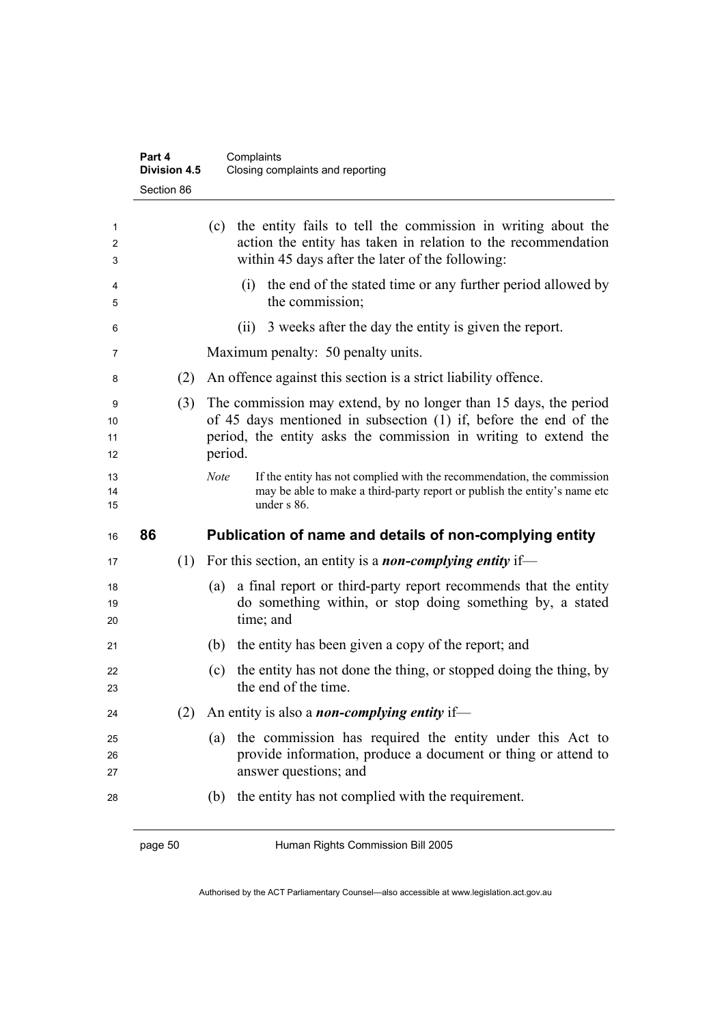|                     | Part 4<br><b>Division 4.5</b> | Complaints<br>Closing complaints and reporting                                                                                                                                                                     |
|---------------------|-------------------------------|--------------------------------------------------------------------------------------------------------------------------------------------------------------------------------------------------------------------|
|                     | Section 86                    |                                                                                                                                                                                                                    |
| 1<br>2<br>3         |                               | the entity fails to tell the commission in writing about the<br>(c)<br>action the entity has taken in relation to the recommendation<br>within 45 days after the later of the following:                           |
| 4<br>5              |                               | the end of the stated time or any further period allowed by<br>(i)<br>the commission;                                                                                                                              |
| 6                   |                               | (ii) 3 weeks after the day the entity is given the report.                                                                                                                                                         |
| 7                   |                               | Maximum penalty: 50 penalty units.                                                                                                                                                                                 |
| 8                   | (2)                           | An offence against this section is a strict liability offence.                                                                                                                                                     |
| 9<br>10<br>11<br>12 | (3)                           | The commission may extend, by no longer than 15 days, the period<br>of 45 days mentioned in subsection (1) if, before the end of the<br>period, the entity asks the commission in writing to extend the<br>period. |
| 13<br>14<br>15      |                               | <b>Note</b><br>If the entity has not complied with the recommendation, the commission<br>may be able to make a third-party report or publish the entity's name etc<br>under $s$ 86.                                |
| 16                  | 86                            | Publication of name and details of non-complying entity                                                                                                                                                            |
| 17                  | (1)                           | For this section, an entity is a <i>non-complying entity</i> if—                                                                                                                                                   |
| 18<br>19<br>20      |                               | a final report or third-party report recommends that the entity<br>(a)<br>do something within, or stop doing something by, a stated<br>time; and                                                                   |
| 21                  |                               | the entity has been given a copy of the report; and<br>(b)                                                                                                                                                         |
| 22<br>23            |                               | the entity has not done the thing, or stopped doing the thing, by<br>(c)<br>the end of the time.                                                                                                                   |
| 24                  | (2)                           | An entity is also a <i>non-complying entity</i> if—                                                                                                                                                                |
| 25<br>26<br>27      |                               | the commission has required the entity under this Act to<br>(a)<br>provide information, produce a document or thing or attend to<br>answer questions; and                                                          |
| 28                  |                               | the entity has not complied with the requirement.<br>(b)                                                                                                                                                           |

page 50 Human Rights Commission Bill 2005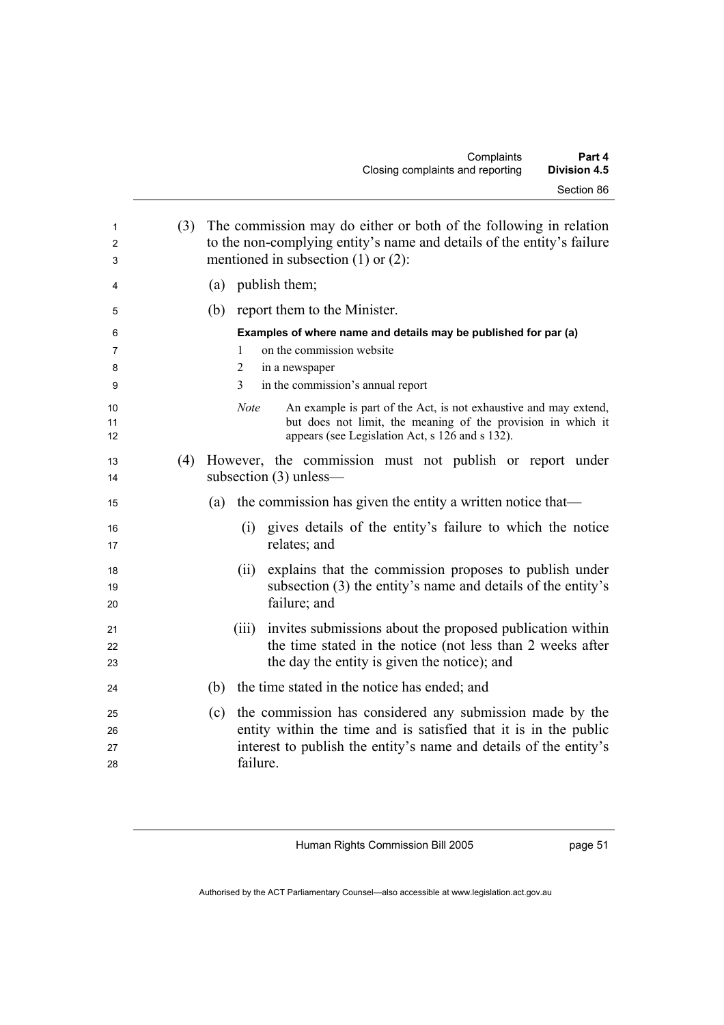| 1<br>2         | (3) | The commission may do either or both of the following in relation<br>to the non-complying entity's name and details of the entity's failure                                                        |
|----------------|-----|----------------------------------------------------------------------------------------------------------------------------------------------------------------------------------------------------|
| 3              |     | mentioned in subsection $(1)$ or $(2)$ :                                                                                                                                                           |
| 4              |     | (a) publish them;                                                                                                                                                                                  |
| 5              |     | (b) report them to the Minister.                                                                                                                                                                   |
| 6              |     | Examples of where name and details may be published for par (a)                                                                                                                                    |
| $\overline{7}$ |     | on the commission website<br>1                                                                                                                                                                     |
| 8              |     | 2<br>in a newspaper                                                                                                                                                                                |
| 9              |     | 3<br>in the commission's annual report                                                                                                                                                             |
| 10<br>11<br>12 |     | <b>Note</b><br>An example is part of the Act, is not exhaustive and may extend,<br>but does not limit, the meaning of the provision in which it<br>appears (see Legislation Act, s 126 and s 132). |
| 13<br>14       | (4) | However, the commission must not publish or report under<br>subsection $(3)$ unless—                                                                                                               |
| 15             |     | the commission has given the entity a written notice that—<br>(a)                                                                                                                                  |
| 16<br>17       |     | (i) gives details of the entity's failure to which the notice<br>relates; and                                                                                                                      |
| 18             |     | explains that the commission proposes to publish under<br>(ii)                                                                                                                                     |
| 19             |     | subsection (3) the entity's name and details of the entity's                                                                                                                                       |
| 20             |     | failure; and                                                                                                                                                                                       |
| 21             |     | invites submissions about the proposed publication within<br>(iii)                                                                                                                                 |
| 22             |     | the time stated in the notice (not less than 2 weeks after                                                                                                                                         |
| 23             |     | the day the entity is given the notice); and                                                                                                                                                       |
| 24             |     | the time stated in the notice has ended; and<br>(b)                                                                                                                                                |
| 25             |     | the commission has considered any submission made by the<br>(c)                                                                                                                                    |
| 26             |     | entity within the time and is satisfied that it is in the public                                                                                                                                   |
| 27             |     | interest to publish the entity's name and details of the entity's                                                                                                                                  |
| 28             |     | failure.                                                                                                                                                                                           |

page 51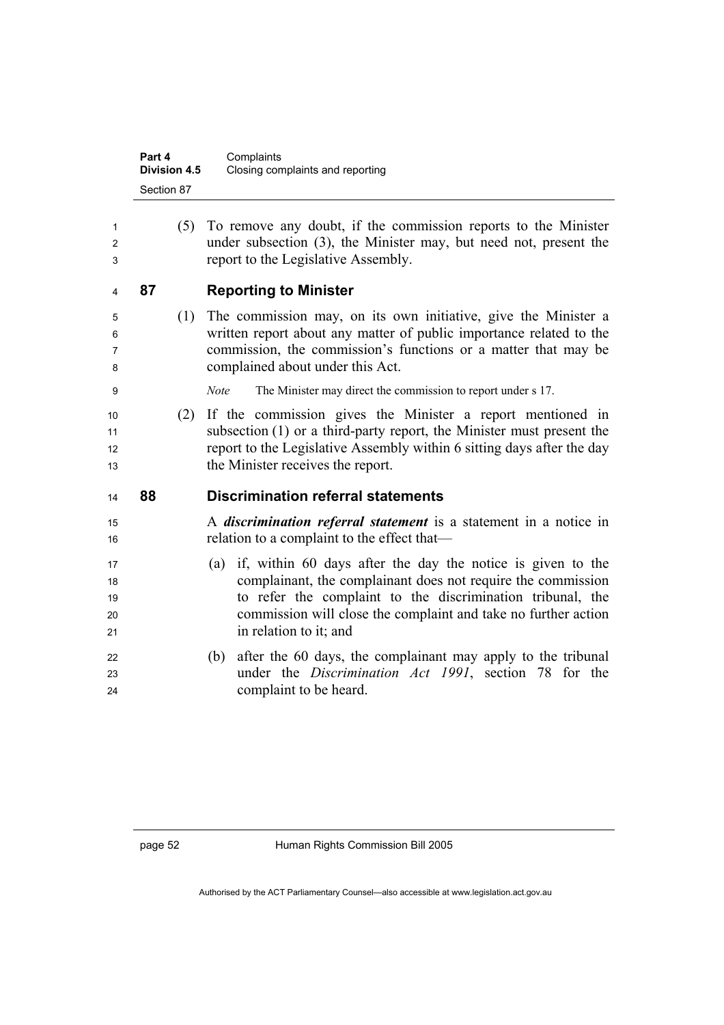| Part 4              | Complaints                       |
|---------------------|----------------------------------|
| <b>Division 4.5</b> | Closing complaints and reporting |
| Section 87          |                                  |

| 1<br>2<br>3                |    | (5) | To remove any doubt, if the commission reports to the Minister<br>under subsection (3), the Minister may, but need not, present the<br>report to the Legislative Assembly.                                                                                                                |
|----------------------------|----|-----|-------------------------------------------------------------------------------------------------------------------------------------------------------------------------------------------------------------------------------------------------------------------------------------------|
| 4                          | 87 |     | <b>Reporting to Minister</b>                                                                                                                                                                                                                                                              |
| 5<br>6<br>7<br>8           |    | (1) | The commission may, on its own initiative, give the Minister a<br>written report about any matter of public importance related to the<br>commission, the commission's functions or a matter that may be<br>complained about under this Act.                                               |
| 9                          |    |     | The Minister may direct the commission to report under s 17.<br><b>Note</b>                                                                                                                                                                                                               |
| 10<br>11<br>12<br>13       |    | (2) | If the commission gives the Minister a report mentioned in<br>subsection $(1)$ or a third-party report, the Minister must present the<br>report to the Legislative Assembly within 6 sitting days after the day<br>the Minister receives the report.                                      |
| 14                         | 88 |     | <b>Discrimination referral statements</b>                                                                                                                                                                                                                                                 |
| 15<br>16                   |    |     | A <i>discrimination referral statement</i> is a statement in a notice in<br>relation to a complaint to the effect that—                                                                                                                                                                   |
| 17<br>18<br>19<br>20<br>21 |    |     | (a) if, within 60 days after the day the notice is given to the<br>complainant, the complainant does not require the commission<br>to refer the complaint to the discrimination tribunal, the<br>commission will close the complaint and take no further action<br>in relation to it; and |
| 22<br>23<br>24             |    |     | after the 60 days, the complainant may apply to the tribunal<br>(b)<br>under the <i>Discrimination Act 1991</i> , section 78 for the<br>complaint to be heard.                                                                                                                            |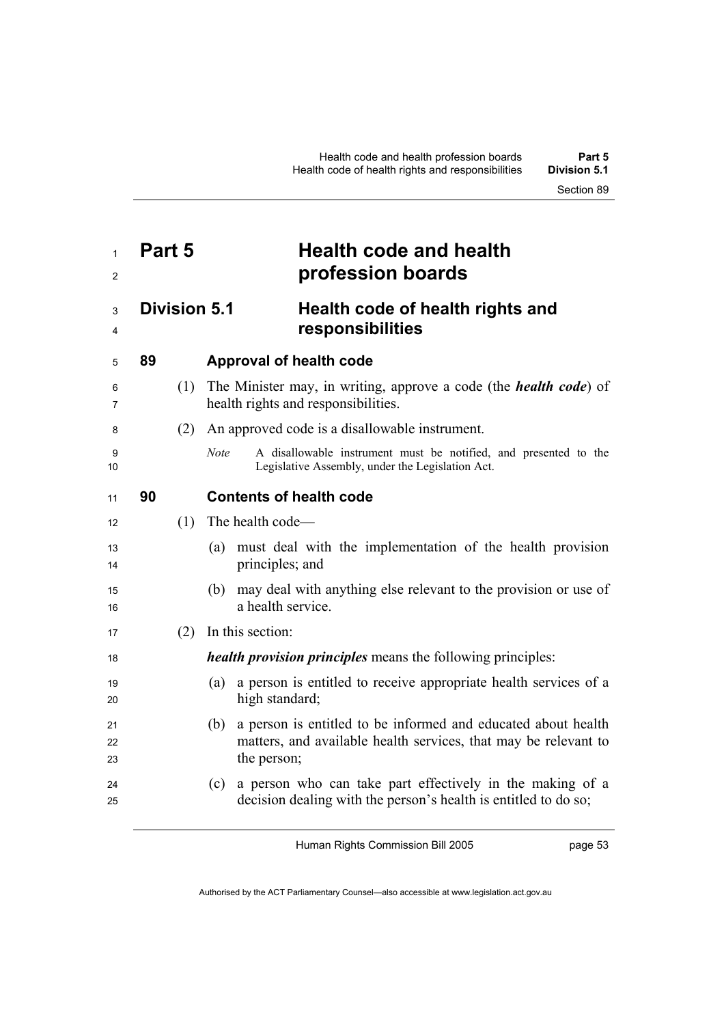## **Part 5 Health code and health profession boards Division 5.1 Health code of health rights and responsibilities 89 Approval of health code**  (1) The Minister may, in writing, approve a code (the *health code*) of health rights and responsibilities. (2) An approved code is a disallowable instrument. *Note* A disallowable instrument must be notified, and presented to the Legislative Assembly, under the Legislation Act. **90 Contents of health code**  (1) The health code— (a) must deal with the implementation of the health provision 14 principles; and (b) may deal with anything else relevant to the provision or use of 16 a health service (2) In this section: *health provision principles* means the following principles: (a) a person is entitled to receive appropriate health services of a 20 high standard; (b) a person is entitled to be informed and educated about health 22 matters, and available health services, that may be relevant to 23 the person; (c) a person who can take part effectively in the making of a decision dealing with the person's health is entitled to do so;

Human Rights Commission Bill 2005

page 53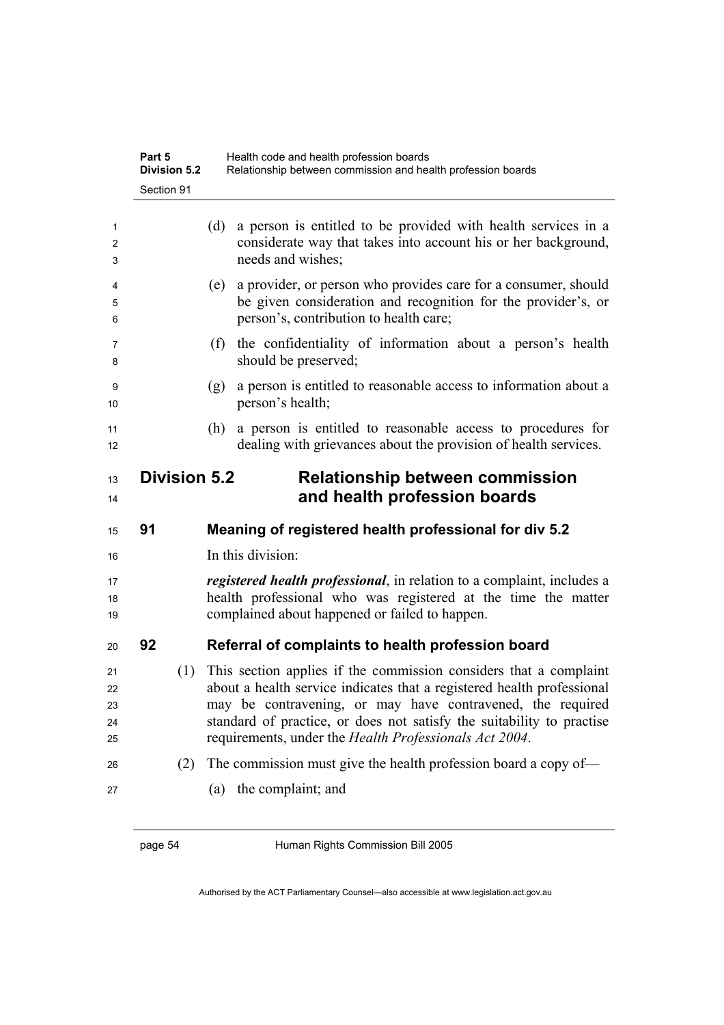|                            | Part 5     | <b>Division 5.2</b> |     | Health code and health profession boards<br>Relationship between commission and health profession boards                                                                                                                                                                                                                                     |
|----------------------------|------------|---------------------|-----|----------------------------------------------------------------------------------------------------------------------------------------------------------------------------------------------------------------------------------------------------------------------------------------------------------------------------------------------|
|                            | Section 91 |                     |     |                                                                                                                                                                                                                                                                                                                                              |
| 1<br>2<br>3                |            |                     | (d) | a person is entitled to be provided with health services in a<br>considerate way that takes into account his or her background,<br>needs and wishes;                                                                                                                                                                                         |
| 4<br>5<br>6                |            |                     | (e) | a provider, or person who provides care for a consumer, should<br>be given consideration and recognition for the provider's, or<br>person's, contribution to health care;                                                                                                                                                                    |
| 7<br>8                     |            |                     | (f) | the confidentiality of information about a person's health<br>should be preserved;                                                                                                                                                                                                                                                           |
| 9<br>10                    |            |                     | (g) | a person is entitled to reasonable access to information about a<br>person's health;                                                                                                                                                                                                                                                         |
| 11<br>12                   |            |                     | (h) | a person is entitled to reasonable access to procedures for<br>dealing with grievances about the provision of health services.                                                                                                                                                                                                               |
| 13<br>14                   |            | <b>Division 5.2</b> |     | <b>Relationship between commission</b><br>and health profession boards                                                                                                                                                                                                                                                                       |
| 15                         | 91         |                     |     | Meaning of registered health professional for div 5.2                                                                                                                                                                                                                                                                                        |
| 16                         |            |                     |     | In this division:                                                                                                                                                                                                                                                                                                                            |
| 17<br>18<br>19             |            |                     |     | <i>registered health professional</i> , in relation to a complaint, includes a<br>health professional who was registered at the time the matter<br>complained about happened or failed to happen.                                                                                                                                            |
| 20                         | 92         |                     |     | Referral of complaints to health profession board                                                                                                                                                                                                                                                                                            |
| 21<br>22<br>23<br>24<br>25 |            | (1)                 |     | This section applies if the commission considers that a complaint<br>about a health service indicates that a registered health professional<br>may be contravening, or may have contravened, the required<br>standard of practice, or does not satisfy the suitability to practise<br>requirements, under the Health Professionals Act 2004. |
| 26<br>27                   |            | (2)                 | (a) | The commission must give the health profession board a copy of—<br>the complaint; and                                                                                                                                                                                                                                                        |

page 54 Human Rights Commission Bill 2005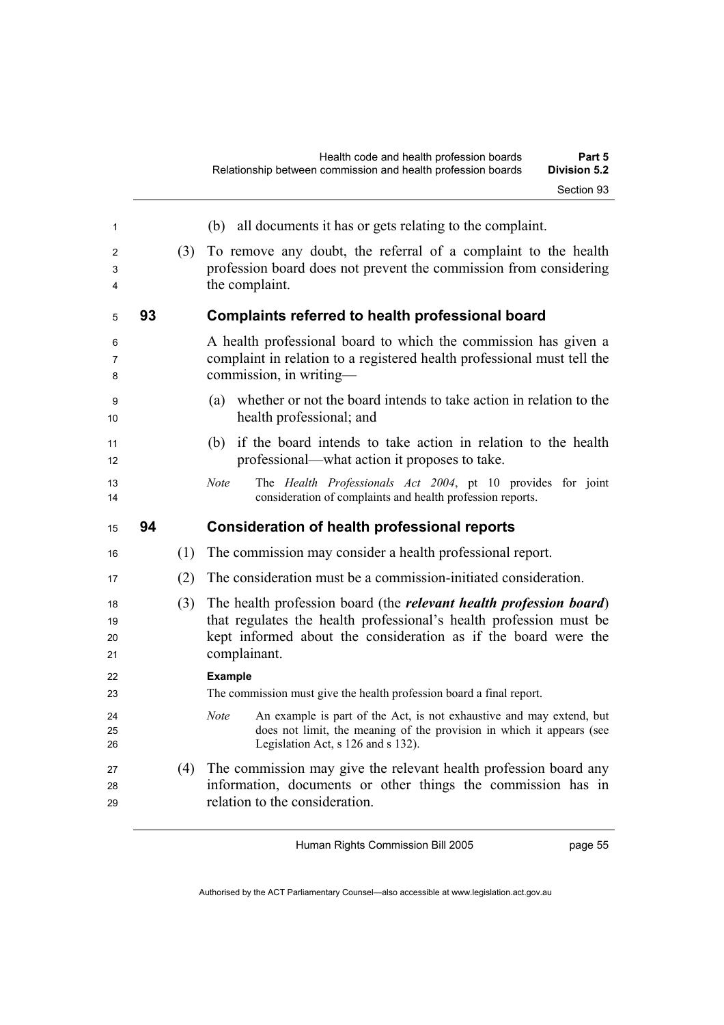| 1              |    |     | (b) all documents it has or gets relating to the complaint.                                                                                                        |
|----------------|----|-----|--------------------------------------------------------------------------------------------------------------------------------------------------------------------|
| 2              |    | (3) | To remove any doubt, the referral of a complaint to the health                                                                                                     |
| 3              |    |     | profession board does not prevent the commission from considering                                                                                                  |
| 4              |    |     | the complaint.                                                                                                                                                     |
| 5              | 93 |     | <b>Complaints referred to health professional board</b>                                                                                                            |
| 6              |    |     | A health professional board to which the commission has given a                                                                                                    |
| 7              |    |     | complaint in relation to a registered health professional must tell the                                                                                            |
| 8              |    |     | commission, in writing-                                                                                                                                            |
| 9<br>10        |    |     | whether or not the board intends to take action in relation to the<br>(a)<br>health professional; and                                                              |
| 11<br>12       |    |     | (b) if the board intends to take action in relation to the health<br>professional—what action it proposes to take.                                                 |
| 13<br>14       |    |     | Note<br>The Health Professionals Act 2004, pt 10 provides for joint<br>consideration of complaints and health profession reports.                                  |
| 15             | 94 |     | <b>Consideration of health professional reports</b>                                                                                                                |
|                |    |     |                                                                                                                                                                    |
| 16             |    | (1) | The commission may consider a health professional report.                                                                                                          |
| 17             |    | (2) | The consideration must be a commission-initiated consideration.                                                                                                    |
| 18             |    | (3) | The health profession board (the <i>relevant health profession board</i> )                                                                                         |
|                |    |     | that regulates the health professional's health profession must be                                                                                                 |
| 19<br>20<br>21 |    |     | kept informed about the consideration as if the board were the<br>complainant.                                                                                     |
| 22             |    |     | <b>Example</b>                                                                                                                                                     |
| 23             |    |     | The commission must give the health profession board a final report.                                                                                               |
| 24             |    |     | <b>Note</b><br>An example is part of the Act, is not exhaustive and may extend, but                                                                                |
| 25<br>26       |    |     | does not limit, the meaning of the provision in which it appears (see<br>Legislation Act, s 126 and s 132).                                                        |
| 27<br>28<br>29 |    | (4) | The commission may give the relevant health profession board any<br>information, documents or other things the commission has in<br>relation to the consideration. |

page 55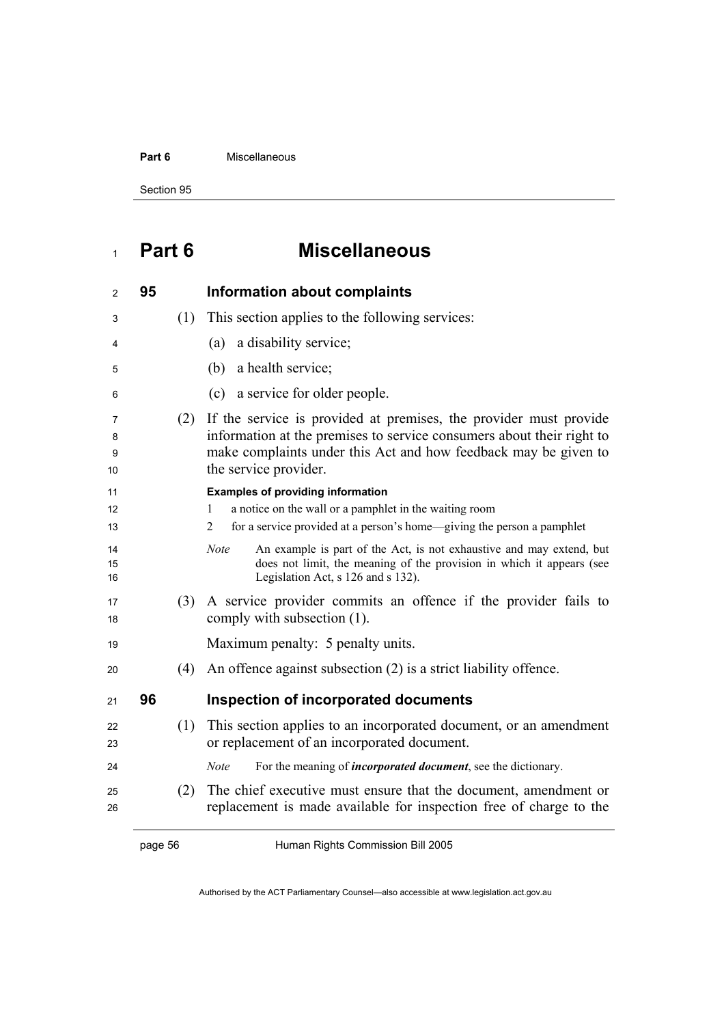#### **Part 6 Miscellaneous**

Section 95

# **Part 6 Miscellaneous**

| $\overline{c}$    | 95      |     | <b>Information about complaints</b>                                                                                                                                                                                                    |
|-------------------|---------|-----|----------------------------------------------------------------------------------------------------------------------------------------------------------------------------------------------------------------------------------------|
| 3                 |         | (1) | This section applies to the following services:                                                                                                                                                                                        |
| 4                 |         |     | a disability service;<br>(a)                                                                                                                                                                                                           |
| 5                 |         |     | a health service;<br>(b)                                                                                                                                                                                                               |
| 6                 |         |     | a service for older people.<br>(c)                                                                                                                                                                                                     |
| 7<br>8<br>9<br>10 |         | (2) | If the service is provided at premises, the provider must provide<br>information at the premises to service consumers about their right to<br>make complaints under this Act and how feedback may be given to<br>the service provider. |
| 11                |         |     | <b>Examples of providing information</b>                                                                                                                                                                                               |
| 12<br>13          |         |     | a notice on the wall or a pamphlet in the waiting room<br>1<br>for a service provided at a person's home—giving the person a pamphlet<br>2                                                                                             |
| 14<br>15<br>16    |         |     | <b>Note</b><br>An example is part of the Act, is not exhaustive and may extend, but<br>does not limit, the meaning of the provision in which it appears (see<br>Legislation Act, s 126 and s 132).                                     |
| 17<br>18          |         | (3) | A service provider commits an offence if the provider fails to<br>comply with subsection (1).                                                                                                                                          |
| 19                |         |     | Maximum penalty: 5 penalty units.                                                                                                                                                                                                      |
| 20                |         | (4) | An offence against subsection (2) is a strict liability offence.                                                                                                                                                                       |
| 21                | 96      |     | <b>Inspection of incorporated documents</b>                                                                                                                                                                                            |
| 22<br>23          |         | (1) | This section applies to an incorporated document, or an amendment<br>or replacement of an incorporated document.                                                                                                                       |
| 24                |         |     | For the meaning of <i>incorporated document</i> , see the dictionary.<br><b>Note</b>                                                                                                                                                   |
| 25<br>26          |         | (2) | The chief executive must ensure that the document, amendment or<br>replacement is made available for inspection free of charge to the                                                                                                  |
|                   | page 56 |     | Human Rights Commission Bill 2005                                                                                                                                                                                                      |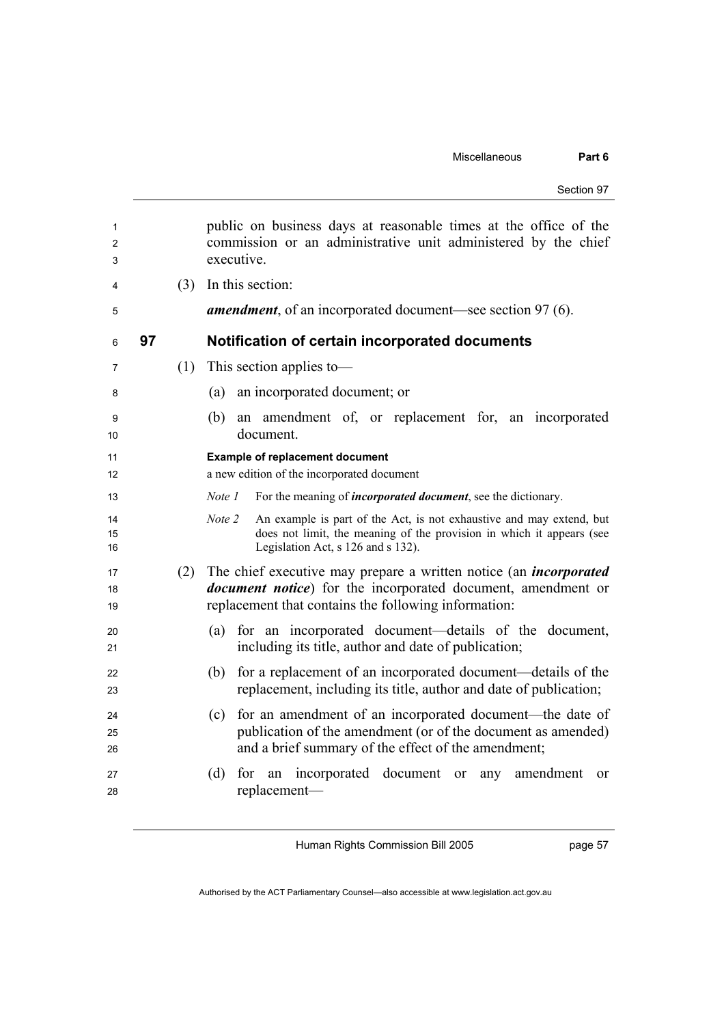| Section 97 |  |
|------------|--|
|------------|--|

| 1<br>2<br>3    |    |     | public on business days at reasonable times at the office of the<br>commission or an administrative unit administered by the chief<br>executive.                                                         |
|----------------|----|-----|----------------------------------------------------------------------------------------------------------------------------------------------------------------------------------------------------------|
| 4              |    | (3) | In this section:                                                                                                                                                                                         |
| 5              |    |     | <b>amendment</b> , of an incorporated document—see section 97 (6).                                                                                                                                       |
| 6              | 97 |     | Notification of certain incorporated documents                                                                                                                                                           |
| 7              |    | (1) | This section applies to-                                                                                                                                                                                 |
| 8              |    |     | an incorporated document; or<br>(a)                                                                                                                                                                      |
| 9<br>10        |    |     | an amendment of, or replacement for, an incorporated<br>(b)<br>document.                                                                                                                                 |
| 11<br>12       |    |     | <b>Example of replacement document</b><br>a new edition of the incorporated document                                                                                                                     |
| 13             |    |     | For the meaning of <i>incorporated document</i> , see the dictionary.<br>Note 1                                                                                                                          |
| 14<br>15<br>16 |    |     | Note 2<br>An example is part of the Act, is not exhaustive and may extend, but<br>does not limit, the meaning of the provision in which it appears (see<br>Legislation Act, s 126 and s 132).            |
| 17<br>18<br>19 |    | (2) | The chief executive may prepare a written notice (an <i>incorporated</i><br><i>document notice</i> ) for the incorporated document, amendment or<br>replacement that contains the following information: |
| 20<br>21       |    |     | for an incorporated document—details of the document,<br>(a)<br>including its title, author and date of publication;                                                                                     |
| 22<br>23       |    |     | for a replacement of an incorporated document—details of the<br>(b)<br>replacement, including its title, author and date of publication;                                                                 |
| 24<br>25<br>26 |    |     | for an amendment of an incorporated document—the date of<br>(c)<br>publication of the amendment (or of the document as amended)<br>and a brief summary of the effect of the amendment;                   |
| 27<br>28       |    |     | for an incorporated document or<br>(d)<br>amendment<br>any<br>$\alpha$<br>replacement-                                                                                                                   |

page 57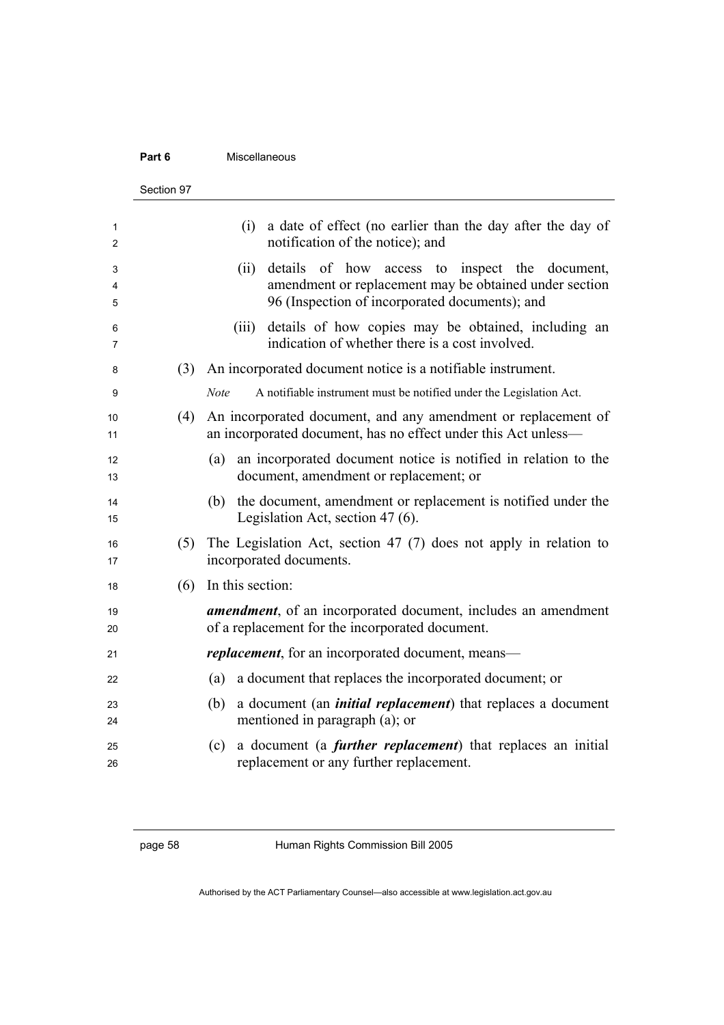#### **Part 6 Miscellaneous**

|             | Section 97 |                                                                                                                                                                       |
|-------------|------------|-----------------------------------------------------------------------------------------------------------------------------------------------------------------------|
| 1<br>2      |            | a date of effect (no earlier than the day after the day of<br>(i)<br>notification of the notice); and                                                                 |
| 3<br>4<br>5 |            | details of how access to inspect the<br>document,<br>(ii)<br>amendment or replacement may be obtained under section<br>96 (Inspection of incorporated documents); and |
| 6<br>7      |            | details of how copies may be obtained, including an<br>(iii)<br>indication of whether there is a cost involved.                                                       |
| 8           | (3)        | An incorporated document notice is a notifiable instrument.                                                                                                           |
| 9           |            | <b>Note</b><br>A notifiable instrument must be notified under the Legislation Act.                                                                                    |
| 10<br>11    | (4)        | An incorporated document, and any amendment or replacement of<br>an incorporated document, has no effect under this Act unless-                                       |
| 12<br>13    |            | an incorporated document notice is notified in relation to the<br>(a)<br>document, amendment or replacement; or                                                       |
| 14<br>15    |            | (b) the document, amendment or replacement is notified under the<br>Legislation Act, section $47(6)$ .                                                                |
| 16<br>17    | (5)        | The Legislation Act, section 47 (7) does not apply in relation to<br>incorporated documents.                                                                          |
| 18          | (6)        | In this section:                                                                                                                                                      |
| 19<br>20    |            | <b>amendment</b> , of an incorporated document, includes an amendment<br>of a replacement for the incorporated document.                                              |
| 21          |            | <i>replacement</i> , for an incorporated document, means—                                                                                                             |
| 22          |            | a document that replaces the incorporated document; or<br>(a)                                                                                                         |
| 23<br>24    |            | (b)<br>a document (an <i>initial replacement</i> ) that replaces a document<br>mentioned in paragraph (a); or                                                         |
| 25<br>26    |            | a document (a <i>further replacement</i> ) that replaces an initial<br>(c)<br>replacement or any further replacement.                                                 |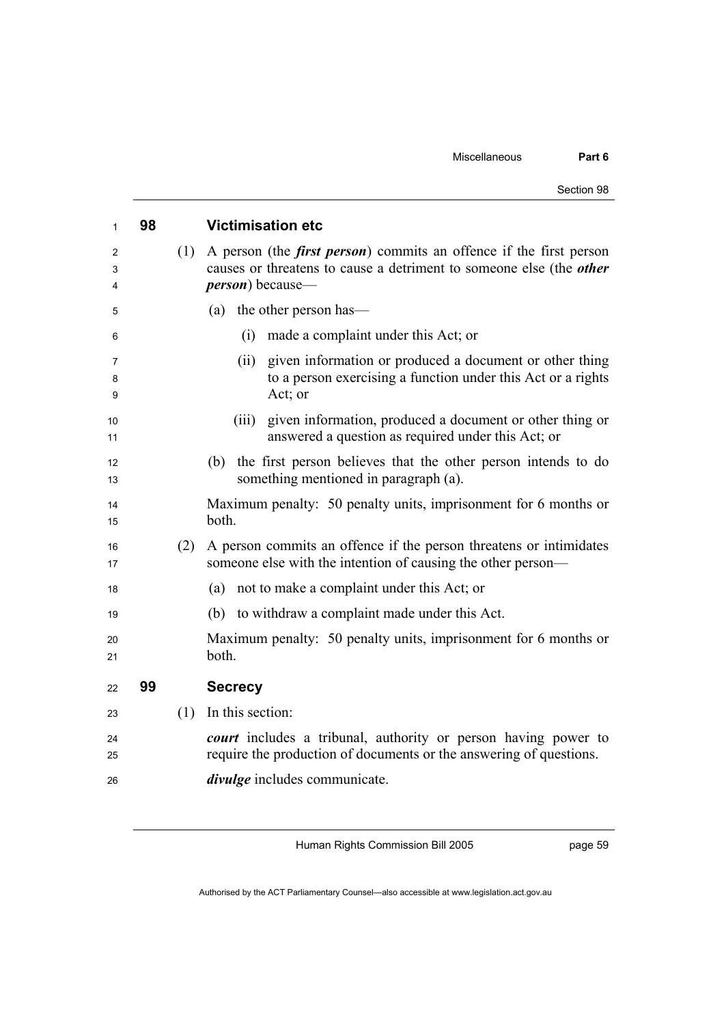| Section 98 |  |
|------------|--|
|            |  |

| 1           | 98 |     | <b>Victimisation etc</b>                                                                                                                                                      |
|-------------|----|-----|-------------------------------------------------------------------------------------------------------------------------------------------------------------------------------|
| 2<br>3<br>4 |    | (1) | A person (the <i>first person</i> ) commits an offence if the first person<br>causes or threatens to cause a detriment to someone else (the other<br><i>person</i> ) because— |
| 5           |    |     | the other person has—<br>(a)                                                                                                                                                  |
| 6           |    |     | made a complaint under this Act; or<br>(i)                                                                                                                                    |
| 7<br>8<br>9 |    |     | given information or produced a document or other thing<br>(ii)<br>to a person exercising a function under this Act or a rights<br>Act; or                                    |
| 10<br>11    |    |     | given information, produced a document or other thing or<br>(iii)<br>answered a question as required under this Act; or                                                       |
| 12<br>13    |    |     | the first person believes that the other person intends to do<br>(b)<br>something mentioned in paragraph (a).                                                                 |
| 14<br>15    |    |     | Maximum penalty: 50 penalty units, imprisonment for 6 months or<br>both.                                                                                                      |
| 16<br>17    |    | (2) | A person commits an offence if the person threatens or intimidates<br>someone else with the intention of causing the other person—                                            |
| 18          |    |     | not to make a complaint under this Act; or<br>(a)                                                                                                                             |
| 19          |    |     | to withdraw a complaint made under this Act.<br>(b)                                                                                                                           |
| 20<br>21    |    |     | Maximum penalty: 50 penalty units, imprisonment for 6 months or<br>both.                                                                                                      |
| 22          | 99 |     | <b>Secrecy</b>                                                                                                                                                                |
| 23          |    | (1) | In this section:                                                                                                                                                              |
| 24<br>25    |    |     | court includes a tribunal, authority or person having power to<br>require the production of documents or the answering of questions.                                          |
| 26          |    |     | <i>divulge</i> includes communicate.                                                                                                                                          |

page 59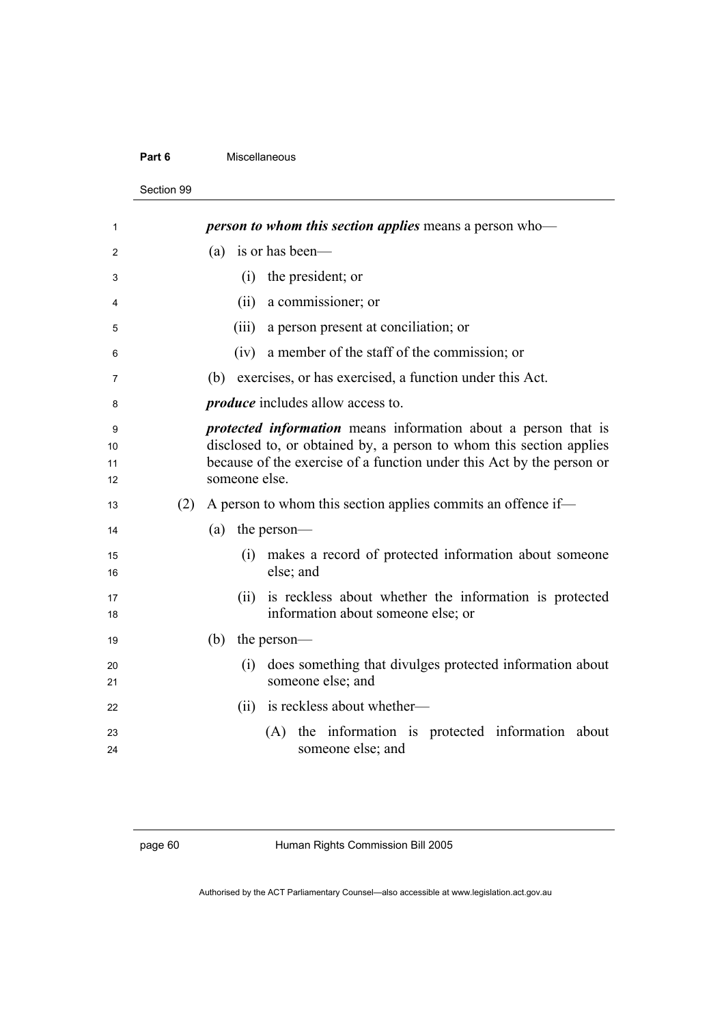#### **Part 6** Miscellaneous

#### Section 99

| 1                   |     | <i>person to whom this section applies means a person who</i> —                                                                                                                                                                        |
|---------------------|-----|----------------------------------------------------------------------------------------------------------------------------------------------------------------------------------------------------------------------------------------|
| 2                   |     | is or has been—<br>(a)                                                                                                                                                                                                                 |
| 3                   |     | (i) the president; or                                                                                                                                                                                                                  |
| 4                   |     | (ii) a commissioner; or                                                                                                                                                                                                                |
| 5                   |     | a person present at conciliation; or<br>(iii)                                                                                                                                                                                          |
| 6                   |     | (iv) a member of the staff of the commission; or                                                                                                                                                                                       |
| 7                   |     | exercises, or has exercised, a function under this Act.<br>(b)                                                                                                                                                                         |
| 8                   |     | <i>produce</i> includes allow access to.                                                                                                                                                                                               |
| 9<br>10<br>11<br>12 |     | <i>protected information</i> means information about a person that is<br>disclosed to, or obtained by, a person to whom this section applies<br>because of the exercise of a function under this Act by the person or<br>someone else. |
| 13                  | (2) | A person to whom this section applies commits an offence if-                                                                                                                                                                           |
| 14                  |     | the person-<br>(a)                                                                                                                                                                                                                     |
| 15<br>16            |     | (i) makes a record of protected information about someone<br>else; and                                                                                                                                                                 |
| 17<br>18            |     | (ii) is reckless about whether the information is protected<br>information about someone else; or                                                                                                                                      |
| 19                  |     | (b) the person—                                                                                                                                                                                                                        |
| 20<br>21            |     | does something that divulges protected information about<br>(i)<br>someone else; and                                                                                                                                                   |
| 22                  |     | is reckless about whether—<br>(ii)                                                                                                                                                                                                     |
| 23<br>24            |     | (A) the information is protected information about<br>someone else; and                                                                                                                                                                |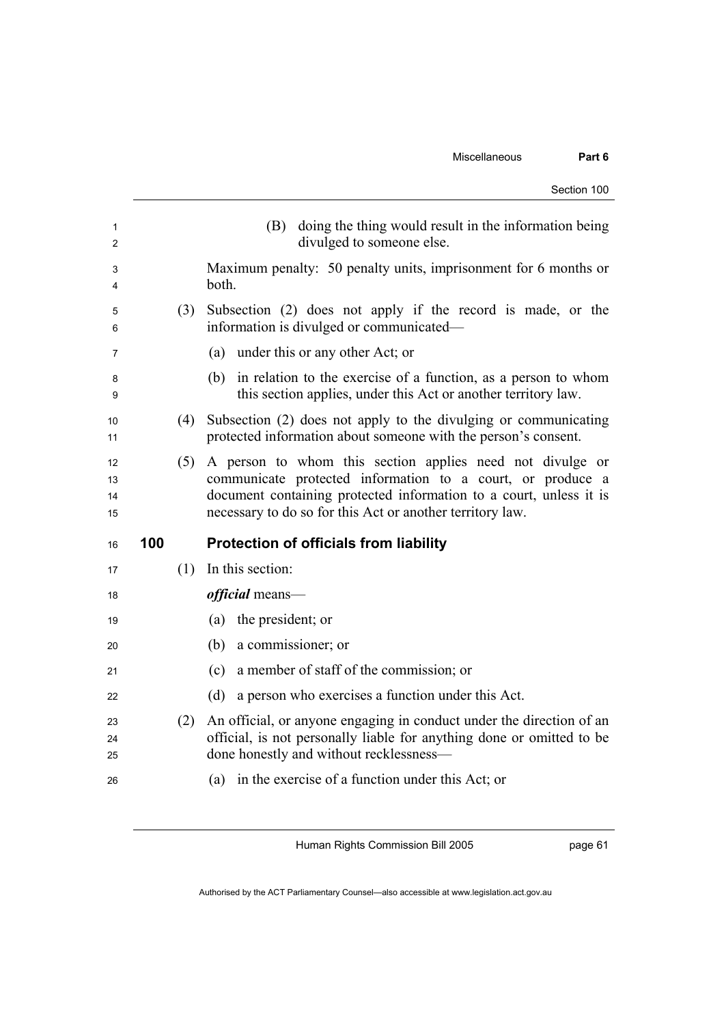|                      |     |     | Section 100                                                                                                                                                                                                                                                |
|----------------------|-----|-----|------------------------------------------------------------------------------------------------------------------------------------------------------------------------------------------------------------------------------------------------------------|
| 1<br>2               |     |     | doing the thing would result in the information being<br>(B)<br>divulged to someone else.                                                                                                                                                                  |
| 3<br>4               |     |     | Maximum penalty: 50 penalty units, imprisonment for 6 months or<br>both.                                                                                                                                                                                   |
| 5<br>6               |     | (3) | Subsection (2) does not apply if the record is made, or the<br>information is divulged or communicated-                                                                                                                                                    |
| 7                    |     |     | under this or any other Act; or<br>(a)                                                                                                                                                                                                                     |
| 8<br>9               |     |     | in relation to the exercise of a function, as a person to whom<br>(b)<br>this section applies, under this Act or another territory law.                                                                                                                    |
| 10<br>11             |     | (4) | Subsection (2) does not apply to the divulging or communicating<br>protected information about someone with the person's consent.                                                                                                                          |
| 12<br>13<br>14<br>15 |     | (5) | A person to whom this section applies need not divulge or<br>communicate protected information to a court, or produce a<br>document containing protected information to a court, unless it is<br>necessary to do so for this Act or another territory law. |
| 16                   | 100 |     | <b>Protection of officials from liability</b>                                                                                                                                                                                                              |
| 17                   |     | (1) | In this section:                                                                                                                                                                                                                                           |
| 18                   |     |     | <i>official</i> means—                                                                                                                                                                                                                                     |
| 19                   |     |     | the president; or<br>(a)                                                                                                                                                                                                                                   |
| 20                   |     |     | a commissioner; or<br>(b)                                                                                                                                                                                                                                  |
| 21                   |     |     | a member of staff of the commission; or<br>(c)                                                                                                                                                                                                             |
| 22                   |     |     | a person who exercises a function under this Act.<br>(d)                                                                                                                                                                                                   |
| 23<br>24<br>25       |     | (2) | An official, or anyone engaging in conduct under the direction of an<br>official, is not personally liable for anything done or omitted to be<br>done honestly and without recklessness-                                                                   |
| 26                   |     |     | in the exercise of a function under this Act; or<br>(a)                                                                                                                                                                                                    |

page 61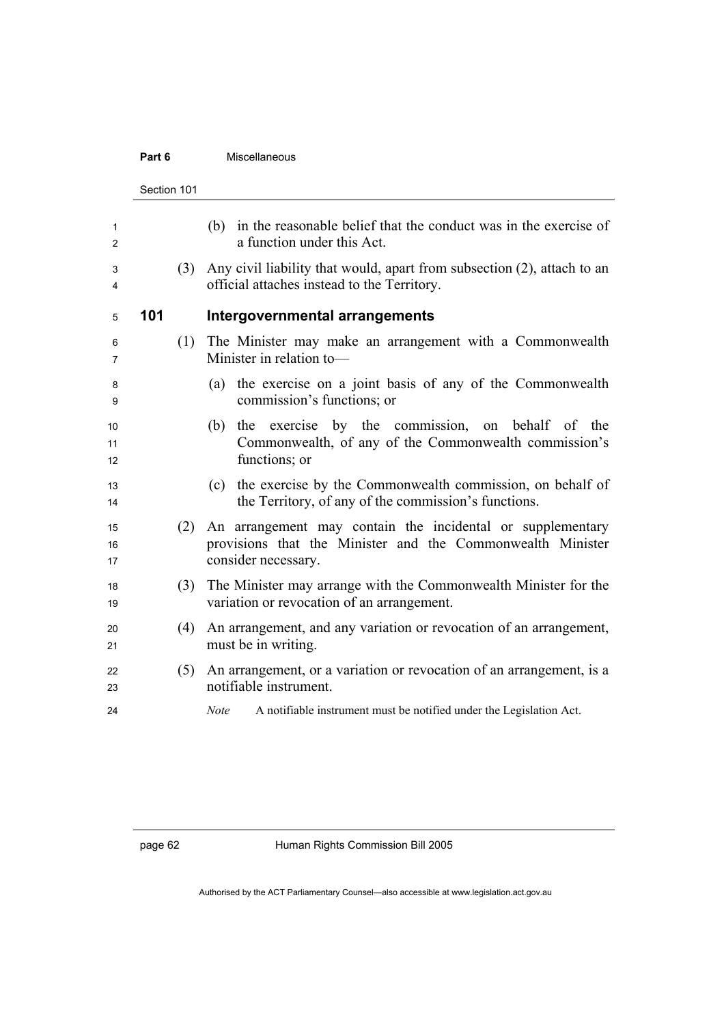#### **Part 6 Miscellaneous**

|                | Section 101 |     |                                                                                                                                                 |
|----------------|-------------|-----|-------------------------------------------------------------------------------------------------------------------------------------------------|
| 1<br>2         |             |     | in the reasonable belief that the conduct was in the exercise of<br>(b)<br>a function under this Act.                                           |
| 3<br>4         |             | (3) | Any civil liability that would, apart from subsection (2), attach to an<br>official attaches instead to the Territory.                          |
| 5              | 101         |     | Intergovernmental arrangements                                                                                                                  |
| 6<br>7         |             | (1) | The Minister may make an arrangement with a Commonwealth<br>Minister in relation to-                                                            |
| 8<br>9         |             |     | the exercise on a joint basis of any of the Commonwealth<br>(a)<br>commission's functions; or                                                   |
| 10<br>11<br>12 |             |     | (b) the exercise by the commission, on behalf of the<br>Commonwealth, of any of the Commonwealth commission's<br>functions; or                  |
| 13<br>14       |             |     | (c) the exercise by the Commonwealth commission, on behalf of<br>the Territory, of any of the commission's functions.                           |
| 15<br>16<br>17 |             | (2) | An arrangement may contain the incidental or supplementary<br>provisions that the Minister and the Commonwealth Minister<br>consider necessary. |
| 18<br>19       |             | (3) | The Minister may arrange with the Commonwealth Minister for the<br>variation or revocation of an arrangement.                                   |
| 20<br>21       |             | (4) | An arrangement, and any variation or revocation of an arrangement,<br>must be in writing.                                                       |
| 22<br>23       |             | (5) | An arrangement, or a variation or revocation of an arrangement, is a<br>notifiable instrument.                                                  |
| 24             |             |     | <b>Note</b><br>A notifiable instrument must be notified under the Legislation Act.                                                              |
|                |             |     |                                                                                                                                                 |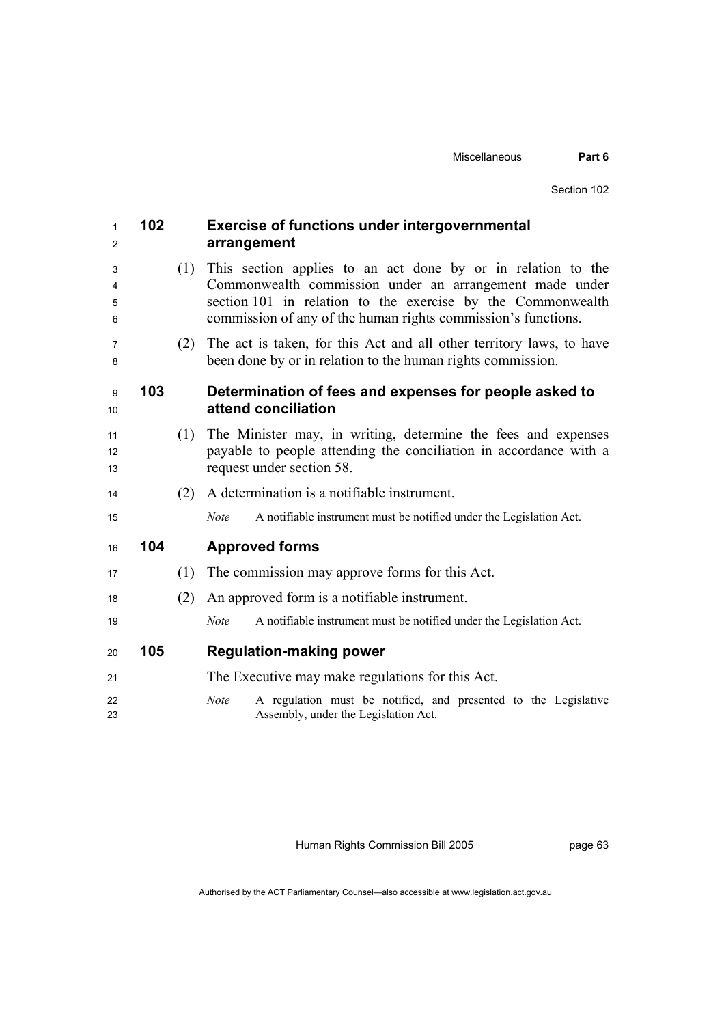| 1<br>2           | 102 |     | <b>Exercise of functions under intergovernmental</b><br>arrangement                                                                                                                                                                                     |
|------------------|-----|-----|---------------------------------------------------------------------------------------------------------------------------------------------------------------------------------------------------------------------------------------------------------|
| 3<br>4<br>5<br>6 |     | (1) | This section applies to an act done by or in relation to the<br>Commonwealth commission under an arrangement made under<br>section 101 in relation to the exercise by the Commonwealth<br>commission of any of the human rights commission's functions. |
| 7<br>8           |     | (2) | The act is taken, for this Act and all other territory laws, to have<br>been done by or in relation to the human rights commission.                                                                                                                     |
| 9<br>10          | 103 |     | Determination of fees and expenses for people asked to<br>attend conciliation                                                                                                                                                                           |
| 11<br>12<br>13   |     | (1) | The Minister may, in writing, determine the fees and expenses<br>payable to people attending the conciliation in accordance with a<br>request under section 58.                                                                                         |
| 14               |     | (2) | A determination is a notifiable instrument.                                                                                                                                                                                                             |
| 15               |     |     | <b>Note</b><br>A notifiable instrument must be notified under the Legislation Act.                                                                                                                                                                      |
| 16               | 104 |     | <b>Approved forms</b>                                                                                                                                                                                                                                   |
| 17               |     | (1) | The commission may approve forms for this Act.                                                                                                                                                                                                          |
| 18               |     | (2) | An approved form is a notifiable instrument.                                                                                                                                                                                                            |
| 19               |     |     | A notifiable instrument must be notified under the Legislation Act.<br><b>Note</b>                                                                                                                                                                      |
| 20               | 105 |     | <b>Regulation-making power</b>                                                                                                                                                                                                                          |
| 21               |     |     | The Executive may make regulations for this Act.                                                                                                                                                                                                        |
| 22<br>23         |     |     | A regulation must be notified, and presented to the Legislative<br><b>Note</b><br>Assembly, under the Legislation Act.                                                                                                                                  |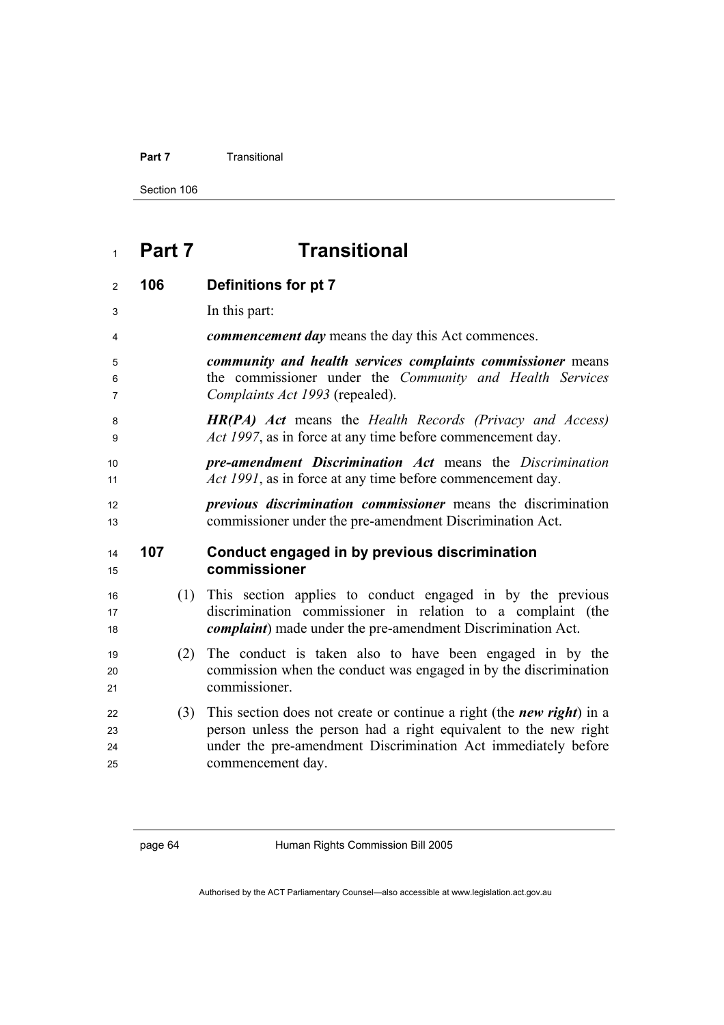#### **Part 7 Transitional**

Section 106

# **Part 7 Transitional**

| $\overline{2}$ | 106 |     | Definitions for pt 7                                                                                                                                                                             |
|----------------|-----|-----|--------------------------------------------------------------------------------------------------------------------------------------------------------------------------------------------------|
| 3              |     |     | In this part:                                                                                                                                                                                    |
| 4              |     |     | <i>commencement day</i> means the day this Act commences.                                                                                                                                        |
| 5<br>6<br>7    |     |     | community and health services complaints commissioner means<br>the commissioner under the Community and Health Services<br>Complaints Act 1993 (repealed).                                       |
| 8<br>9         |     |     | <b>HR(PA)</b> Act means the Health Records (Privacy and Access)<br>Act 1997, as in force at any time before commencement day.                                                                    |
| 10<br>11       |     |     | pre-amendment Discrimination Act means the Discrimination<br><i>Act 1991</i> , as in force at any time before commencement day.                                                                  |
| 12<br>13       |     |     | <i>previous discrimination commissioner</i> means the discrimination<br>commissioner under the pre-amendment Discrimination Act.                                                                 |
|                |     |     |                                                                                                                                                                                                  |
| 14<br>15       | 107 |     | Conduct engaged in by previous discrimination<br>commissioner                                                                                                                                    |
| 16<br>17<br>18 |     | (1) | This section applies to conduct engaged in by the previous<br>discrimination commissioner in relation to a complaint (the<br><i>complaint</i> ) made under the pre-amendment Discrimination Act. |
| 19<br>20<br>21 |     | (2) | The conduct is taken also to have been engaged in by the<br>commission when the conduct was engaged in by the discrimination<br>commissioner.                                                    |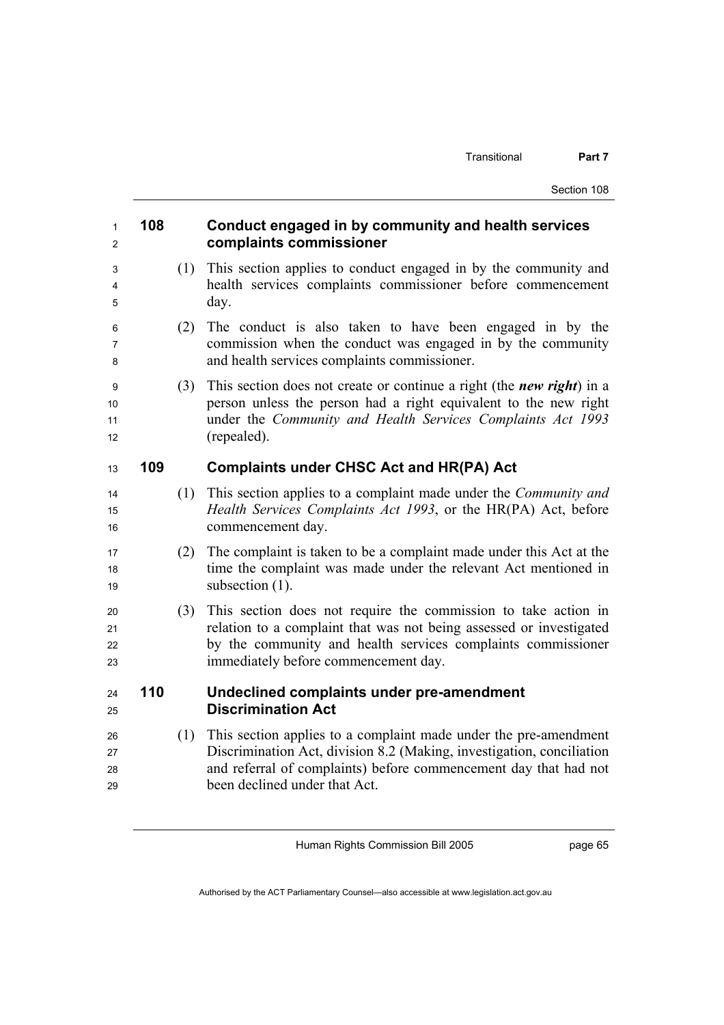| 108 |     | Conduct engaged in by community and health services<br>complaints commissioner                                                                                                                                                                 |
|-----|-----|------------------------------------------------------------------------------------------------------------------------------------------------------------------------------------------------------------------------------------------------|
|     | (1) | This section applies to conduct engaged in by the community and<br>health services complaints commissioner before commencement<br>day.                                                                                                         |
|     | (2) | The conduct is also taken to have been engaged in by the<br>commission when the conduct was engaged in by the community<br>and health services complaints commissioner.                                                                        |
|     | (3) | This section does not create or continue a right (the <i>new right</i> ) in a<br>person unless the person had a right equivalent to the new right<br>under the Community and Health Services Complaints Act 1993<br>(repealed).                |
| 109 |     | <b>Complaints under CHSC Act and HR(PA) Act</b>                                                                                                                                                                                                |
|     | (1) | This section applies to a complaint made under the <i>Community and</i><br>Health Services Complaints Act 1993, or the HR(PA) Act, before<br>commencement day.                                                                                 |
|     | (2) | The complaint is taken to be a complaint made under this Act at the<br>time the complaint was made under the relevant Act mentioned in<br>subsection (1).                                                                                      |
|     | (3) | This section does not require the commission to take action in<br>relation to a complaint that was not being assessed or investigated<br>by the community and health services complaints commissioner<br>immediately before commencement day.  |
| 110 |     | Undeclined complaints under pre-amendment<br><b>Discrimination Act</b>                                                                                                                                                                         |
|     | (1) | This section applies to a complaint made under the pre-amendment<br>Discrimination Act, division 8.2 (Making, investigation, conciliation<br>and referral of complaints) before commencement day that had not<br>been declined under that Act. |
|     |     |                                                                                                                                                                                                                                                |

page 65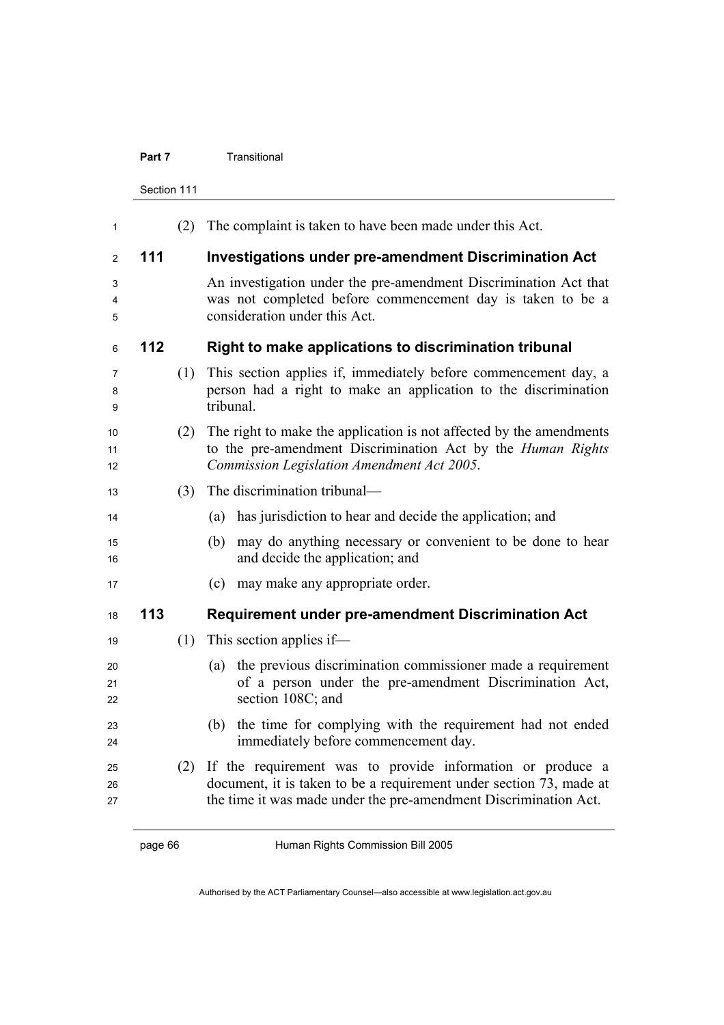### **Part 7 Transitional**

Section 111

| 111<br>112 | (2)<br>(1)<br>(2) | The complaint is taken to have been made under this Act.<br><b>Investigations under pre-amendment Discrimination Act</b><br>An investigation under the pre-amendment Discrimination Act that<br>was not completed before commencement day is taken to be a<br>consideration under this Act.<br>Right to make applications to discrimination tribunal<br>This section applies if, immediately before commencement day, a<br>person had a right to make an application to the discrimination<br>tribunal.<br>The right to make the application is not affected by the amendments<br>to the pre-amendment Discrimination Act by the Human Rights |
|------------|-------------------|-----------------------------------------------------------------------------------------------------------------------------------------------------------------------------------------------------------------------------------------------------------------------------------------------------------------------------------------------------------------------------------------------------------------------------------------------------------------------------------------------------------------------------------------------------------------------------------------------------------------------------------------------|
|            |                   |                                                                                                                                                                                                                                                                                                                                                                                                                                                                                                                                                                                                                                               |
|            |                   |                                                                                                                                                                                                                                                                                                                                                                                                                                                                                                                                                                                                                                               |
|            |                   |                                                                                                                                                                                                                                                                                                                                                                                                                                                                                                                                                                                                                                               |
|            |                   |                                                                                                                                                                                                                                                                                                                                                                                                                                                                                                                                                                                                                                               |
|            |                   |                                                                                                                                                                                                                                                                                                                                                                                                                                                                                                                                                                                                                                               |
|            |                   | Commission Legislation Amendment Act 2005.                                                                                                                                                                                                                                                                                                                                                                                                                                                                                                                                                                                                    |
|            | (3)               | The discrimination tribunal—                                                                                                                                                                                                                                                                                                                                                                                                                                                                                                                                                                                                                  |
|            |                   | has jurisdiction to hear and decide the application; and<br>(a)                                                                                                                                                                                                                                                                                                                                                                                                                                                                                                                                                                               |
|            |                   | may do anything necessary or convenient to be done to hear<br>(b)<br>and decide the application; and                                                                                                                                                                                                                                                                                                                                                                                                                                                                                                                                          |
|            |                   | may make any appropriate order.<br>(c)                                                                                                                                                                                                                                                                                                                                                                                                                                                                                                                                                                                                        |
| 113        |                   | <b>Requirement under pre-amendment Discrimination Act</b>                                                                                                                                                                                                                                                                                                                                                                                                                                                                                                                                                                                     |
|            | (1)               | This section applies if—                                                                                                                                                                                                                                                                                                                                                                                                                                                                                                                                                                                                                      |
|            |                   | the previous discrimination commissioner made a requirement<br>(a)<br>of a person under the pre-amendment Discrimination Act,<br>section 108C; and                                                                                                                                                                                                                                                                                                                                                                                                                                                                                            |
|            |                   | (b) the time for complying with the requirement had not ended<br>immediately before commencement day.                                                                                                                                                                                                                                                                                                                                                                                                                                                                                                                                         |
|            | (2)               | If the requirement was to provide information or produce a<br>document, it is taken to be a requirement under section 73, made at<br>the time it was made under the pre-amendment Discrimination Act.                                                                                                                                                                                                                                                                                                                                                                                                                                         |
|            |                   |                                                                                                                                                                                                                                                                                                                                                                                                                                                                                                                                                                                                                                               |

page 66 Human Rights Commission Bill 2005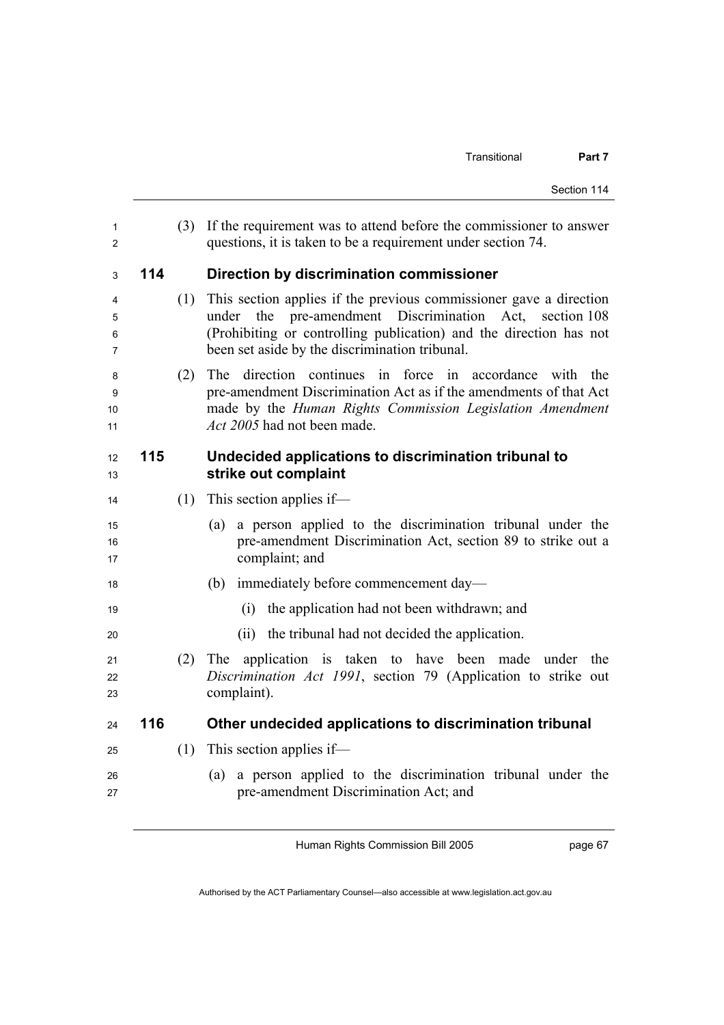| 1<br>$\overline{2}$ |     | (3) | If the requirement was to attend before the commissioner to answer<br>questions, it is taken to be a requirement under section 74.                                                                                                                    |  |
|---------------------|-----|-----|-------------------------------------------------------------------------------------------------------------------------------------------------------------------------------------------------------------------------------------------------------|--|
| 3                   | 114 |     | Direction by discrimination commissioner                                                                                                                                                                                                              |  |
| 4<br>5<br>6<br>7    |     | (1) | This section applies if the previous commissioner gave a direction<br>under the pre-amendment Discrimination Act, section 108<br>(Prohibiting or controlling publication) and the direction has not<br>been set aside by the discrimination tribunal. |  |
| 8<br>9<br>10<br>11  |     | (2) | direction continues in force<br>The<br>in accordance<br>with<br>the<br>pre-amendment Discrimination Act as if the amendments of that Act<br>made by the Human Rights Commission Legislation Amendment<br>Act 2005 had not been made.                  |  |
| 12<br>13            | 115 |     | Undecided applications to discrimination tribunal to<br>strike out complaint                                                                                                                                                                          |  |
| 14                  |     | (1) | This section applies if—                                                                                                                                                                                                                              |  |
| 15<br>16<br>17      |     |     | a person applied to the discrimination tribunal under the<br>(a)<br>pre-amendment Discrimination Act, section 89 to strike out a<br>complaint; and                                                                                                    |  |
| 18                  |     |     | immediately before commencement day—<br>(b)                                                                                                                                                                                                           |  |
| 19                  |     |     | the application had not been withdrawn; and<br>(i)                                                                                                                                                                                                    |  |
| 20                  |     |     | (ii) the tribunal had not decided the application.                                                                                                                                                                                                    |  |
| 21<br>22<br>23      |     | (2) | application is taken to have been made under<br>The<br>the<br>Discrimination Act 1991, section 79 (Application to strike out<br>complaint).                                                                                                           |  |
| 24                  | 116 |     | Other undecided applications to discrimination tribunal                                                                                                                                                                                               |  |
| 25                  |     | (1) | This section applies if—                                                                                                                                                                                                                              |  |
| 26<br>27            |     |     | a person applied to the discrimination tribunal under the<br>(a)<br>pre-amendment Discrimination Act; and                                                                                                                                             |  |

Human Rights Commission Bill 2005

page 67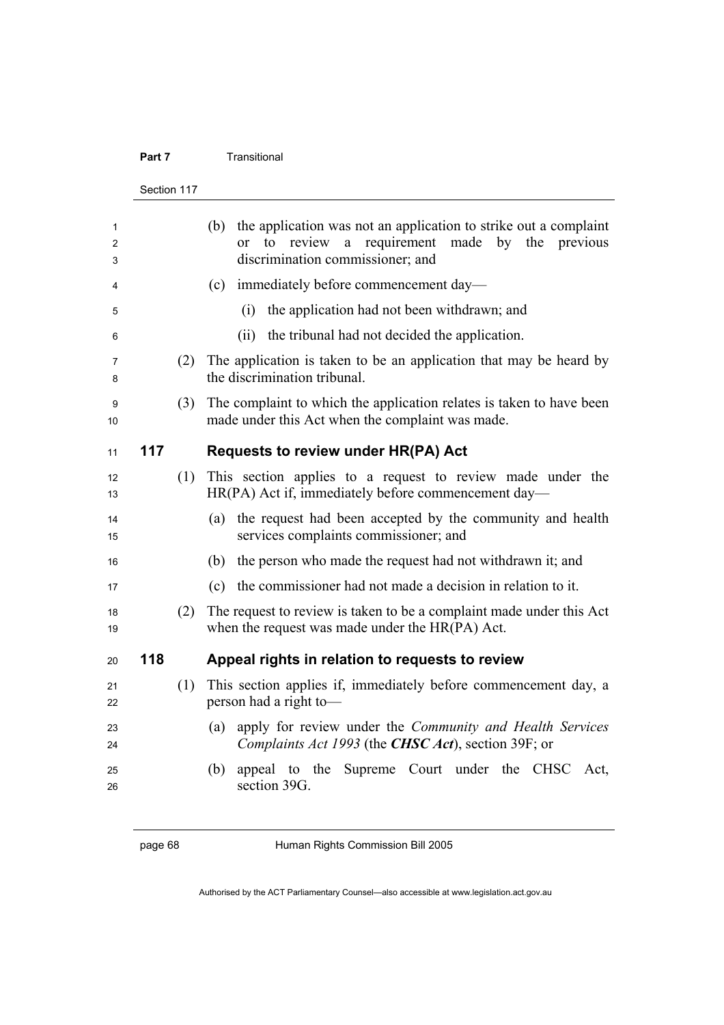## **Part 7 Transitional**

|             | Section 117 |     |                                                                                                                                                                |  |
|-------------|-------------|-----|----------------------------------------------------------------------------------------------------------------------------------------------------------------|--|
| 1<br>2<br>3 |             |     | (b) the application was not an application to strike out a complaint<br>or to review a requirement made by<br>the previous<br>discrimination commissioner; and |  |
| 4           |             |     | immediately before commencement day—<br>(c)                                                                                                                    |  |
| 5           |             |     | the application had not been withdrawn; and<br>(i)                                                                                                             |  |
| 6           |             |     | the tribunal had not decided the application.<br>(ii)                                                                                                          |  |
| 7<br>8      |             | (2) | The application is taken to be an application that may be heard by<br>the discrimination tribunal.                                                             |  |
| 9<br>10     |             | (3) | The complaint to which the application relates is taken to have been<br>made under this Act when the complaint was made.                                       |  |
| 11          | 117         |     | <b>Requests to review under HR(PA) Act</b>                                                                                                                     |  |
| 12<br>13    |             | (1) | This section applies to a request to review made under the<br>HR(PA) Act if, immediately before commencement day—                                              |  |
| 14<br>15    |             |     | the request had been accepted by the community and health<br>(a)<br>services complaints commissioner; and                                                      |  |
| 16          |             |     | the person who made the request had not withdrawn it; and<br>(b)                                                                                               |  |
| 17          |             |     | the commissioner had not made a decision in relation to it.<br>(c)                                                                                             |  |
| 18<br>19    |             | (2) | The request to review is taken to be a complaint made under this Act<br>when the request was made under the HR(PA) Act.                                        |  |
| 20          | 118         |     | Appeal rights in relation to requests to review                                                                                                                |  |
| 21<br>22    |             | (1) | This section applies if, immediately before commencement day, a<br>person had a right to-                                                                      |  |
| 23<br>24    |             |     | (a) apply for review under the Community and Health Services<br>Complaints Act 1993 (the CHSC Act), section 39F; or                                            |  |
| 25<br>26    |             |     | appeal to the Supreme Court under the CHSC Act,<br>(b)<br>section 39G.                                                                                         |  |
|             |             |     |                                                                                                                                                                |  |

page 68 Human Rights Commission Bill 2005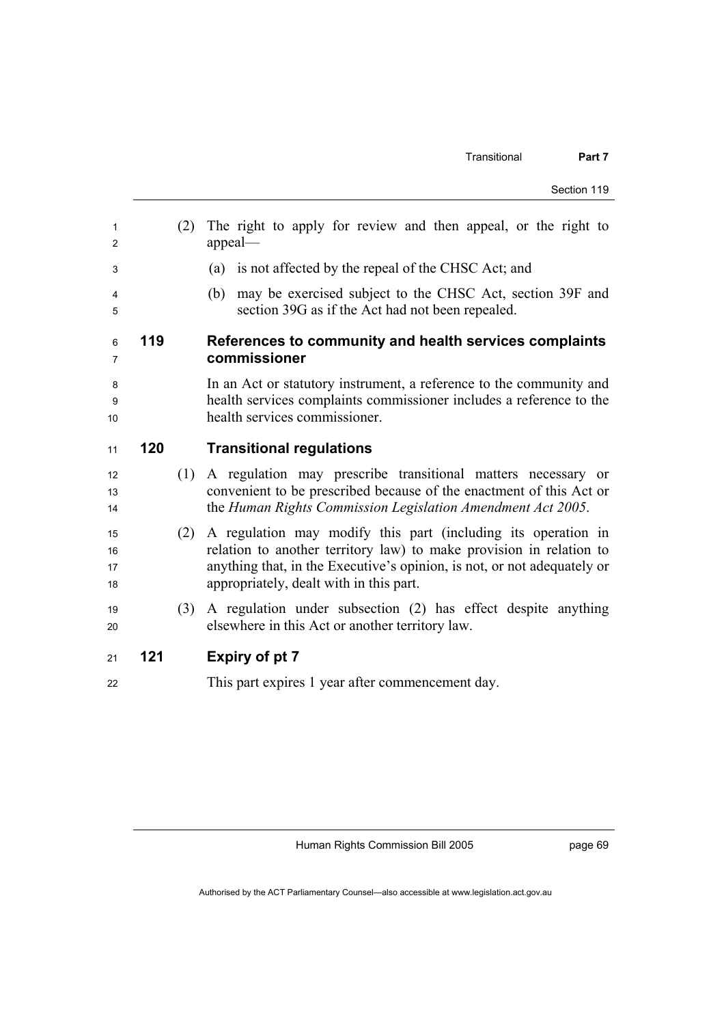| 1<br>2               |     | (2) | The right to apply for review and then appeal, or the right to<br>appeal-                                                                                                                                                                                  |  |
|----------------------|-----|-----|------------------------------------------------------------------------------------------------------------------------------------------------------------------------------------------------------------------------------------------------------------|--|
| 3                    |     |     | (a) is not affected by the repeal of the CHSC Act; and                                                                                                                                                                                                     |  |
| 4<br>5               |     |     | may be exercised subject to the CHSC Act, section 39F and<br>(b)<br>section 39G as if the Act had not been repealed.                                                                                                                                       |  |
| 6<br>7               | 119 |     | References to community and health services complaints<br>commissioner                                                                                                                                                                                     |  |
| 8<br>9<br>10         |     |     | In an Act or statutory instrument, a reference to the community and<br>health services complaints commissioner includes a reference to the<br>health services commissioner.                                                                                |  |
| 11                   | 120 |     | <b>Transitional regulations</b>                                                                                                                                                                                                                            |  |
| 12<br>13<br>14       |     | (1) | A regulation may prescribe transitional matters necessary or<br>convenient to be prescribed because of the enactment of this Act or<br>the Human Rights Commission Legislation Amendment Act 2005.                                                         |  |
| 15<br>16<br>17<br>18 |     | (2) | A regulation may modify this part (including its operation in<br>relation to another territory law) to make provision in relation to<br>anything that, in the Executive's opinion, is not, or not adequately or<br>appropriately, dealt with in this part. |  |
| 19<br>20             |     | (3) | A regulation under subsection (2) has effect despite anything<br>elsewhere in this Act or another territory law.                                                                                                                                           |  |
| 21                   | 121 |     | <b>Expiry of pt 7</b>                                                                                                                                                                                                                                      |  |
| 22                   |     |     | This part expires 1 year after commencement day.                                                                                                                                                                                                           |  |

Human Rights Commission Bill 2005

page 69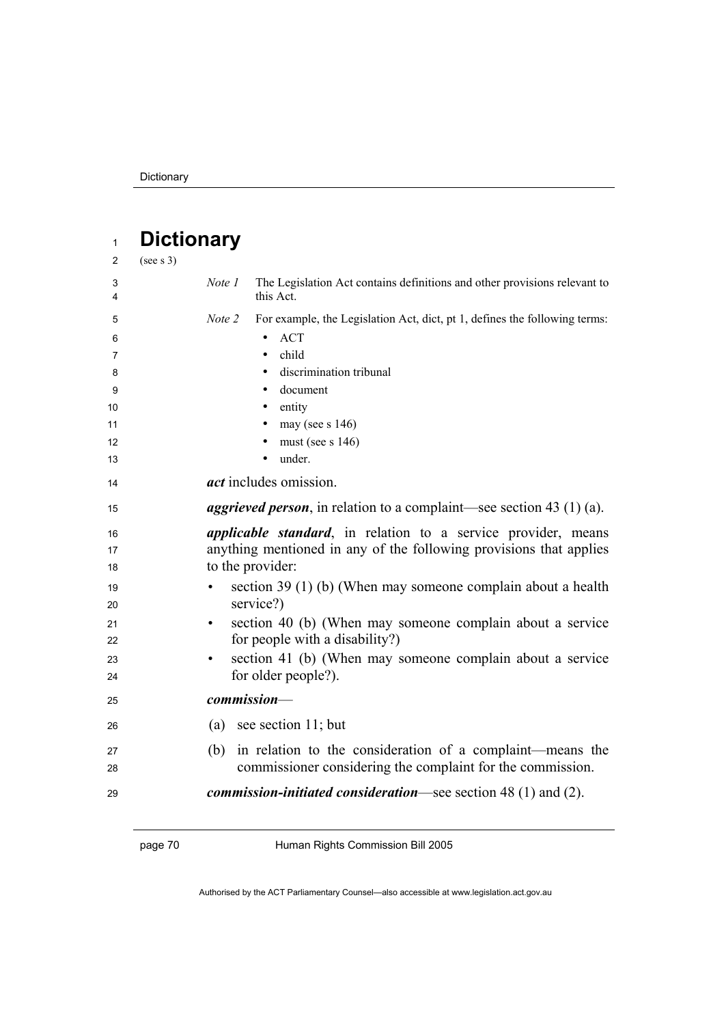| $\mathbf{1}$                                                     | <b>Dictionary</b>                                       |                                                                                                                                                                                                                                                                                                                                                                                                             |
|------------------------------------------------------------------|---------------------------------------------------------|-------------------------------------------------------------------------------------------------------------------------------------------------------------------------------------------------------------------------------------------------------------------------------------------------------------------------------------------------------------------------------------------------------------|
| 2                                                                | (see s 3)                                               |                                                                                                                                                                                                                                                                                                                                                                                                             |
| 3<br>4                                                           | Note 1                                                  | The Legislation Act contains definitions and other provisions relevant to<br>this Act.                                                                                                                                                                                                                                                                                                                      |
| 5<br>6<br>$\overline{7}$<br>8<br>9<br>10<br>11<br>12<br>13<br>14 | Note 2                                                  | For example, the Legislation Act, dict, pt 1, defines the following terms:<br><b>ACT</b><br>$\bullet$<br>child<br>$\bullet$<br>discrimination tribunal<br>$\bullet$<br>document<br>entity<br>$\bullet$<br>may (see $s$ 146)<br>$\bullet$<br>must (see $s$ 146)<br>$\bullet$<br>under.<br><i>act</i> includes omission.                                                                                      |
| 15                                                               |                                                         | <i>aggrieved person</i> , in relation to a complaint—see section 43 (1) (a).                                                                                                                                                                                                                                                                                                                                |
| 16<br>17<br>18<br>19<br>20<br>21<br>22<br>23<br>24               | to the provider:<br>$\bullet$<br>$\bullet$<br>$\bullet$ | <i>applicable standard</i> , in relation to a service provider, means<br>anything mentioned in any of the following provisions that applies<br>section 39 (1) (b) (When may someone complain about a health<br>service?)<br>section 40 (b) (When may someone complain about a service<br>for people with a disability?)<br>section 41 (b) (When may someone complain about a service<br>for older people?). |
| 25                                                               | commission-                                             |                                                                                                                                                                                                                                                                                                                                                                                                             |
| 26                                                               |                                                         | (a) see section 11; but                                                                                                                                                                                                                                                                                                                                                                                     |
| 27<br>28                                                         | (b)                                                     | in relation to the consideration of a complaint—means the<br>commissioner considering the complaint for the commission.                                                                                                                                                                                                                                                                                     |
| 29                                                               |                                                         | <i>commission-initiated consideration—see section</i> $48(1)$ and $(2)$ .                                                                                                                                                                                                                                                                                                                                   |

page 70 Human Rights Commission Bill 2005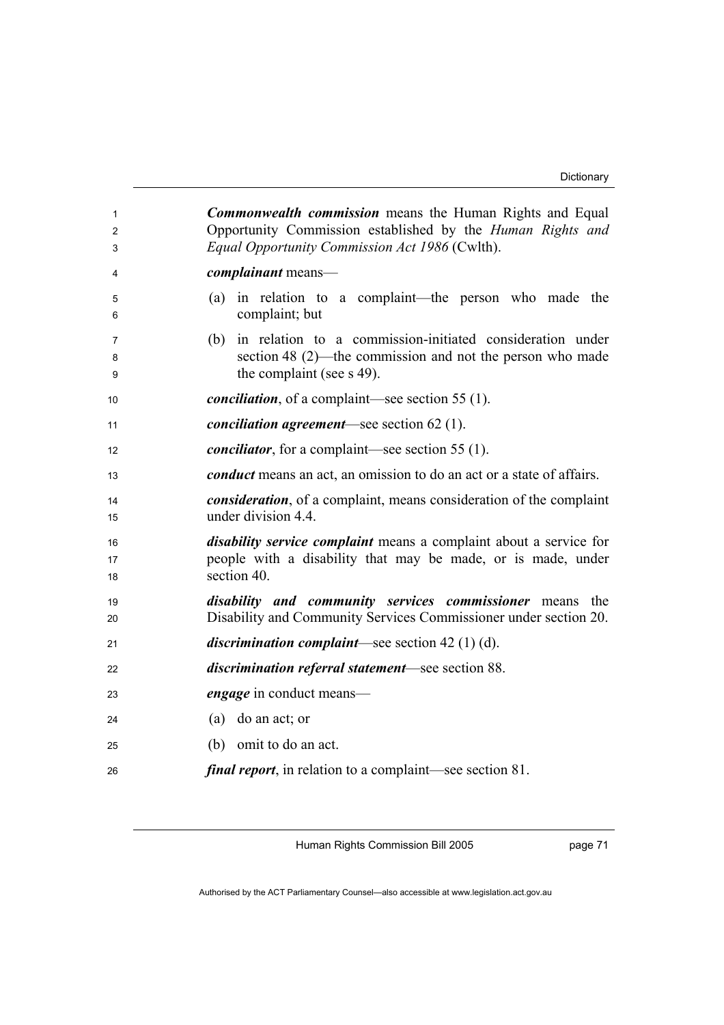| 1<br>$\overline{2}$<br>3 | <b>Commonwealth commission</b> means the Human Rights and Equal<br>Opportunity Commission established by the Human Rights and<br>Equal Opportunity Commission Act 1986 (Cwlth). |
|--------------------------|---------------------------------------------------------------------------------------------------------------------------------------------------------------------------------|
| 4                        | <i>complainant</i> means-                                                                                                                                                       |
| 5<br>6                   | (a) in relation to a complaint—the person who made the<br>complaint; but                                                                                                        |
| 7<br>8<br>9              | (b) in relation to a commission-initiated consideration under<br>section 48 (2)—the commission and not the person who made<br>the complaint (see s 49).                         |
| 10                       | <i>conciliation</i> , of a complaint—see section 55 $(1)$ .                                                                                                                     |
| 11                       | <i>conciliation agreement</i> —see section $62(1)$ .                                                                                                                            |
| 12                       | <i>conciliator</i> , for a complaint—see section 55 (1).                                                                                                                        |
| 13                       | <i>conduct</i> means an act, an omission to do an act or a state of affairs.                                                                                                    |
| 14<br>15                 | <i>consideration</i> , of a complaint, means consideration of the complaint<br>under division 4.4.                                                                              |
| 16<br>17<br>18           | <i>disability service complaint</i> means a complaint about a service for<br>people with a disability that may be made, or is made, under<br>section 40.                        |
| 19<br>20                 | <i>disability and community services commissioner</i> means the<br>Disability and Community Services Commissioner under section 20.                                             |
| 21                       | <i>discrimination complaint</i> —see section $42(1)(d)$ .                                                                                                                       |
| 22                       | discrimination referral statement-see section 88.                                                                                                                               |
| 23                       | <i>engage</i> in conduct means—                                                                                                                                                 |
| 24                       | do an act; or<br>(a)                                                                                                                                                            |
| 25                       | omit to do an act.<br>(b)                                                                                                                                                       |
| 26                       | <i>final report</i> , in relation to a complaint—see section 81.                                                                                                                |

Human Rights Commission Bill 2005

page 71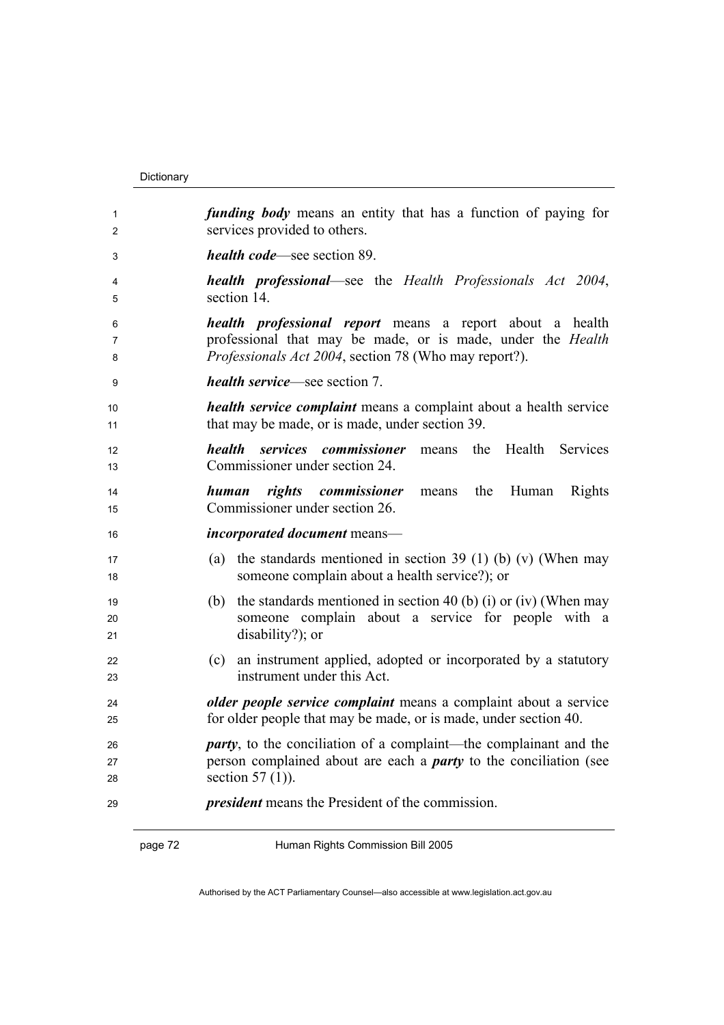## Dictionary

| 1              | <i>funding body</i> means an entity that has a function of paying for                                                                            |  |
|----------------|--------------------------------------------------------------------------------------------------------------------------------------------------|--|
| 2              | services provided to others.                                                                                                                     |  |
| 3              | <i>health code</i> —see section 89.                                                                                                              |  |
| 4              | <b>health professional</b> —see the Health Professionals Act 2004,                                                                               |  |
| 5              | section 14.                                                                                                                                      |  |
| 6              | <i>health professional report</i> means a report about a health                                                                                  |  |
| 7              | professional that may be made, or is made, under the Health                                                                                      |  |
| 8              | Professionals Act 2004, section 78 (Who may report?).                                                                                            |  |
| 9              | <i>health service</i> —see section 7.                                                                                                            |  |
| 10             | <i>health service complaint</i> means a complaint about a health service                                                                         |  |
| 11             | that may be made, or is made, under section 39.                                                                                                  |  |
| 12<br>13       | services commissioner<br><i>health</i><br>the<br>Health<br>means<br>Services<br>Commissioner under section 24.                                   |  |
| 14<br>15       | human rights commissioner<br>the<br>Rights<br>Human<br>means<br>Commissioner under section 26.                                                   |  |
| 16             | <i>incorporated document</i> means—                                                                                                              |  |
| 17             | (a) the standards mentioned in section 39 (1) (b) (v) (When may                                                                                  |  |
| 18             | someone complain about a health service?); or                                                                                                    |  |
| 19<br>20<br>21 | the standards mentioned in section 40 (b) (i) or (iv) (When may<br>(b)<br>someone complain about a service for people with a<br>disability?); or |  |
| 22             | (c) an instrument applied, adopted or incorporated by a statutory                                                                                |  |
| 23             | instrument under this Act.                                                                                                                       |  |
| 24             | older people service complaint means a complaint about a service                                                                                 |  |
| 25             | for older people that may be made, or is made, under section 40.                                                                                 |  |
| 26             | <i>party</i> , to the conciliation of a complaint—the complainant and the                                                                        |  |
| 27             | person complained about are each a <i>party</i> to the conciliation (see                                                                         |  |
| 28             | section $57(1)$ ).                                                                                                                               |  |
| 29             | <i>president</i> means the President of the commission.                                                                                          |  |

page 72 Human Rights Commission Bill 2005